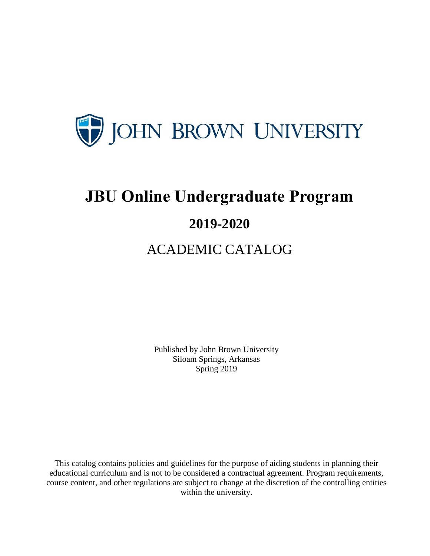

# **JBU Online Undergraduate Program**

## **2019-2020**

## ACADEMIC CATALOG

Published by John Brown University Siloam Springs, Arkansas Spring 2019

This catalog contains policies and guidelines for the purpose of aiding students in planning their educational curriculum and is not to be considered a contractual agreement. Program requirements, course content, and other regulations are subject to change at the discretion of the controlling entities within the university.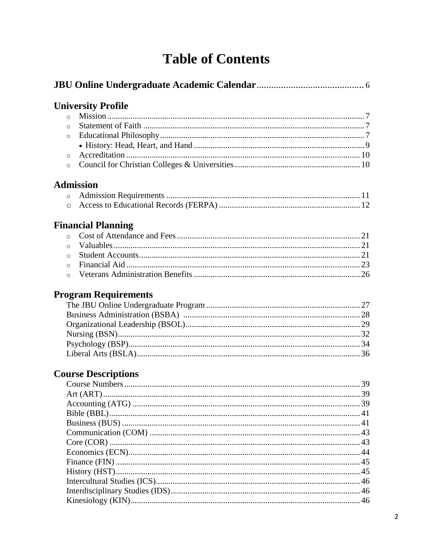## **Table of Contents**

|          | <b>University Profile</b>   |  |
|----------|-----------------------------|--|
|          | $\circ$                     |  |
| $\circ$  |                             |  |
| $\circ$  |                             |  |
|          |                             |  |
| $\circ$  |                             |  |
| $\circ$  |                             |  |
|          | <b>Admission</b>            |  |
|          | $\circ$                     |  |
|          | $\circ$                     |  |
|          | <b>Financial Planning</b>   |  |
|          | $\circ$                     |  |
| $\Omega$ |                             |  |
| $\circ$  |                             |  |
| $\circ$  |                             |  |
| $\Omega$ |                             |  |
|          | <b>Program Requirements</b> |  |
|          |                             |  |
|          |                             |  |
|          |                             |  |
|          |                             |  |
|          |                             |  |
|          |                             |  |
|          | <b>Course Descriptions</b>  |  |
|          |                             |  |
|          |                             |  |
|          |                             |  |
|          |                             |  |
|          |                             |  |
|          |                             |  |
|          |                             |  |
|          |                             |  |
|          |                             |  |
|          |                             |  |
|          |                             |  |
|          |                             |  |
|          |                             |  |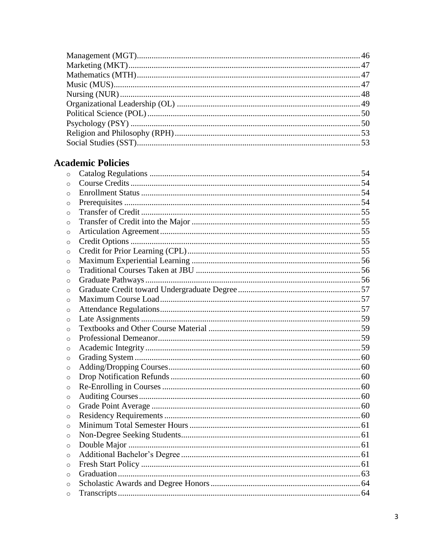### **Academic Policies**

| $\circ$  |  |
|----------|--|
| $\Omega$ |  |
| $\circ$  |  |
| $\circ$  |  |
| $\circ$  |  |
| $\circ$  |  |
| $\circ$  |  |
| $\circ$  |  |
| $\circ$  |  |
| $\circ$  |  |
| $\Omega$ |  |
| $\circ$  |  |
| $\circ$  |  |
| $\circ$  |  |
| $\circ$  |  |
| $\circ$  |  |
| $\circ$  |  |
| $\circ$  |  |
| $\circ$  |  |
| $\circ$  |  |
| $\circ$  |  |
| $\circ$  |  |
| $\circ$  |  |
| $\circ$  |  |
| $\circ$  |  |
| $\circ$  |  |
| $\circ$  |  |
| $\circ$  |  |
| $\circ$  |  |
| $\circ$  |  |
| $\circ$  |  |
| $\circ$  |  |
| $\circ$  |  |
| $\circ$  |  |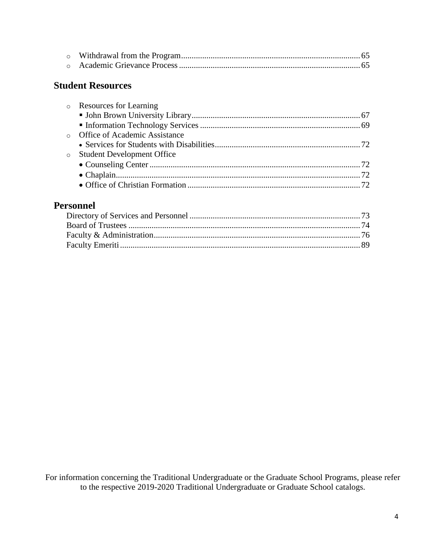#### **Student Resources**

| o Resources for Learning        |  |
|---------------------------------|--|
|                                 |  |
|                                 |  |
| o Office of Academic Assistance |  |
|                                 |  |
| o Student Development Office    |  |
|                                 |  |
|                                 |  |
|                                 |  |
|                                 |  |

#### **Personnel**

For information concerning the Traditional Undergraduate or the Graduate School Programs, please refer to the respective 2019-2020 Traditional Undergraduate or Graduate School catalogs.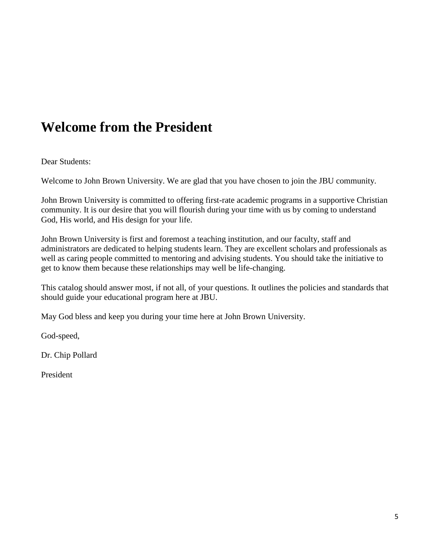## **Welcome from the President**

Dear Students:

Welcome to John Brown University. We are glad that you have chosen to join the JBU community.

John Brown University is committed to offering first-rate academic programs in a supportive Christian community. It is our desire that you will flourish during your time with us by coming to understand God, His world, and His design for your life.

John Brown University is first and foremost a teaching institution, and our faculty, staff and administrators are dedicated to helping students learn. They are excellent scholars and professionals as well as caring people committed to mentoring and advising students. You should take the initiative to get to know them because these relationships may well be life-changing.

This catalog should answer most, if not all, of your questions. It outlines the policies and standards that should guide your educational program here at JBU.

May God bless and keep you during your time here at John Brown University.

God-speed,

Dr. Chip Pollard

President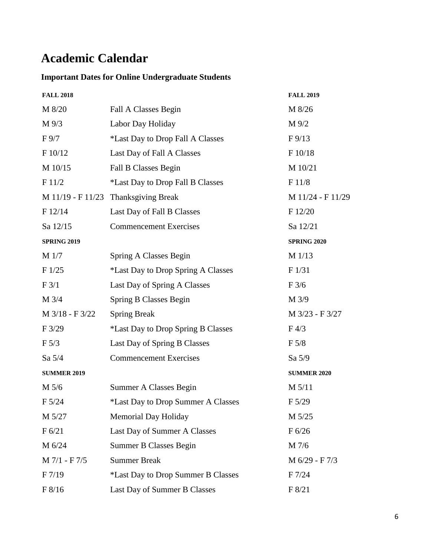## **Academic Calendar**

#### **Important Dates for Online Undergraduate Students**

| <b>FALL 2018</b>    |                                           | <b>FALL 2019</b>   |
|---------------------|-------------------------------------------|--------------------|
| M 8/20              | Fall A Classes Begin                      | M 8/26             |
| $M\frac{9}{3}$      | Labor Day Holiday                         | M 9/2              |
| $F\,9/7$            | *Last Day to Drop Fall A Classes          | $F\frac{9}{13}$    |
| F 10/12             | Last Day of Fall A Classes                | F 10/18            |
| M 10/15             | Fall B Classes Begin                      | M 10/21            |
| F11/2               | *Last Day to Drop Fall B Classes          | F 11/8             |
| $M$ 11/19 - F 11/23 | <b>Thanksgiving Break</b>                 | M 11/24 - F 11/29  |
| F 12/14             | Last Day of Fall B Classes                | F12/20             |
| Sa 12/15            | <b>Commencement Exercises</b>             | Sa 12/21           |
| <b>SPRING 2019</b>  |                                           | <b>SPRING 2020</b> |
| M <sub>1/7</sub>    | Spring A Classes Begin                    | M 1/13             |
| F1/25               | *Last Day to Drop Spring A Classes        | F 1/31             |
| F 3/1               | Last Day of Spring A Classes              | F3/6               |
| M 3/4               | Spring B Classes Begin                    | M 3/9              |
| M 3/18 - F 3/22     | <b>Spring Break</b>                       | M 3/23 - F 3/27    |
| F3/29               | <i>*Last Day to Drop Spring B Classes</i> | F <sub>4/3</sub>   |
| $F\,5/3$            | Last Day of Spring B Classes              | F 5/8              |
| Sa $5/4$            | <b>Commencement Exercises</b>             | Sa 5/9             |
| <b>SUMMER 2019</b>  |                                           | <b>SUMMER 2020</b> |
| M 5/6               | Summer A Classes Begin                    | $M$ 5/11           |
| F 5/24              | *Last Day to Drop Summer A Classes        | F 5/29             |
| M 5/27              | <b>Memorial Day Holiday</b>               | M 5/25             |
| F 6/21              | Last Day of Summer A Classes              | F 6/26             |
| M 6/24              | <b>Summer B Classes Begin</b>             | M 7/6              |
| M 7/1 - F 7/5       | <b>Summer Break</b>                       | M 6/29 - F 7/3     |
| F 7/19              | *Last Day to Drop Summer B Classes        | F 7/24             |
| F 8/16              | Last Day of Summer B Classes              | F 8/21             |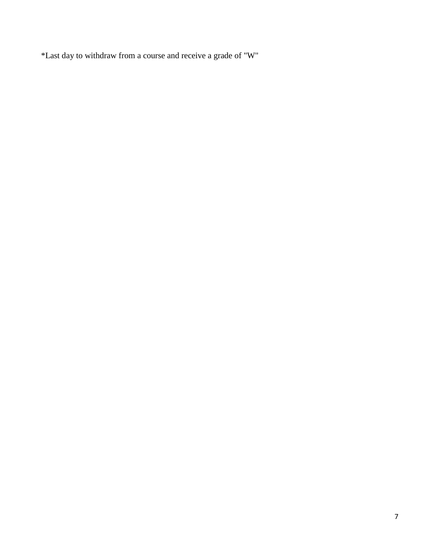\*Last day to withdraw from a course and receive a grade of "W"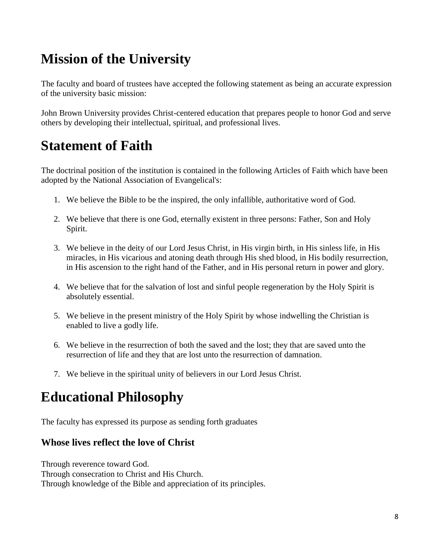## **Mission of the University**

The faculty and board of trustees have accepted the following statement as being an accurate expression of the university basic mission:

John Brown University provides Christ-centered education that prepares people to honor God and serve others by developing their intellectual, spiritual, and professional lives.

## **Statement of Faith**

The doctrinal position of the institution is contained in the following Articles of Faith which have been adopted by the National Association of Evangelical's:

- 1. We believe the Bible to be the inspired, the only infallible, authoritative word of God.
- 2. We believe that there is one God, eternally existent in three persons: Father, Son and Holy Spirit.
- 3. We believe in the deity of our Lord Jesus Christ, in His virgin birth, in His sinless life, in His miracles, in His vicarious and atoning death through His shed blood, in His bodily resurrection, in His ascension to the right hand of the Father, and in His personal return in power and glory.
- 4. We believe that for the salvation of lost and sinful people regeneration by the Holy Spirit is absolutely essential.
- 5. We believe in the present ministry of the Holy Spirit by whose indwelling the Christian is enabled to live a godly life.
- 6. We believe in the resurrection of both the saved and the lost; they that are saved unto the resurrection of life and they that are lost unto the resurrection of damnation.
- 7. We believe in the spiritual unity of believers in our Lord Jesus Christ.

## **Educational Philosophy**

The faculty has expressed its purpose as sending forth graduates

#### **Whose lives reflect the love of Christ**

Through reverence toward God. Through consecration to Christ and His Church. Through knowledge of the Bible and appreciation of its principles.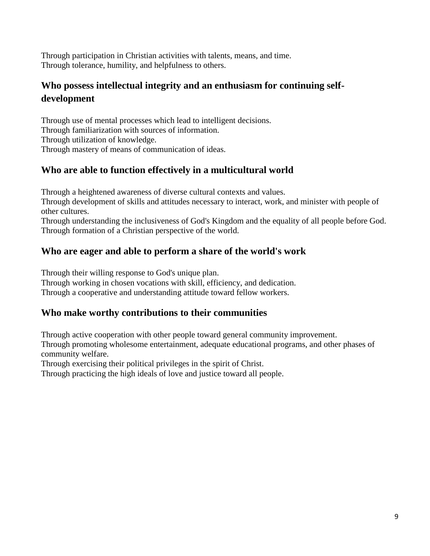Through participation in Christian activities with talents, means, and time. Through tolerance, humility, and helpfulness to others.

#### **Who possess intellectual integrity and an enthusiasm for continuing selfdevelopment**

Through use of mental processes which lead to intelligent decisions. Through familiarization with sources of information. Through utilization of knowledge. Through mastery of means of communication of ideas.

#### **Who are able to function effectively in a multicultural world**

Through a heightened awareness of diverse cultural contexts and values.

Through development of skills and attitudes necessary to interact, work, and minister with people of other cultures.

Through understanding the inclusiveness of God's Kingdom and the equality of all people before God. Through formation of a Christian perspective of the world.

#### **Who are eager and able to perform a share of the world's work**

Through their willing response to God's unique plan.

Through working in chosen vocations with skill, efficiency, and dedication.

Through a cooperative and understanding attitude toward fellow workers.

#### **Who make worthy contributions to their communities**

Through active cooperation with other people toward general community improvement. Through promoting wholesome entertainment, adequate educational programs, and other phases of community welfare.

Through exercising their political privileges in the spirit of Christ.

Through practicing the high ideals of love and justice toward all people.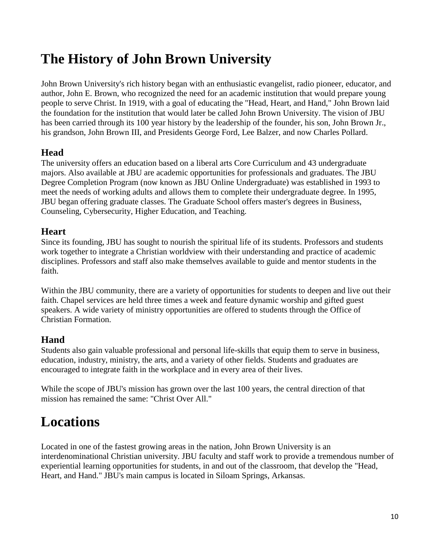## **The History of John Brown University**

John Brown University's rich history began with an enthusiastic evangelist, radio pioneer, educator, and author, John E. Brown, who recognized the need for an academic institution that would prepare young people to serve Christ. In 1919, with a goal of educating the "Head, Heart, and Hand," John Brown laid the foundation for the institution that would later be called John Brown University. The vision of JBU has been carried through its 100 year history by the leadership of the founder, his son, John Brown Jr., his grandson, John Brown III, and Presidents George Ford, Lee Balzer, and now Charles Pollard.

#### **Head**

The university offers an education based on a liberal arts Core Curriculum and 43 undergraduate majors. Also available at JBU are academic opportunities for professionals and graduates. The JBU Degree Completion Program (now known as JBU Online Undergraduate) was established in 1993 to meet the needs of working adults and allows them to complete their undergraduate degree. In 1995, JBU began offering graduate classes. The Graduate School offers master's degrees in Business, Counseling, Cybersecurity, Higher Education, and Teaching.

#### **Heart**

Since its founding, JBU has sought to nourish the spiritual life of its students. Professors and students work together to integrate a Christian worldview with their understanding and practice of academic disciplines. Professors and staff also make themselves available to guide and mentor students in the faith.

Within the JBU community, there are a variety of opportunities for students to deepen and live out their faith. Chapel services are held three times a week and feature dynamic worship and gifted guest speakers. A wide variety of ministry opportunities are offered to students through the Office of Christian Formation.

#### **Hand**

Students also gain valuable professional and personal life-skills that equip them to serve in business, education, industry, ministry, the arts, and a variety of other fields. Students and graduates are encouraged to integrate faith in the workplace and in every area of their lives.

While the scope of JBU's mission has grown over the last 100 years, the central direction of that mission has remained the same: "Christ Over All."

## **Locations**

Located in one of the fastest growing areas in the nation, John Brown University is an interdenominational Christian university. JBU faculty and staff work to provide a tremendous number of experiential learning opportunities for students, in and out of the classroom, that develop the "Head, Heart, and Hand." JBU's main campus is located in Siloam Springs, Arkansas.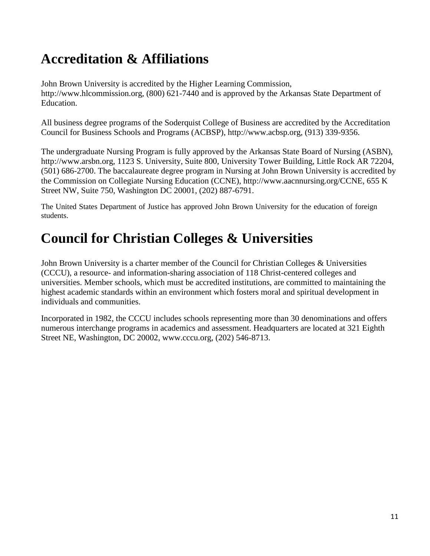## **Accreditation & Affiliations**

John Brown University is accredited by the Higher Learning Commission, http://www.hlcommission.org, (800) 621-7440 and is approved by the Arkansas State Department of Education.

All business degree programs of the Soderquist College of Business are accredited by the Accreditation Council for Business Schools and Programs (ACBSP), http://www.acbsp.org, (913) 339-9356.

The undergraduate Nursing Program is fully approved by the Arkansas State Board of Nursing (ASBN), http://www.arsbn.org, 1123 S. University, Suite 800, University Tower Building, Little Rock AR 72204, (501) 686-2700. The baccalaureate degree program in Nursing at John Brown University is accredited by the Commission on Collegiate Nursing Education (CCNE), http://www.aacnnursing.org/CCNE, 655 K Street NW, Suite 750, Washington DC 20001, (202) 887-6791.

The United States Department of Justice has approved John Brown University for the education of foreign students.

## **Council for Christian Colleges & Universities**

John Brown University is a charter member of the Council for Christian Colleges & Universities (CCCU), a resource- and information-sharing association of 118 Christ-centered colleges and universities. Member schools, which must be accredited institutions, are committed to maintaining the highest academic standards within an environment which fosters moral and spiritual development in individuals and communities.

Incorporated in 1982, the CCCU includes schools representing more than 30 denominations and offers numerous interchange programs in academics and assessment. Headquarters are located at 321 Eighth Street NE, Washington, DC 20002, www.cccu.org, (202) 546-8713.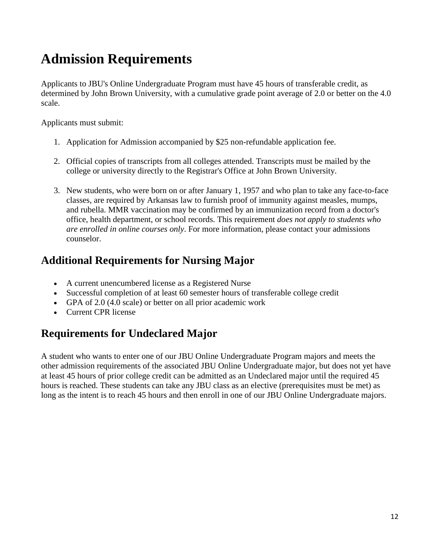## **Admission Requirements**

Applicants to JBU's Online Undergraduate Program must have 45 hours of transferable credit, as determined by John Brown University, with a cumulative grade point average of 2.0 or better on the 4.0 scale.

Applicants must submit:

- 1. Application for Admission accompanied by \$25 non-refundable application fee.
- 2. Official copies of transcripts from all colleges attended. Transcripts must be mailed by the college or university directly to the Registrar's Office at John Brown University.
- 3. New students, who were born on or after January 1, 1957 and who plan to take any face-to-face classes, are required by Arkansas law to furnish proof of immunity against measles, mumps, and rubella. MMR vaccination may be confirmed by an immunization record from a doctor's office, health department, or school records. This requirement *does not apply to students who are enrolled in online courses only*. For more information, please contact your admissions counselor.

### **Additional Requirements for Nursing Major**

- A current unencumbered license as a Registered Nurse
- Successful completion of at least 60 semester hours of transferable college credit
- GPA of 2.0 (4.0 scale) or better on all prior academic work
- Current CPR license

### **Requirements for Undeclared Major**

A student who wants to enter one of our JBU Online Undergraduate Program majors and meets the other admission requirements of the associated JBU Online Undergraduate major, but does not yet have at least 45 hours of prior college credit can be admitted as an Undeclared major until the required 45 hours is reached. These students can take any JBU class as an elective (prerequisites must be met) as long as the intent is to reach 45 hours and then enroll in one of our JBU Online Undergraduate majors.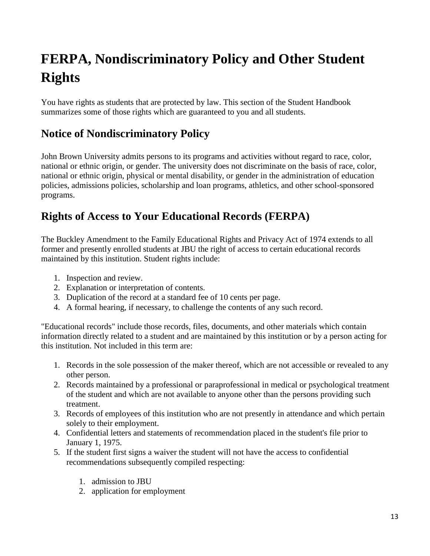## **FERPA, Nondiscriminatory Policy and Other Student Rights**

You have rights as students that are protected by law. This section of the Student Handbook summarizes some of those rights which are guaranteed to you and all students.

### **Notice of Nondiscriminatory Policy**

John Brown University admits persons to its programs and activities without regard to race, color, national or ethnic origin, or gender. The university does not discriminate on the basis of race, color, national or ethnic origin, physical or mental disability, or gender in the administration of education policies, admissions policies, scholarship and loan programs, athletics, and other school-sponsored programs.

### **Rights of Access to Your Educational Records (FERPA)**

The Buckley Amendment to the Family Educational Rights and Privacy Act of 1974 extends to all former and presently enrolled students at JBU the right of access to certain educational records maintained by this institution. Student rights include:

- 1. Inspection and review.
- 2. Explanation or interpretation of contents.
- 3. Duplication of the record at a standard fee of 10 cents per page.
- 4. A formal hearing, if necessary, to challenge the contents of any such record.

"Educational records" include those records, files, documents, and other materials which contain information directly related to a student and are maintained by this institution or by a person acting for this institution. Not included in this term are:

- 1. Records in the sole possession of the maker thereof, which are not accessible or revealed to any other person.
- 2. Records maintained by a professional or paraprofessional in medical or psychological treatment of the student and which are not available to anyone other than the persons providing such treatment.
- 3. Records of employees of this institution who are not presently in attendance and which pertain solely to their employment.
- 4. Confidential letters and statements of recommendation placed in the student's file prior to January 1, 1975.
- 5. If the student first signs a waiver the student will not have the access to confidential recommendations subsequently compiled respecting:
	- 1. admission to JBU
	- 2. application for employment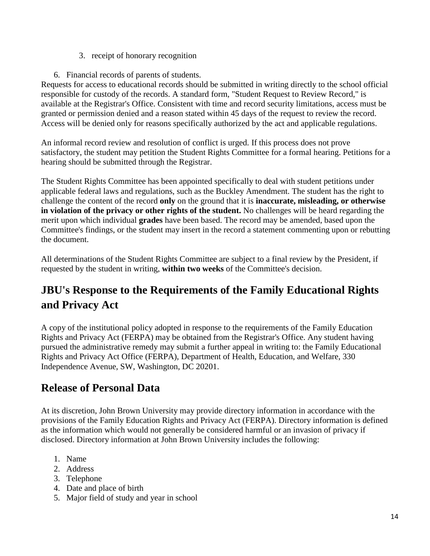- 3. receipt of honorary recognition
- 6. Financial records of parents of students.

Requests for access to educational records should be submitted in writing directly to the school official responsible for custody of the records. A standard form, "Student Request to Review Record," is available at the Registrar's Office. Consistent with time and record security limitations, access must be granted or permission denied and a reason stated within 45 days of the request to review the record. Access will be denied only for reasons specifically authorized by the act and applicable regulations.

An informal record review and resolution of conflict is urged. If this process does not prove satisfactory, the student may petition the Student Rights Committee for a formal hearing. Petitions for a hearing should be submitted through the Registrar.

The Student Rights Committee has been appointed specifically to deal with student petitions under applicable federal laws and regulations, such as the Buckley Amendment. The student has the right to challenge the content of the record **only** on the ground that it is **inaccurate, misleading, or otherwise in violation of the privacy or other rights of the student.** No challenges will be heard regarding the merit upon which individual **grades** have been based. The record may be amended, based upon the Committee's findings, or the student may insert in the record a statement commenting upon or rebutting the document.

All determinations of the Student Rights Committee are subject to a final review by the President, if requested by the student in writing, **within two weeks** of the Committee's decision.

## **JBU's Response to the Requirements of the Family Educational Rights and Privacy Act**

A copy of the institutional policy adopted in response to the requirements of the Family Education Rights and Privacy Act (FERPA) may be obtained from the Registrar's Office. Any student having pursued the administrative remedy may submit a further appeal in writing to: the Family Educational Rights and Privacy Act Office (FERPA), Department of Health, Education, and Welfare, 330 Independence Avenue, SW, Washington, DC 20201.

### **Release of Personal Data**

At its discretion, John Brown University may provide directory information in accordance with the provisions of the Family Education Rights and Privacy Act (FERPA). Directory information is defined as the information which would not generally be considered harmful or an invasion of privacy if disclosed. Directory information at John Brown University includes the following:

- 1. Name
- 2. Address
- 3. Telephone
- 4. Date and place of birth
- 5. Major field of study and year in school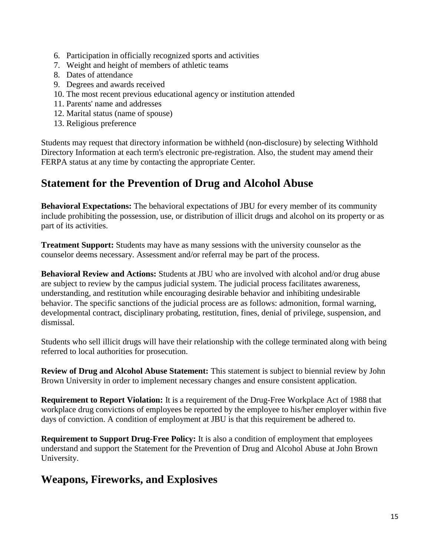- 6. Participation in officially recognized sports and activities
- 7. Weight and height of members of athletic teams
- 8. Dates of attendance
- 9. Degrees and awards received
- 10. The most recent previous educational agency or institution attended
- 11. Parents' name and addresses
- 12. Marital status (name of spouse)
- 13. Religious preference

Students may request that directory information be withheld (non-disclosure) by selecting Withhold Directory Information at each term's electronic pre-registration. Also, the student may amend their FERPA status at any time by contacting the appropriate Center.

### **Statement for the Prevention of Drug and Alcohol Abuse**

**Behavioral Expectations:** The behavioral expectations of JBU for every member of its community include prohibiting the possession, use, or distribution of illicit drugs and alcohol on its property or as part of its activities.

**Treatment Support:** Students may have as many sessions with the university counselor as the counselor deems necessary. Assessment and/or referral may be part of the process.

**Behavioral Review and Actions:** Students at JBU who are involved with alcohol and/or drug abuse are subject to review by the campus judicial system. The judicial process facilitates awareness, understanding, and restitution while encouraging desirable behavior and inhibiting undesirable behavior. The specific sanctions of the judicial process are as follows: admonition, formal warning, developmental contract, disciplinary probating, restitution, fines, denial of privilege, suspension, and dismissal.

Students who sell illicit drugs will have their relationship with the college terminated along with being referred to local authorities for prosecution.

**Review of Drug and Alcohol Abuse Statement:** This statement is subject to biennial review by John Brown University in order to implement necessary changes and ensure consistent application.

**Requirement to Report Violation:** It is a requirement of the Drug-Free Workplace Act of 1988 that workplace drug convictions of employees be reported by the employee to his/her employer within five days of conviction. A condition of employment at JBU is that this requirement be adhered to.

**Requirement to Support Drug-Free Policy:** It is also a condition of employment that employees understand and support the Statement for the Prevention of Drug and Alcohol Abuse at John Brown University.

#### **Weapons, Fireworks, and Explosives**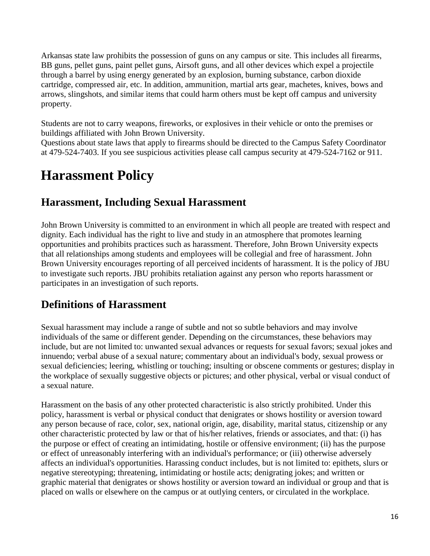Arkansas state law prohibits the possession of guns on any campus or site. This includes all firearms, BB guns, pellet guns, paint pellet guns, Airsoft guns, and all other devices which expel a projectile through a barrel by using energy generated by an explosion, burning substance, carbon dioxide cartridge, compressed air, etc. In addition, ammunition, martial arts gear, machetes, knives, bows and arrows, slingshots, and similar items that could harm others must be kept off campus and university property.

Students are not to carry weapons, fireworks, or explosives in their vehicle or onto the premises or buildings affiliated with John Brown University.

Questions about state laws that apply to firearms should be directed to the Campus Safety Coordinator at 479-524-7403. If you see suspicious activities please call campus security at 479-524-7162 or 911.

## **Harassment Policy**

#### **Harassment, Including Sexual Harassment**

John Brown University is committed to an environment in which all people are treated with respect and dignity. Each individual has the right to live and study in an atmosphere that promotes learning opportunities and prohibits practices such as harassment. Therefore, John Brown University expects that all relationships among students and employees will be collegial and free of harassment. John Brown University encourages reporting of all perceived incidents of harassment. It is the policy of JBU to investigate such reports. JBU prohibits retaliation against any person who reports harassment or participates in an investigation of such reports.

### **Definitions of Harassment**

Sexual harassment may include a range of subtle and not so subtle behaviors and may involve individuals of the same or different gender. Depending on the circumstances, these behaviors may include, but are not limited to: unwanted sexual advances or requests for sexual favors; sexual jokes and innuendo; verbal abuse of a sexual nature; commentary about an individual's body, sexual prowess or sexual deficiencies; leering, whistling or touching; insulting or obscene comments or gestures; display in the workplace of sexually suggestive objects or pictures; and other physical, verbal or visual conduct of a sexual nature.

Harassment on the basis of any other protected characteristic is also strictly prohibited. Under this policy, harassment is verbal or physical conduct that denigrates or shows hostility or aversion toward any person because of race, color, sex, national origin, age, disability, marital status, citizenship or any other characteristic protected by law or that of his/her relatives, friends or associates, and that: (i) has the purpose or effect of creating an intimidating, hostile or offensive environment; (ii) has the purpose or effect of unreasonably interfering with an individual's performance; or (iii) otherwise adversely affects an individual's opportunities. Harassing conduct includes, but is not limited to: epithets, slurs or negative stereotyping; threatening, intimidating or hostile acts; denigrating jokes; and written or graphic material that denigrates or shows hostility or aversion toward an individual or group and that is placed on walls or elsewhere on the campus or at outlying centers, or circulated in the workplace.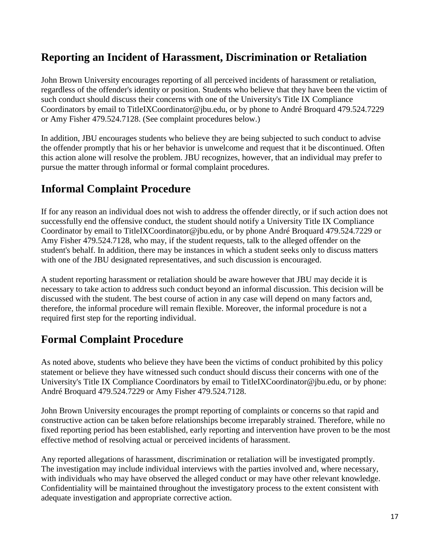### **Reporting an Incident of Harassment, Discrimination or Retaliation**

John Brown University encourages reporting of all perceived incidents of harassment or retaliation, regardless of the offender's identity or position. Students who believe that they have been the victim of such conduct should discuss their concerns with one of the University's Title IX Compliance Coordinators by email to TitleIXCoordinator@jbu.edu, or by phone to André Broquard 479.524.7229 or Amy Fisher 479.524.7128. (See complaint procedures below.)

In addition, JBU encourages students who believe they are being subjected to such conduct to advise the offender promptly that his or her behavior is unwelcome and request that it be discontinued. Often this action alone will resolve the problem. JBU recognizes, however, that an individual may prefer to pursue the matter through informal or formal complaint procedures.

### **Informal Complaint Procedure**

If for any reason an individual does not wish to address the offender directly, or if such action does not successfully end the offensive conduct, the student should notify a University Title IX Compliance Coordinator by email to TitleIXCoordinator@jbu.edu, or by phone André Broquard 479.524.7229 or Amy Fisher 479.524.7128, who may, if the student requests, talk to the alleged offender on the student's behalf. In addition, there may be instances in which a student seeks only to discuss matters with one of the JBU designated representatives, and such discussion is encouraged.

A student reporting harassment or retaliation should be aware however that JBU may decide it is necessary to take action to address such conduct beyond an informal discussion. This decision will be discussed with the student. The best course of action in any case will depend on many factors and, therefore, the informal procedure will remain flexible. Moreover, the informal procedure is not a required first step for the reporting individual.

### **Formal Complaint Procedure**

As noted above, students who believe they have been the victims of conduct prohibited by this policy statement or believe they have witnessed such conduct should discuss their concerns with one of the University's Title IX Compliance Coordinators by email to TitleIXCoordinator@jbu.edu, or by phone: André Broquard 479.524.7229 or Amy Fisher 479.524.7128.

John Brown University encourages the prompt reporting of complaints or concerns so that rapid and constructive action can be taken before relationships become irreparably strained. Therefore, while no fixed reporting period has been established, early reporting and intervention have proven to be the most effective method of resolving actual or perceived incidents of harassment.

Any reported allegations of harassment, discrimination or retaliation will be investigated promptly. The investigation may include individual interviews with the parties involved and, where necessary, with individuals who may have observed the alleged conduct or may have other relevant knowledge. Confidentiality will be maintained throughout the investigatory process to the extent consistent with adequate investigation and appropriate corrective action.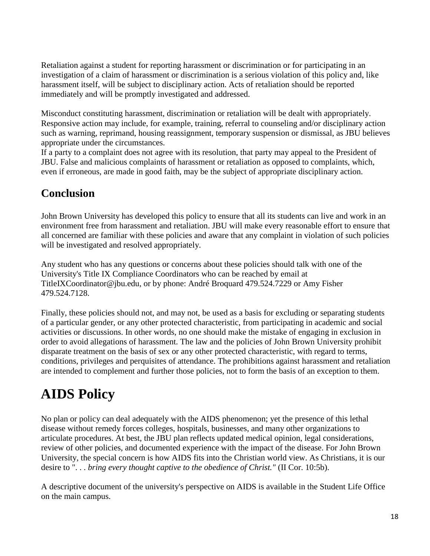Retaliation against a student for reporting harassment or discrimination or for participating in an investigation of a claim of harassment or discrimination is a serious violation of this policy and, like harassment itself, will be subject to disciplinary action. Acts of retaliation should be reported immediately and will be promptly investigated and addressed.

Misconduct constituting harassment, discrimination or retaliation will be dealt with appropriately. Responsive action may include, for example, training, referral to counseling and/or disciplinary action such as warning, reprimand, housing reassignment, temporary suspension or dismissal, as JBU believes appropriate under the circumstances.

If a party to a complaint does not agree with its resolution, that party may appeal to the President of JBU. False and malicious complaints of harassment or retaliation as opposed to complaints, which, even if erroneous, are made in good faith, may be the subject of appropriate disciplinary action.

### **Conclusion**

John Brown University has developed this policy to ensure that all its students can live and work in an environment free from harassment and retaliation. JBU will make every reasonable effort to ensure that all concerned are familiar with these policies and aware that any complaint in violation of such policies will be investigated and resolved appropriately.

Any student who has any questions or concerns about these policies should talk with one of the University's Title IX Compliance Coordinators who can be reached by email at TitleIXCoordinator@jbu.edu, or by phone: André Broquard 479.524.7229 or Amy Fisher 479.524.7128.

Finally, these policies should not, and may not, be used as a basis for excluding or separating students of a particular gender, or any other protected characteristic, from participating in academic and social activities or discussions. In other words, no one should make the mistake of engaging in exclusion in order to avoid allegations of harassment. The law and the policies of John Brown University prohibit disparate treatment on the basis of sex or any other protected characteristic, with regard to terms, conditions, privileges and perquisites of attendance. The prohibitions against harassment and retaliation are intended to complement and further those policies, not to form the basis of an exception to them.

## **AIDS Policy**

No plan or policy can deal adequately with the AIDS phenomenon; yet the presence of this lethal disease without remedy forces colleges, hospitals, businesses, and many other organizations to articulate procedures. At best, the JBU plan reflects updated medical opinion, legal considerations, review of other policies, and documented experience with the impact of the disease. For John Brown University, the special concern is how AIDS fits into the Christian world view. As Christians, it is our desire to ". . . *bring every thought captive to the obedience of Christ."* (II Cor. 10:5b).

A descriptive document of the university's perspective on AIDS is available in the Student Life Office on the main campus.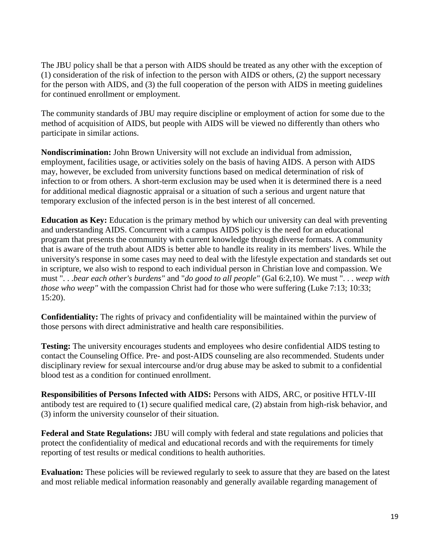The JBU policy shall be that a person with AIDS should be treated as any other with the exception of (1) consideration of the risk of infection to the person with AIDS or others, (2) the support necessary for the person with AIDS, and (3) the full cooperation of the person with AIDS in meeting guidelines for continued enrollment or employment.

The community standards of JBU may require discipline or employment of action for some due to the method of acquisition of AIDS, but people with AIDS will be viewed no differently than others who participate in similar actions.

**Nondiscrimination:** John Brown University will not exclude an individual from admission, employment, facilities usage, or activities solely on the basis of having AIDS. A person with AIDS may, however, be excluded from university functions based on medical determination of risk of infection to or from others. A short-term exclusion may be used when it is determined there is a need for additional medical diagnostic appraisal or a situation of such a serious and urgent nature that temporary exclusion of the infected person is in the best interest of all concerned.

**Education as Key:** Education is the primary method by which our university can deal with preventing and understanding AIDS. Concurrent with a campus AIDS policy is the need for an educational program that presents the community with current knowledge through diverse formats. A community that is aware of the truth about AIDS is better able to handle its reality in its members' lives. While the university's response in some cases may need to deal with the lifestyle expectation and standards set out in scripture, we also wish to respond to each individual person in Christian love and compassion. We must ". . .*bear each other's burdens"* and "*do good to all people"* (Gal 6:2,10). We must ". . . *weep with those who weep"* with the compassion Christ had for those who were suffering (Luke 7:13; 10:33; 15:20).

**Confidentiality:** The rights of privacy and confidentiality will be maintained within the purview of those persons with direct administrative and health care responsibilities.

**Testing:** The university encourages students and employees who desire confidential AIDS testing to contact the Counseling Office. Pre- and post-AIDS counseling are also recommended. Students under disciplinary review for sexual intercourse and/or drug abuse may be asked to submit to a confidential blood test as a condition for continued enrollment.

**Responsibilities of Persons Infected with AIDS:** Persons with AIDS, ARC, or positive HTLV-III antibody test are required to (1) secure qualified medical care, (2) abstain from high-risk behavior, and (3) inform the university counselor of their situation.

**Federal and State Regulations:** JBU will comply with federal and state regulations and policies that protect the confidentiality of medical and educational records and with the requirements for timely reporting of test results or medical conditions to health authorities.

**Evaluation:** These policies will be reviewed regularly to seek to assure that they are based on the latest and most reliable medical information reasonably and generally available regarding management of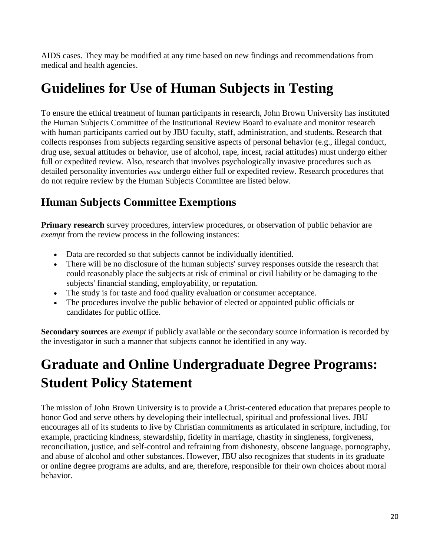AIDS cases. They may be modified at any time based on new findings and recommendations from medical and health agencies.

## **Guidelines for Use of Human Subjects in Testing**

To ensure the ethical treatment of human participants in research, John Brown University has instituted the Human Subjects Committee of the Institutional Review Board to evaluate and monitor research with human participants carried out by JBU faculty, staff, administration, and students. Research that collects responses from subjects regarding sensitive aspects of personal behavior (e.g., illegal conduct, drug use, sexual attitudes or behavior, use of alcohol, rape, incest, racial attitudes) must undergo either full or expedited review. Also, research that involves psychologically invasive procedures such as detailed personality inventories *must* undergo either full or expedited review. Research procedures that do not require review by the Human Subjects Committee are listed below.

### **Human Subjects Committee Exemptions**

**Primary research** survey procedures, interview procedures, or observation of public behavior are *exempt* from the review process in the following instances:

- Data are recorded so that subjects cannot be individually identified.
- There will be no disclosure of the human subjects' survey responses outside the research that could reasonably place the subjects at risk of criminal or civil liability or be damaging to the subjects' financial standing, employability, or reputation.
- The study is for taste and food quality evaluation or consumer acceptance.
- The procedures involve the public behavior of elected or appointed public officials or candidates for public office.

**Secondary sources** are *exempt* if publicly available or the secondary source information is recorded by the investigator in such a manner that subjects cannot be identified in any way.

## **Graduate and Online Undergraduate Degree Programs: Student Policy Statement**

The mission of John Brown University is to provide a Christ-centered education that prepares people to honor God and serve others by developing their intellectual, spiritual and professional lives. JBU encourages all of its students to live by Christian commitments as articulated in scripture, including, for example, practicing kindness, stewardship, fidelity in marriage, chastity in singleness, forgiveness, reconciliation, justice, and self-control and refraining from dishonesty, obscene language, pornography, and abuse of alcohol and other substances. However, JBU also recognizes that students in its graduate or online degree programs are adults, and are, therefore, responsible for their own choices about moral behavior.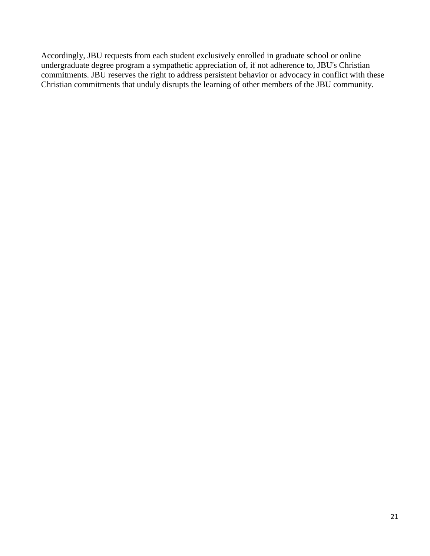Accordingly, JBU requests from each student exclusively enrolled in graduate school or online undergraduate degree program a sympathetic appreciation of, if not adherence to, JBU's Christian commitments. JBU reserves the right to address persistent behavior or advocacy in conflict with these Christian commitments that unduly disrupts the learning of other members of the JBU community.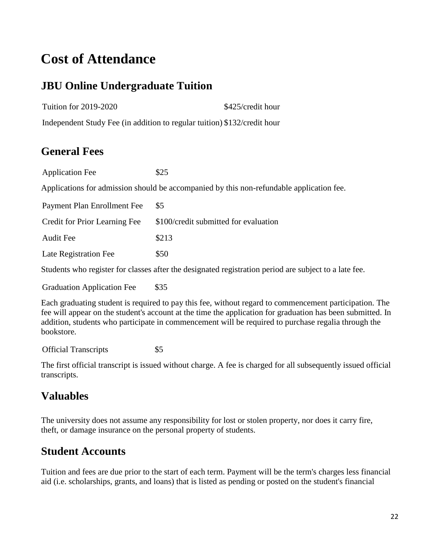## **Cost of Attendance**

### **JBU Online Undergraduate Tuition**

Tuition for 2019-2020 \$425/credit hour

Independent Study Fee (in addition to regular tuition) \$132/credit hour

#### **General Fees**

Application Fee \$25 Applications for admission should be accompanied by this non-refundable application fee. Payment Plan Enrollment Fee \$5 Credit for Prior Learning Fee \$100/credit submitted for evaluation Audit Fee \$213

Late Registration Fee \$50

Students who register for classes after the designated registration period are subject to a late fee.

Graduation Application Fee \$35

Each graduating student is required to pay this fee, without regard to commencement participation. The fee will appear on the student's account at the time the application for graduation has been submitted. In addition, students who participate in commencement will be required to purchase regalia through the bookstore.

Official Transcripts \$5

The first official transcript is issued without charge. A fee is charged for all subsequently issued official transcripts.

### **Valuables**

The university does not assume any responsibility for lost or stolen property, nor does it carry fire, theft, or damage insurance on the personal property of students.

### **Student Accounts**

Tuition and fees are due prior to the start of each term. Payment will be the term's charges less financial aid (i.e. scholarships, grants, and loans) that is listed as pending or posted on the student's financial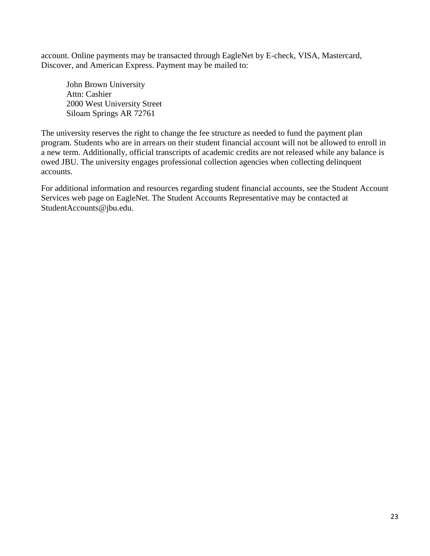account. Online payments may be transacted through EagleNet by E-check, VISA, Mastercard, Discover, and American Express. Payment may be mailed to:

John Brown University Attn: Cashier 2000 West University Street Siloam Springs AR 72761

The university reserves the right to change the fee structure as needed to fund the payment plan program. Students who are in arrears on their student financial account will not be allowed to enroll in a new term. Additionally, official transcripts of academic credits are not released while any balance is owed JBU. The university engages professional collection agencies when collecting delinquent accounts.

For additional information and resources regarding student financial accounts, see the Student Account Services web page on EagleNet. The Student Accounts Representative may be contacted at StudentAccounts@jbu.edu.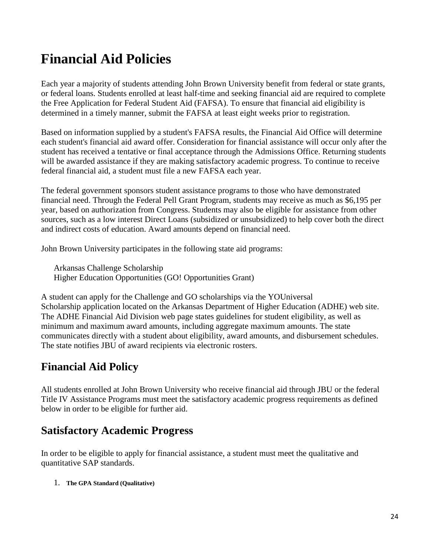## **Financial Aid Policies**

Each year a majority of students attending John Brown University benefit from federal or state grants, or federal loans. Students enrolled at least half-time and seeking financial aid are required to complete the Free Application for Federal Student Aid (FAFSA). To ensure that financial aid eligibility is determined in a timely manner, submit the FAFSA at least eight weeks prior to registration.

Based on information supplied by a student's FAFSA results, the Financial Aid Office will determine each student's financial aid award offer. Consideration for financial assistance will occur only after the student has received a tentative or final acceptance through the Admissions Office. Returning students will be awarded assistance if they are making satisfactory academic progress. To continue to receive federal financial aid, a student must file a new FAFSA each year.

The federal government sponsors student assistance programs to those who have demonstrated financial need. Through the Federal Pell Grant Program, students may receive as much as \$6,195 per year, based on authorization from Congress. Students may also be eligible for assistance from other sources, such as a low interest Direct Loans (subsidized or unsubsidized) to help cover both the direct and indirect costs of education. Award amounts depend on financial need.

John Brown University participates in the following state aid programs:

Arkansas Challenge Scholarship Higher Education Opportunities (GO! Opportunities Grant)

A student can apply for the Challenge and GO scholarships via the YOUniversal Scholarship application located on the Arkansas Department of Higher Education (ADHE) web site. The ADHE Financial Aid Division web page states guidelines for student eligibility, as well as minimum and maximum award amounts, including aggregate maximum amounts. The state communicates directly with a student about eligibility, award amounts, and disbursement schedules. The state notifies JBU of award recipients via electronic rosters.

### **Financial Aid Policy**

All students enrolled at John Brown University who receive financial aid through JBU or the federal Title IV Assistance Programs must meet the satisfactory academic progress requirements as defined below in order to be eligible for further aid.

#### **Satisfactory Academic Progress**

In order to be eligible to apply for financial assistance, a student must meet the qualitative and quantitative SAP standards.

1. **The GPA Standard (Qualitative)**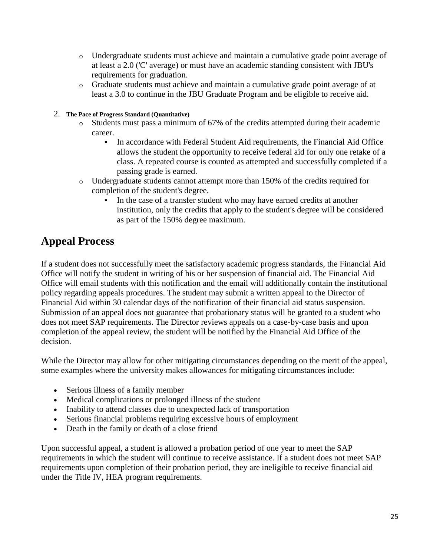- o Undergraduate students must achieve and maintain a cumulative grade point average of at least a 2.0 ('C' average) or must have an academic standing consistent with JBU's requirements for graduation.
- o Graduate students must achieve and maintain a cumulative grade point average of at least a 3.0 to continue in the JBU Graduate Program and be eligible to receive aid.
- 2. **The Pace of Progress Standard (Quantitative)**
	- o Students must pass a minimum of 67% of the credits attempted during their academic career.
		- In accordance with Federal Student Aid requirements, the Financial Aid Office allows the student the opportunity to receive federal aid for only one retake of a class. A repeated course is counted as attempted and successfully completed if a passing grade is earned.
	- o Undergraduate students cannot attempt more than 150% of the credits required for completion of the student's degree.
		- In the case of a transfer student who may have earned credits at another institution, only the credits that apply to the student's degree will be considered as part of the 150% degree maximum.

### **Appeal Process**

If a student does not successfully meet the satisfactory academic progress standards, the Financial Aid Office will notify the student in writing of his or her suspension of financial aid. The Financial Aid Office will email students with this notification and the email will additionally contain the institutional policy regarding appeals procedures. The student may submit a written appeal to the Director of Financial Aid within 30 calendar days of the notification of their financial aid status suspension. Submission of an appeal does not guarantee that probationary status will be granted to a student who does not meet SAP requirements. The Director reviews appeals on a case-by-case basis and upon completion of the appeal review, the student will be notified by the Financial Aid Office of the decision.

While the Director may allow for other mitigating circumstances depending on the merit of the appeal, some examples where the university makes allowances for mitigating circumstances include:

- Serious illness of a family member
- Medical complications or prolonged illness of the student
- Inability to attend classes due to unexpected lack of transportation
- Serious financial problems requiring excessive hours of employment
- Death in the family or death of a close friend

Upon successful appeal, a student is allowed a probation period of one year to meet the SAP requirements in which the student will continue to receive assistance. If a student does not meet SAP requirements upon completion of their probation period, they are ineligible to receive financial aid under the Title IV, HEA program requirements.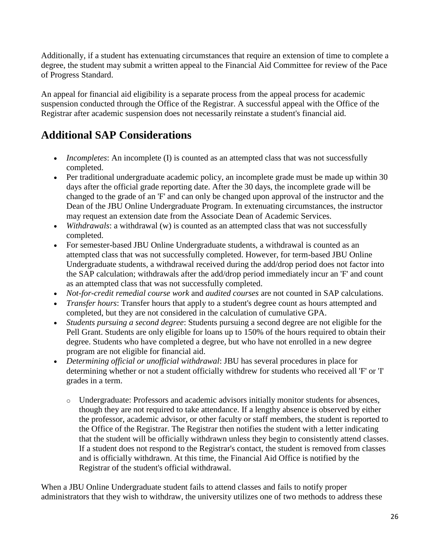Additionally, if a student has extenuating circumstances that require an extension of time to complete a degree, the student may submit a written appeal to the Financial Aid Committee for review of the Pace of Progress Standard.

An appeal for financial aid eligibility is a separate process from the appeal process for academic suspension conducted through the Office of the Registrar. A successful appeal with the Office of the Registrar after academic suspension does not necessarily reinstate a student's financial aid.

### **Additional SAP Considerations**

- *Incompletes*: An incomplete (I) is counted as an attempted class that was not successfully completed.
- Per traditional undergraduate academic policy, an incomplete grade must be made up within 30 days after the official grade reporting date. After the 30 days, the incomplete grade will be changed to the grade of an 'F' and can only be changed upon approval of the instructor and the Dean of the JBU Online Undergraduate Program. In extenuating circumstances, the instructor may request an extension date from the Associate Dean of Academic Services.
- *Withdrawals*: a withdrawal (w) is counted as an attempted class that was not successfully completed.
- For semester-based JBU Online Undergraduate students, a withdrawal is counted as an attempted class that was not successfully completed. However, for term-based JBU Online Undergraduate students, a withdrawal received during the add/drop period does not factor into the SAP calculation; withdrawals after the add/drop period immediately incur an 'F' and count as an attempted class that was not successfully completed.
- *Not-for-credit remedial course work* and *audited courses* are not counted in SAP calculations.
- *Transfer hours*: Transfer hours that apply to a student's degree count as hours attempted and completed, but they are not considered in the calculation of cumulative GPA.
- *Students pursuing a second degree*: Students pursuing a second degree are not eligible for the Pell Grant. Students are only eligible for loans up to 150% of the hours required to obtain their degree. Students who have completed a degree, but who have not enrolled in a new degree program are not eligible for financial aid.
- *Determining official or unofficial withdrawal*: JBU has several procedures in place for determining whether or not a student officially withdrew for students who received all 'F' or 'I' grades in a term.
	- o Undergraduate: Professors and academic advisors initially monitor students for absences, though they are not required to take attendance. If a lengthy absence is observed by either the professor, academic advisor, or other faculty or staff members, the student is reported to the Office of the Registrar. The Registrar then notifies the student with a letter indicating that the student will be officially withdrawn unless they begin to consistently attend classes. If a student does not respond to the Registrar's contact, the student is removed from classes and is officially withdrawn. At this time, the Financial Aid Office is notified by the Registrar of the student's official withdrawal.

When a JBU Online Undergraduate student fails to attend classes and fails to notify proper administrators that they wish to withdraw, the university utilizes one of two methods to address these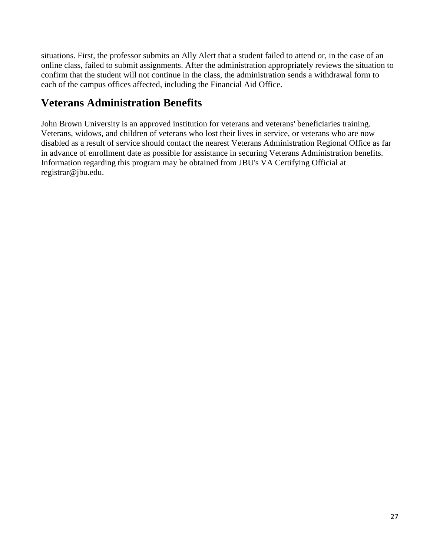situations. First, the professor submits an Ally Alert that a student failed to attend or, in the case of an online class, failed to submit assignments. After the administration appropriately reviews the situation to confirm that the student will not continue in the class, the administration sends a withdrawal form to each of the campus offices affected, including the Financial Aid Office.

### **Veterans Administration Benefits**

John Brown University is an approved institution for veterans and veterans' beneficiaries training. Veterans, widows, and children of veterans who lost their lives in service, or veterans who are now disabled as a result of service should contact the nearest Veterans Administration Regional Office as far in advance of enrollment date as possible for assistance in securing Veterans Administration benefits. Information regarding this program may be obtained from JBU's VA Certifying Official at registrar@jbu.edu.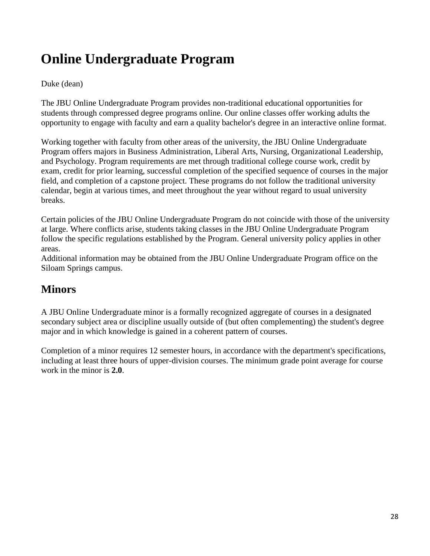## **Online Undergraduate Program**

#### Duke (dean)

The JBU Online Undergraduate Program provides non-traditional educational opportunities for students through compressed degree programs online. Our online classes offer working adults the opportunity to engage with faculty and earn a quality bachelor's degree in an interactive online format.

Working together with faculty from other areas of the university, the JBU Online Undergraduate Program offers majors in Business Administration, Liberal Arts, Nursing, Organizational Leadership, and Psychology. Program requirements are met through traditional college course work, credit by exam, credit for prior learning, successful completion of the specified sequence of courses in the major field, and completion of a capstone project. These programs do not follow the traditional university calendar, begin at various times, and meet throughout the year without regard to usual university breaks.

Certain policies of the JBU Online Undergraduate Program do not coincide with those of the university at large. Where conflicts arise, students taking classes in the JBU Online Undergraduate Program follow the specific regulations established by the Program. General university policy applies in other areas.

Additional information may be obtained from the JBU Online Undergraduate Program office on the Siloam Springs campus.

#### **Minors**

A JBU Online Undergraduate minor is a formally recognized aggregate of courses in a designated secondary subject area or discipline usually outside of (but often complementing) the student's degree major and in which knowledge is gained in a coherent pattern of courses.

Completion of a minor requires 12 semester hours, in accordance with the department's specifications, including at least three hours of upper-division courses. The minimum grade point average for course work in the minor is **2.0**.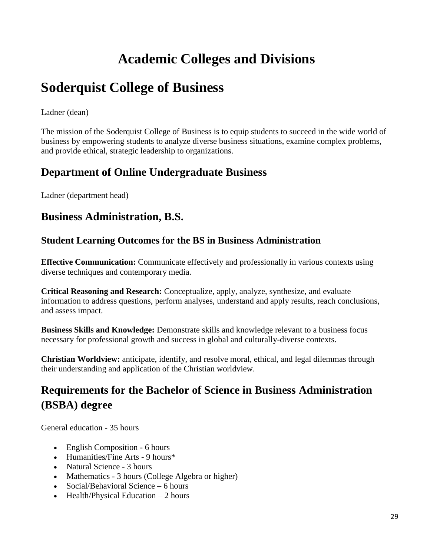## **Academic Colleges and Divisions**

## **Soderquist College of Business**

Ladner (dean)

The mission of the Soderquist College of Business is to equip students to succeed in the wide world of business by empowering students to analyze diverse business situations, examine complex problems, and provide ethical, strategic leadership to organizations.

#### **Department of Online Undergraduate Business**

Ladner (department head)

#### **Business Administration, B.S.**

#### **Student Learning Outcomes for the BS in Business Administration**

**Effective Communication:** Communicate effectively and professionally in various contexts using diverse techniques and contemporary media.

**Critical Reasoning and Research:** Conceptualize, apply, analyze, synthesize, and evaluate information to address questions, perform analyses, understand and apply results, reach conclusions, and assess impact.

**Business Skills and Knowledge:** Demonstrate skills and knowledge relevant to a business focus necessary for professional growth and success in global and culturally-diverse contexts.

**Christian Worldview:** anticipate, identify, and resolve moral, ethical, and legal dilemmas through their understanding and application of the Christian worldview.

### **Requirements for the Bachelor of Science in Business Administration (BSBA) degree**

General education - 35 hours

- English Composition 6 hours
- Humanities/Fine Arts 9 hours\*
- Natural Science 3 hours
- Mathematics 3 hours (College Algebra or higher)
- Social/Behavioral Science 6 hours
- $\bullet$  Health/Physical Education 2 hours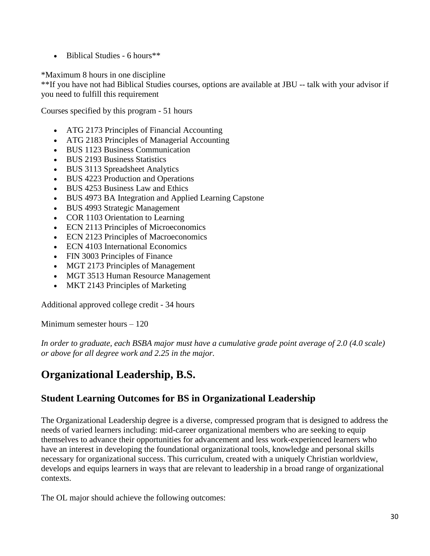$\bullet$  Biblical Studies - 6 hours<sup>\*\*</sup>

\*Maximum 8 hours in one discipline

\*\*If you have not had Biblical Studies courses, options are available at JBU -- talk with your advisor if you need to fulfill this requirement

Courses specified by this program - 51 hours

- ATG 2173 Principles of Financial Accounting
- ATG 2183 Principles of Managerial Accounting
- BUS 1123 Business Communication
- BUS 2193 Business Statistics
- BUS 3113 Spreadsheet Analytics
- BUS 4223 Production and Operations
- BUS 4253 Business Law and Ethics
- BUS 4973 BA Integration and Applied Learning Capstone
- BUS 4993 Strategic Management
- COR 1103 Orientation to Learning
- ECN 2113 Principles of Microeconomics
- ECN 2123 Principles of Macroeconomics
- ECN 4103 International Economics
- FIN 3003 Principles of Finance
- MGT 2173 Principles of Management
- MGT 3513 Human Resource Management
- MKT 2143 Principles of Marketing

Additional approved college credit - 34 hours

Minimum semester hours – 120

*In order to graduate, each BSBA major must have a cumulative grade point average of 2.0 (4.0 scale) or above for all degree work and 2.25 in the major.*

### **Organizational Leadership, B.S.**

#### **Student Learning Outcomes for BS in Organizational Leadership**

The Organizational Leadership degree is a diverse, compressed program that is designed to address the needs of varied learners including: mid-career organizational members who are seeking to equip themselves to advance their opportunities for advancement and less work-experienced learners who have an interest in developing the foundational organizational tools, knowledge and personal skills necessary for organizational success. This curriculum, created with a uniquely Christian worldview, develops and equips learners in ways that are relevant to leadership in a broad range of organizational contexts.

The OL major should achieve the following outcomes: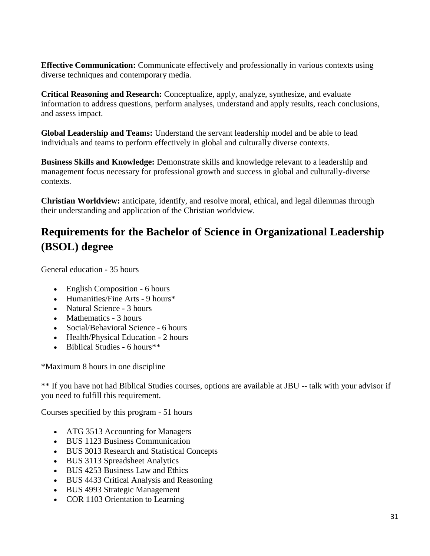**Effective Communication:** Communicate effectively and professionally in various contexts using diverse techniques and contemporary media.

**Critical Reasoning and Research:** Conceptualize, apply, analyze, synthesize, and evaluate information to address questions, perform analyses, understand and apply results, reach conclusions, and assess impact.

**Global Leadership and Teams:** Understand the servant leadership model and be able to lead individuals and teams to perform effectively in global and culturally diverse contexts.

**Business Skills and Knowledge:** Demonstrate skills and knowledge relevant to a leadership and management focus necessary for professional growth and success in global and culturally-diverse contexts.

**Christian Worldview:** anticipate, identify, and resolve moral, ethical, and legal dilemmas through their understanding and application of the Christian worldview.

## **Requirements for the Bachelor of Science in Organizational Leadership (BSOL) degree**

General education - 35 hours

- English Composition 6 hours
- Humanities/Fine Arts 9 hours\*
- Natural Science 3 hours
- Mathematics 3 hours
- Social/Behavioral Science 6 hours
- Health/Physical Education 2 hours
- $\bullet$  Biblical Studies 6 hours\*\*

\*Maximum 8 hours in one discipline

\*\* If you have not had Biblical Studies courses, options are available at JBU -- talk with your advisor if you need to fulfill this requirement.

Courses specified by this program - 51 hours

- ATG 3513 Accounting for Managers
- BUS 1123 Business Communication
- BUS 3013 Research and Statistical Concepts
- BUS 3113 Spreadsheet Analytics
- BUS 4253 Business Law and Ethics
- BUS 4433 Critical Analysis and Reasoning
- BUS 4993 Strategic Management
- COR 1103 Orientation to Learning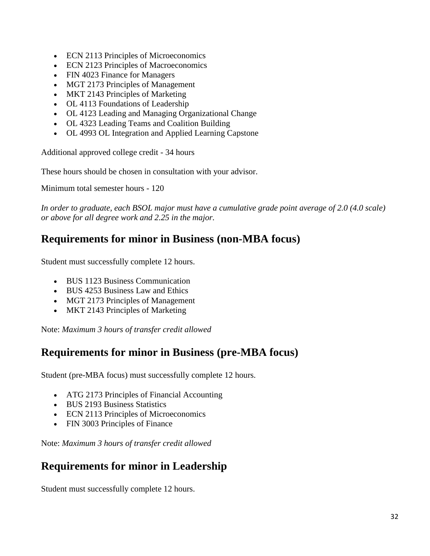- ECN 2113 Principles of Microeconomics
- ECN 2123 Principles of Macroeconomics
- FIN 4023 Finance for Managers
- MGT 2173 Principles of Management
- MKT 2143 Principles of Marketing
- OL 4113 Foundations of Leadership
- OL 4123 Leading and Managing Organizational Change
- OL 4323 Leading Teams and Coalition Building
- OL 4993 OL Integration and Applied Learning Capstone

Additional approved college credit - 34 hours

These hours should be chosen in consultation with your advisor.

Minimum total semester hours - 120

*In order to graduate, each BSOL major must have a cumulative grade point average of 2.0 (4.0 scale) or above for all degree work and 2.25 in the major.*

#### **Requirements for minor in Business (non-MBA focus)**

Student must successfully complete 12 hours.

- BUS 1123 Business Communication
- BUS 4253 Business Law and Ethics
- MGT 2173 Principles of Management
- MKT 2143 Principles of Marketing

Note: *Maximum 3 hours of transfer credit allowed*

#### **Requirements for minor in Business (pre-MBA focus)**

Student (pre-MBA focus) must successfully complete 12 hours.

- ATG 2173 Principles of Financial Accounting
- BUS 2193 Business Statistics
- ECN 2113 Principles of Microeconomics
- FIN 3003 Principles of Finance

Note: *Maximum 3 hours of transfer credit allowed*

#### **Requirements for minor in Leadership**

Student must successfully complete 12 hours.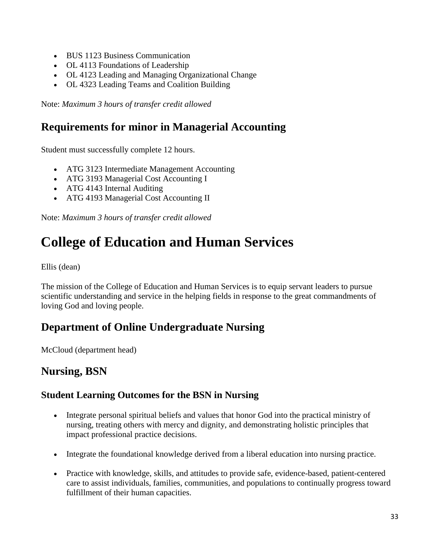- BUS 1123 Business Communication
- OL 4113 Foundations of Leadership
- OL 4123 Leading and Managing Organizational Change
- OL 4323 Leading Teams and Coalition Building

Note: *Maximum 3 hours of transfer credit allowed*

#### **Requirements for minor in Managerial Accounting**

Student must successfully complete 12 hours.

- ATG 3123 Intermediate Management Accounting
- ATG 3193 Managerial Cost Accounting I
- ATG 4143 Internal Auditing
- ATG 4193 Managerial Cost Accounting II

Note: *Maximum 3 hours of transfer credit allowed*

## **College of Education and Human Services**

Ellis (dean)

The mission of the College of Education and Human Services is to equip servant leaders to pursue scientific understanding and service in the helping fields in response to the great commandments of loving God and loving people.

#### **Department of Online Undergraduate Nursing**

McCloud (department head)

#### **Nursing, BSN**

#### **Student Learning Outcomes for the BSN in Nursing**

- Integrate personal spiritual beliefs and values that honor God into the practical ministry of nursing, treating others with mercy and dignity, and demonstrating holistic principles that impact professional practice decisions.
- Integrate the foundational knowledge derived from a liberal education into nursing practice.
- Practice with knowledge, skills, and attitudes to provide safe, evidence-based, patient-centered care to assist individuals, families, communities, and populations to continually progress toward fulfillment of their human capacities.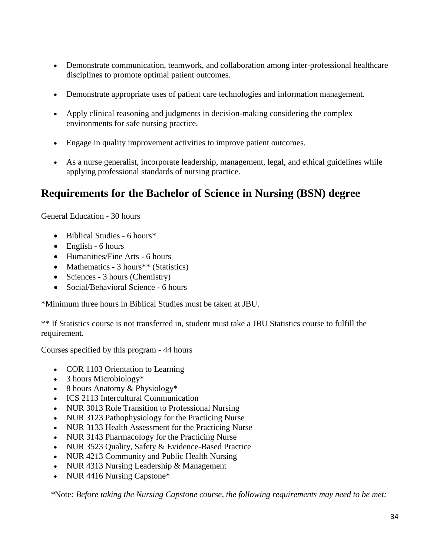- Demonstrate communication, teamwork, and collaboration among inter-professional healthcare disciplines to promote optimal patient outcomes.
- Demonstrate appropriate uses of patient care technologies and information management.
- Apply clinical reasoning and judgments in decision-making considering the complex environments for safe nursing practice.
- Engage in quality improvement activities to improve patient outcomes.
- As a nurse generalist, incorporate leadership, management, legal, and ethical guidelines while applying professional standards of nursing practice.

#### **Requirements for the Bachelor of Science in Nursing (BSN) degree**

General Education - 30 hours

- $\bullet$  Biblical Studies 6 hours\*
- English 6 hours
- Humanities/Fine Arts 6 hours
- Mathematics 3 hours<sup>\*\*</sup> (Statistics)
- Sciences 3 hours (Chemistry)
- Social/Behavioral Science 6 hours

\*Minimum three hours in Biblical Studies must be taken at JBU.

\*\* If Statistics course is not transferred in, student must take a JBU Statistics course to fulfill the requirement.

Courses specified by this program - 44 hours

- COR 1103 Orientation to Learning
- 3 hours Microbiology\*
- 8 hours Anatomy  $& Physiology*$
- ICS 2113 Intercultural Communication
- NUR 3013 Role Transition to Professional Nursing
- NUR 3123 Pathophysiology for the Practicing Nurse
- NUR 3133 Health Assessment for the Practicing Nurse
- NUR 3143 Pharmacology for the Practicing Nurse
- NUR 3523 Quality, Safety & Evidence-Based Practice
- NUR 4213 Community and Public Health Nursing
- NUR 4313 Nursing Leadership & Management
- NUR 4416 Nursing Capstone\*

*\**Note*: Before taking the Nursing Capstone course, the following requirements may need to be met:*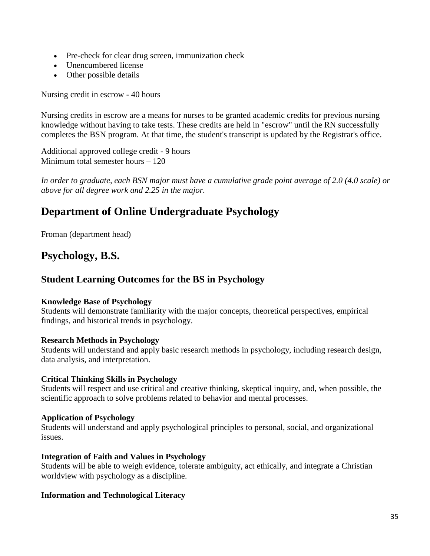- Pre-check for clear drug screen, immunization check
- Unencumbered license
- Other possible details

Nursing credit in escrow - 40 hours

Nursing credits in escrow are a means for nurses to be granted academic credits for previous nursing knowledge without having to take tests. These credits are held in "escrow" until the RN successfully completes the BSN program. At that time, the student's transcript is updated by the Registrar's office.

Additional approved college credit - 9 hours Minimum total semester hours – 120

*In order to graduate, each BSN major must have a cumulative grade point average of 2.0 (4.0 scale) or above for all degree work and 2.25 in the major.*

### **Department of Online Undergraduate Psychology**

Froman (department head)

#### **Psychology, B.S.**

#### **Student Learning Outcomes for the BS in Psychology**

#### **Knowledge Base of Psychology**

Students will demonstrate familiarity with the major concepts, theoretical perspectives, empirical findings, and historical trends in psychology.

#### **Research Methods in Psychology**

Students will understand and apply basic research methods in psychology, including research design, data analysis, and interpretation.

#### **Critical Thinking Skills in Psychology**

Students will respect and use critical and creative thinking, skeptical inquiry, and, when possible, the scientific approach to solve problems related to behavior and mental processes.

#### **Application of Psychology**

Students will understand and apply psychological principles to personal, social, and organizational issues.

#### **Integration of Faith and Values in Psychology**

Students will be able to weigh evidence, tolerate ambiguity, act ethically, and integrate a Christian worldview with psychology as a discipline.

#### **Information and Technological Literacy**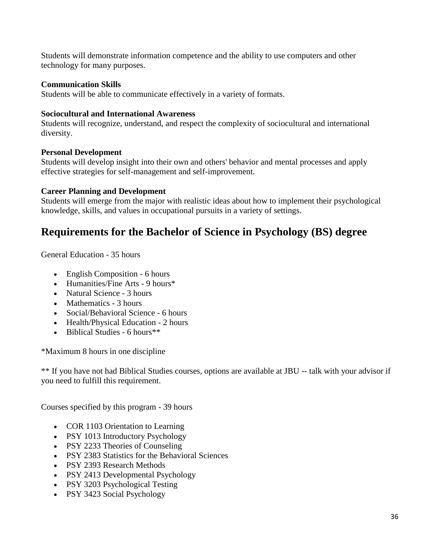Students will demonstrate information competence and the ability to use computers and other technology for many purposes.

#### **Communication Skills**

Students will be able to communicate effectively in a variety of formats.

#### **Sociocultural and International Awareness**

Students will recognize, understand, and respect the complexity of sociocultural and international diversity.

#### **Personal Development**

Students will develop insight into their own and others' behavior and mental processes and apply effective strategies for self-management and self-improvement.

#### **Career Planning and Development**

Students will emerge from the major with realistic ideas about how to implement their psychological knowledge, skills, and values in occupational pursuits in a variety of settings.

#### **Requirements for the Bachelor of Science in Psychology (BS) degree**

General Education - 35 hours

- English Composition 6 hours
- Humanities/Fine Arts 9 hours<sup>\*</sup>
- Natural Science 3 hours
- Mathematics 3 hours
- Social/Behavioral Science 6 hours
- Health/Physical Education 2 hours
- $\bullet$  Biblical Studies 6 hours\*\*

\*Maximum 8 hours in one discipline

\*\* If you have not had Biblical Studies courses, options are available at JBU -- talk with your advisor if you need to fulfill this requirement.

Courses specified by this program - 39 hours

- COR 1103 Orientation to Learning
- PSY 1013 Introductory Psychology
- PSY 2233 Theories of Counseling
- PSY 2383 Statistics for the Behavioral Sciences
- PSY 2393 Research Methods
- PSY 2413 Developmental Psychology
- PSY 3203 Psychological Testing
- PSY 3423 Social Psychology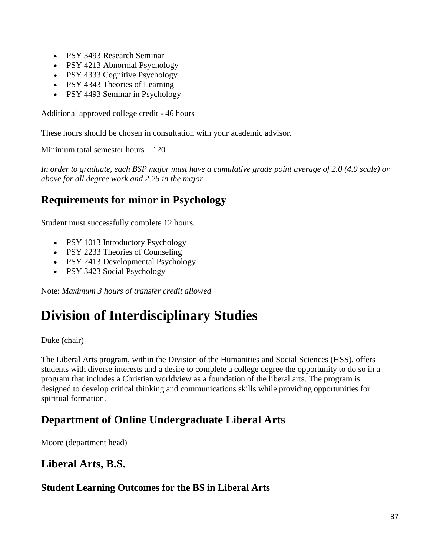- PSY 3493 Research Seminar
- PSY 4213 Abnormal Psychology
- PSY 4333 Cognitive Psychology
- PSY 4343 Theories of Learning
- PSY 4493 Seminar in Psychology

Additional approved college credit - 46 hours

These hours should be chosen in consultation with your academic advisor.

Minimum total semester hours – 120

*In order to graduate, each BSP major must have a cumulative grade point average of 2.0 (4.0 scale) or above for all degree work and 2.25 in the major.*

# **Requirements for minor in Psychology**

Student must successfully complete 12 hours.

- PSY 1013 Introductory Psychology
- PSY 2233 Theories of Counseling
- PSY 2413 Developmental Psychology
- PSY 3423 Social Psychology

Note: *Maximum 3 hours of transfer credit allowed*

# **Division of Interdisciplinary Studies**

Duke (chair)

The Liberal Arts program, within the Division of the Humanities and Social Sciences (HSS), offers students with diverse interests and a desire to complete a college degree the opportunity to do so in a program that includes a Christian worldview as a foundation of the liberal arts. The program is designed to develop critical thinking and communications skills while providing opportunities for spiritual formation.

# **Department of Online Undergraduate Liberal Arts**

Moore (department head)

# **Liberal Arts, B.S.**

# **Student Learning Outcomes for the BS in Liberal Arts**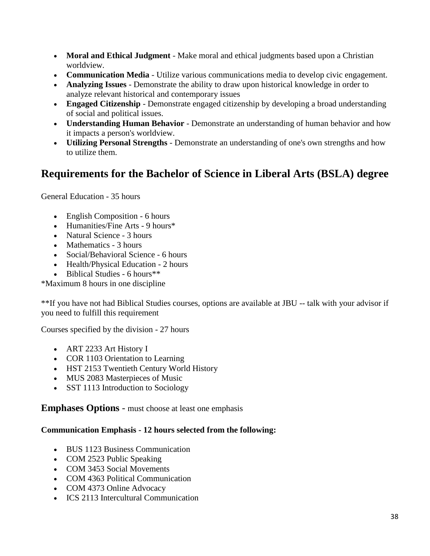- **Moral and Ethical Judgment** Make moral and ethical judgments based upon a Christian worldview.
- **Communication Media** Utilize various communications media to develop civic engagement.
- **Analyzing Issues** Demonstrate the ability to draw upon historical knowledge in order to analyze relevant historical and contemporary issues
- **Engaged Citizenship** Demonstrate engaged citizenship by developing a broad understanding of social and political issues.
- **Understanding Human Behavior** Demonstrate an understanding of human behavior and how it impacts a person's worldview.
- **Utilizing Personal Strengths** Demonstrate an understanding of one's own strengths and how to utilize them.

# **Requirements for the Bachelor of Science in Liberal Arts (BSLA) degree**

General Education - 35 hours

- English Composition 6 hours
- Humanities/Fine Arts 9 hours\*
- Natural Science 3 hours
- Mathematics 3 hours
- Social/Behavioral Science 6 hours
- Health/Physical Education 2 hours
- Biblical Studies 6 hours\*\*

\*Maximum 8 hours in one discipline

\*\*If you have not had Biblical Studies courses, options are available at JBU -- talk with your advisor if you need to fulfill this requirement

Courses specified by the division - 27 hours

- ART 2233 Art History I
- COR 1103 Orientation to Learning
- HST 2153 Twentieth Century World History
- MUS 2083 Masterpieces of Music
- SST 1113 Introduction to Sociology

**Emphases Options** - must choose at least one emphasis

#### **Communication Emphasis - 12 hours selected from the following:**

- BUS 1123 Business Communication
- COM 2523 Public Speaking
- COM 3453 Social Movements
- COM 4363 Political Communication
- COM 4373 Online Advocacy
- ICS 2113 Intercultural Communication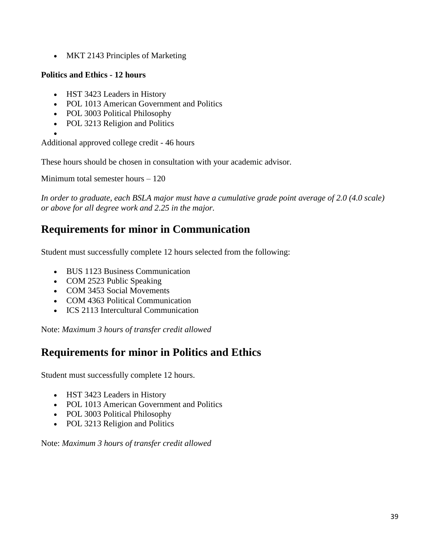• MKT 2143 Principles of Marketing

### **Politics and Ethics - 12 hours**

- HST 3423 Leaders in History
- POL 1013 American Government and Politics
- POL 3003 Political Philosophy
- POL 3213 Religion and Politics
- $\bullet$

Additional approved college credit - 46 hours

These hours should be chosen in consultation with your academic advisor.

Minimum total semester hours – 120

*In order to graduate, each BSLA major must have a cumulative grade point average of 2.0 (4.0 scale) or above for all degree work and 2.25 in the major.*

# **Requirements for minor in Communication**

Student must successfully complete 12 hours selected from the following:

- BUS 1123 Business Communication
- COM 2523 Public Speaking
- COM 3453 Social Movements
- COM 4363 Political Communication
- ICS 2113 Intercultural Communication

Note: *Maximum 3 hours of transfer credit allowed*

# **Requirements for minor in Politics and Ethics**

Student must successfully complete 12 hours.

- HST 3423 Leaders in History
- POL 1013 American Government and Politics
- POL 3003 Political Philosophy
- POL 3213 Religion and Politics

#### Note: *Maximum 3 hours of transfer credit allowed*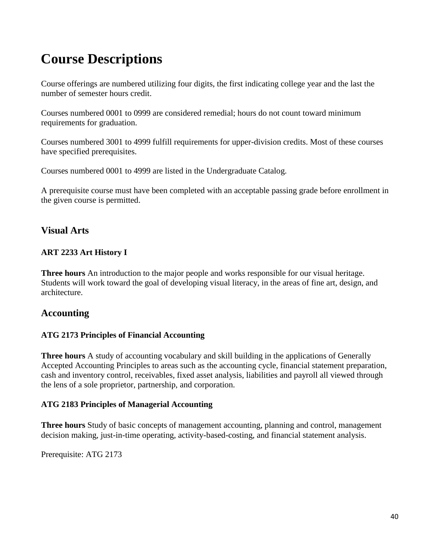# **Course Descriptions**

Course offerings are numbered utilizing four digits, the first indicating college year and the last the number of semester hours credit.

Courses numbered 0001 to 0999 are considered remedial; hours do not count toward minimum requirements for graduation.

Courses numbered 3001 to 4999 fulfill requirements for upper-division credits. Most of these courses have specified prerequisites.

Courses numbered 0001 to 4999 are listed in the Undergraduate Catalog.

A prerequisite course must have been completed with an acceptable passing grade before enrollment in the given course is permitted.

# **Visual Arts**

#### **ART 2233 Art History I**

**Three hours** An introduction to the major people and works responsible for our visual heritage. Students will work toward the goal of developing visual literacy, in the areas of fine art, design, and architecture.

# **Accounting**

#### **ATG 2173 Principles of Financial Accounting**

**Three hours** A study of accounting vocabulary and skill building in the applications of Generally Accepted Accounting Principles to areas such as the accounting cycle, financial statement preparation, cash and inventory control, receivables, fixed asset analysis, liabilities and payroll all viewed through the lens of a sole proprietor, partnership, and corporation.

#### **ATG 2183 Principles of Managerial Accounting**

**Three hours** Study of basic concepts of management accounting, planning and control, management decision making, just-in-time operating, activity-based-costing, and financial statement analysis.

Prerequisite: ATG 2173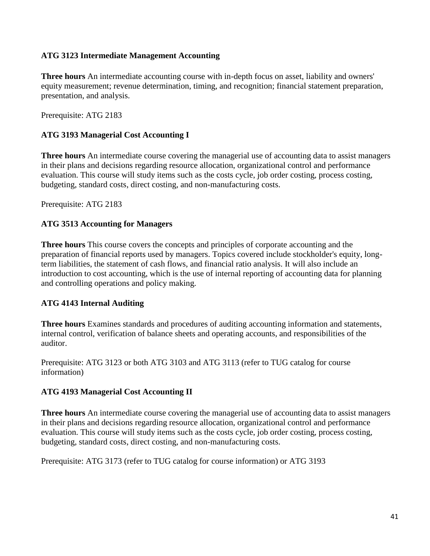#### **ATG 3123 Intermediate Management Accounting**

**Three hours** An intermediate accounting course with in-depth focus on asset, liability and owners' equity measurement; revenue determination, timing, and recognition; financial statement preparation, presentation, and analysis.

Prerequisite: ATG 2183

#### **ATG 3193 Managerial Cost Accounting I**

**Three hours** An intermediate course covering the managerial use of accounting data to assist managers in their plans and decisions regarding resource allocation, organizational control and performance evaluation. This course will study items such as the costs cycle, job order costing, process costing, budgeting, standard costs, direct costing, and non-manufacturing costs.

Prerequisite: ATG 2183

#### **ATG 3513 Accounting for Managers**

**Three hours** This course covers the concepts and principles of corporate accounting and the preparation of financial reports used by managers. Topics covered include stockholder's equity, longterm liabilities, the statement of cash flows, and financial ratio analysis. It will also include an introduction to cost accounting, which is the use of internal reporting of accounting data for planning and controlling operations and policy making.

#### **ATG 4143 Internal Auditing**

**Three hours** Examines standards and procedures of auditing accounting information and statements, internal control, verification of balance sheets and operating accounts, and responsibilities of the auditor.

Prerequisite: ATG 3123 or both ATG 3103 and ATG 3113 (refer to TUG catalog for course information)

#### **ATG 4193 Managerial Cost Accounting II**

**Three hours** An intermediate course covering the managerial use of accounting data to assist managers in their plans and decisions regarding resource allocation, organizational control and performance evaluation. This course will study items such as the costs cycle, job order costing, process costing, budgeting, standard costs, direct costing, and non-manufacturing costs.

Prerequisite: ATG 3173 (refer to TUG catalog for course information) or ATG 3193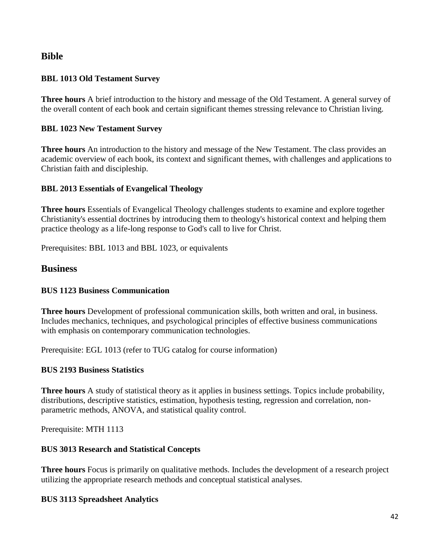### **Bible**

#### **BBL 1013 Old Testament Survey**

**Three hours** A brief introduction to the history and message of the Old Testament. A general survey of the overall content of each book and certain significant themes stressing relevance to Christian living.

#### **BBL 1023 New Testament Survey**

**Three hours** An introduction to the history and message of the New Testament. The class provides an academic overview of each book, its context and significant themes, with challenges and applications to Christian faith and discipleship.

#### **BBL 2013 Essentials of Evangelical Theology**

**Three hours** Essentials of Evangelical Theology challenges students to examine and explore together Christianity's essential doctrines by introducing them to theology's historical context and helping them practice theology as a life-long response to God's call to live for Christ.

Prerequisites: BBL 1013 and BBL 1023, or equivalents

#### **Business**

#### **BUS 1123 Business Communication**

**Three hours** Development of professional communication skills, both written and oral, in business. Includes mechanics, techniques, and psychological principles of effective business communications with emphasis on contemporary communication technologies.

Prerequisite: EGL 1013 (refer to TUG catalog for course information)

#### **BUS 2193 Business Statistics**

**Three hours** A study of statistical theory as it applies in business settings. Topics include probability, distributions, descriptive statistics, estimation, hypothesis testing, regression and correlation, nonparametric methods, ANOVA, and statistical quality control.

Prerequisite: MTH 1113

#### **BUS 3013 Research and Statistical Concepts**

**Three hours** Focus is primarily on qualitative methods. Includes the development of a research project utilizing the appropriate research methods and conceptual statistical analyses.

#### **BUS 3113 Spreadsheet Analytics**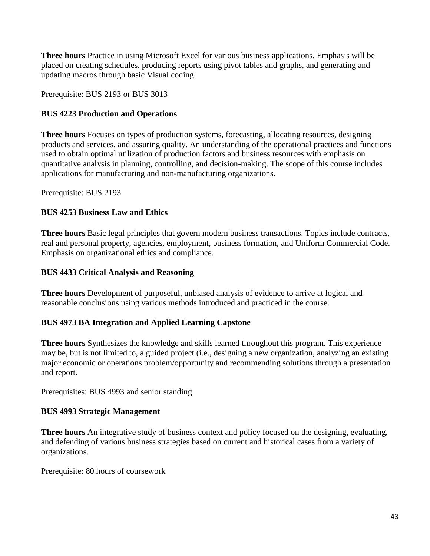**Three hours** Practice in using Microsoft Excel for various business applications. Emphasis will be placed on creating schedules, producing reports using pivot tables and graphs, and generating and updating macros through basic Visual coding.

Prerequisite: BUS 2193 or BUS 3013

#### **BUS 4223 Production and Operations**

**Three hours** Focuses on types of production systems, forecasting, allocating resources, designing products and services, and assuring quality. An understanding of the operational practices and functions used to obtain optimal utilization of production factors and business resources with emphasis on quantitative analysis in planning, controlling, and decision-making. The scope of this course includes applications for manufacturing and non-manufacturing organizations.

Prerequisite: BUS 2193

#### **BUS 4253 Business Law and Ethics**

**Three hours** Basic legal principles that govern modern business transactions. Topics include contracts, real and personal property, agencies, employment, business formation, and Uniform Commercial Code. Emphasis on organizational ethics and compliance.

#### **BUS 4433 Critical Analysis and Reasoning**

**Three hours** Development of purposeful, unbiased analysis of evidence to arrive at logical and reasonable conclusions using various methods introduced and practiced in the course.

#### **BUS 4973 BA Integration and Applied Learning Capstone**

**Three hours** Synthesizes the knowledge and skills learned throughout this program. This experience may be, but is not limited to, a guided project (i.e., designing a new organization, analyzing an existing major economic or operations problem/opportunity and recommending solutions through a presentation and report.

Prerequisites: BUS 4993 and senior standing

#### **BUS 4993 Strategic Management**

**Three hours** An integrative study of business context and policy focused on the designing, evaluating, and defending of various business strategies based on current and historical cases from a variety of organizations.

Prerequisite: 80 hours of coursework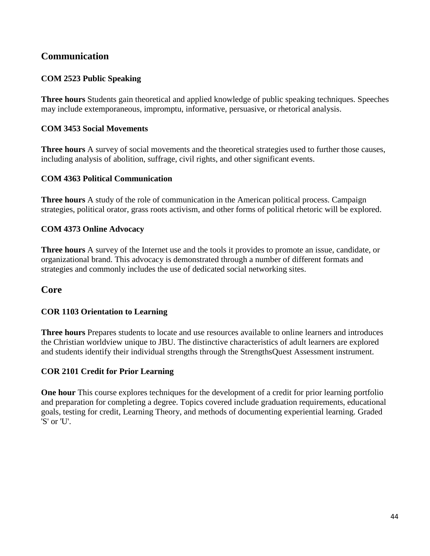# **Communication**

#### **COM 2523 Public Speaking**

**Three hours** Students gain theoretical and applied knowledge of public speaking techniques. Speeches may include extemporaneous, impromptu, informative, persuasive, or rhetorical analysis.

#### **COM 3453 Social Movements**

**Three hours** A survey of social movements and the theoretical strategies used to further those causes, including analysis of abolition, suffrage, civil rights, and other significant events.

#### **COM 4363 Political Communication**

**Three hours** A study of the role of communication in the American political process. Campaign strategies, political orator, grass roots activism, and other forms of political rhetoric will be explored.

#### **COM 4373 Online Advocacy**

**Three hours** A survey of the Internet use and the tools it provides to promote an issue, candidate, or organizational brand. This advocacy is demonstrated through a number of different formats and strategies and commonly includes the use of dedicated social networking sites.

#### **Core**

#### **COR 1103 Orientation to Learning**

**Three hours** Prepares students to locate and use resources available to online learners and introduces the Christian worldview unique to JBU. The distinctive characteristics of adult learners are explored and students identify their individual strengths through the StrengthsQuest Assessment instrument.

#### **COR 2101 Credit for Prior Learning**

**One hour** This course explores techniques for the development of a credit for prior learning portfolio and preparation for completing a degree. Topics covered include graduation requirements, educational goals, testing for credit, Learning Theory, and methods of documenting experiential learning. Graded 'S' or 'U'.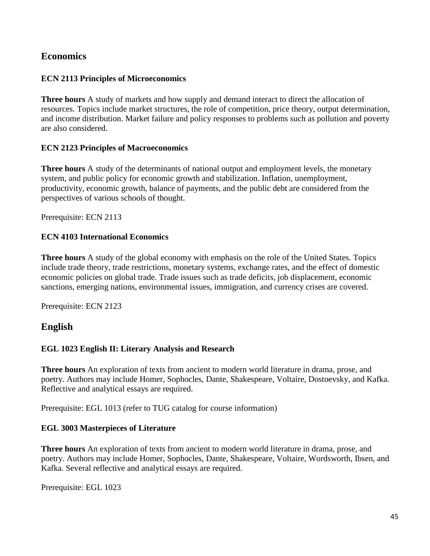### **Economics**

#### **ECN 2113 Principles of Microeconomics**

**Three hours** A study of markets and how supply and demand interact to direct the allocation of resources. Topics include market structures, the role of competition, price theory, output determination, and income distribution. Market failure and policy responses to problems such as pollution and poverty are also considered.

#### **ECN 2123 Principles of Macroeconomics**

**Three hours** A study of the determinants of national output and employment levels, the monetary system, and public policy for economic growth and stabilization. Inflation, unemployment, productivity, economic growth, balance of payments, and the public debt are considered from the perspectives of various schools of thought.

Prerequisite: ECN 2113

#### **ECN 4103 International Economics**

**Three hours** A study of the global economy with emphasis on the role of the United States. Topics include trade theory, trade restrictions, monetary systems, exchange rates, and the effect of domestic economic policies on global trade. Trade issues such as trade deficits, job displacement, economic sanctions, emerging nations, environmental issues, immigration, and currency crises are covered.

Prerequisite: ECN 2123

### **English**

#### **EGL 1023 English II: Literary Analysis and Research**

**Three hours** An exploration of texts from ancient to modern world literature in drama, prose, and poetry. Authors may include Homer, Sophocles, Dante, Shakespeare, Voltaire, Dostoevsky, and Kafka. Reflective and analytical essays are required.

Prerequisite: EGL 1013 (refer to TUG catalog for course information)

#### **EGL 3003 Masterpieces of Literature**

**Three hours** An exploration of texts from ancient to modern world literature in drama, prose, and poetry. Authors may include Homer, Sophocles, Dante, Shakespeare, Voltaire, Wordsworth, Ibsen, and Kafka. Several reflective and analytical essays are required.

Prerequisite: EGL 1023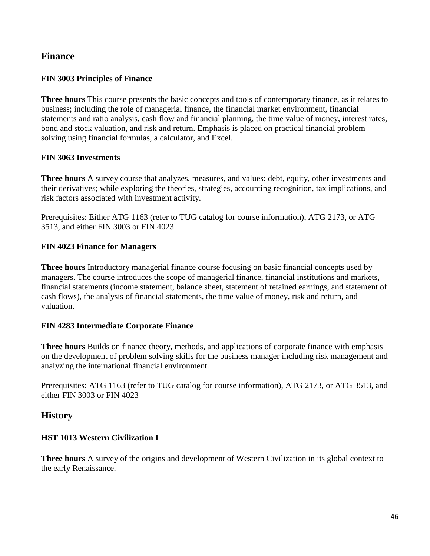### **Finance**

#### **FIN 3003 Principles of Finance**

**Three hours** This course presents the basic concepts and tools of contemporary finance, as it relates to business; including the role of managerial finance, the financial market environment, financial statements and ratio analysis, cash flow and financial planning, the time value of money, interest rates, bond and stock valuation, and risk and return. Emphasis is placed on practical financial problem solving using financial formulas, a calculator, and Excel.

#### **FIN 3063 Investments**

**Three hours** A survey course that analyzes, measures, and values: debt, equity, other investments and their derivatives; while exploring the theories, strategies, accounting recognition, tax implications, and risk factors associated with investment activity.

Prerequisites: Either ATG 1163 (refer to TUG catalog for course information), ATG 2173, or ATG 3513, and either FIN 3003 or FIN 4023

#### **FIN 4023 Finance for Managers**

**Three hours** Introductory managerial finance course focusing on basic financial concepts used by managers. The course introduces the scope of managerial finance, financial institutions and markets, financial statements (income statement, balance sheet, statement of retained earnings, and statement of cash flows), the analysis of financial statements, the time value of money, risk and return, and valuation.

#### **FIN 4283 Intermediate Corporate Finance**

**Three hours** Builds on finance theory, methods, and applications of corporate finance with emphasis on the development of problem solving skills for the business manager including risk management and analyzing the international financial environment.

Prerequisites: ATG 1163 (refer to TUG catalog for course information), ATG 2173, or ATG 3513, and either FIN 3003 or FIN 4023

### **History**

#### **HST 1013 Western Civilization I**

**Three hours** A survey of the origins and development of Western Civilization in its global context to the early Renaissance.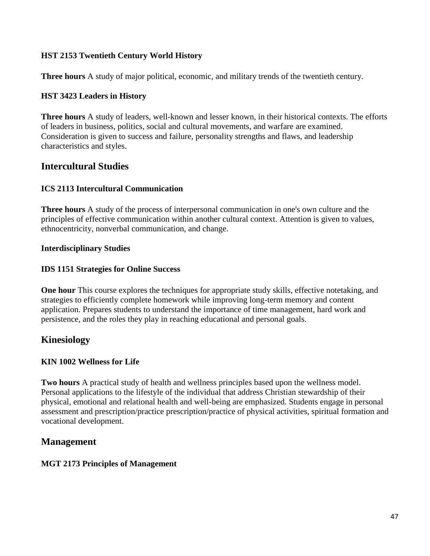#### **HST 2153 Twentieth Century World History**

**Three hours** A study of major political, economic, and military trends of the twentieth century.

#### **HST 3423 Leaders in History**

**Three hours** A study of leaders, well-known and lesser known, in their historical contexts. The efforts of leaders in business, politics, social and cultural movements, and warfare are examined. Consideration is given to success and failure, personality strengths and flaws, and leadership characteristics and styles.

### **Intercultural Studies**

#### **ICS 2113 Intercultural Communication**

**Three hours** A study of the process of interpersonal communication in one's own culture and the principles of effective communication within another cultural context. Attention is given to values, ethnocentricity, nonverbal communication, and change.

#### **Interdisciplinary Studies**

#### **IDS 1151 Strategies for Online Success**

**One hour** This course explores the techniques for appropriate study skills, effective notetaking, and strategies to efficiently complete homework while improving long-term memory and content application. Prepares students to understand the importance of time management, hard work and persistence, and the roles they play in reaching educational and personal goals.

### **Kinesiology**

#### **KIN 1002 Wellness for Life**

**Two hours** A practical study of health and wellness principles based upon the wellness model. Personal applications to the lifestyle of the individual that address Christian stewardship of their physical, emotional and relational health and well-being are emphasized. Students engage in personal assessment and prescription/practice prescription/practice of physical activities, spiritual formation and vocational development.

# **Management**

#### **MGT 2173 Principles of Management**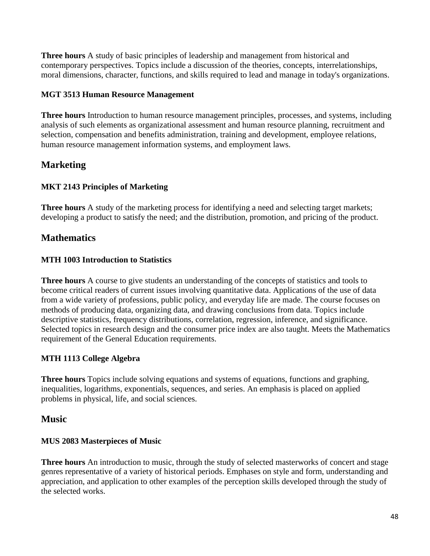**Three hours** A study of basic principles of leadership and management from historical and contemporary perspectives. Topics include a discussion of the theories, concepts, interrelationships, moral dimensions, character, functions, and skills required to lead and manage in today's organizations.

#### **MGT 3513 Human Resource Management**

**Three hours** Introduction to human resource management principles, processes, and systems, including analysis of such elements as organizational assessment and human resource planning, recruitment and selection, compensation and benefits administration, training and development, employee relations, human resource management information systems, and employment laws.

# **Marketing**

### **MKT 2143 Principles of Marketing**

**Three hours** A study of the marketing process for identifying a need and selecting target markets; developing a product to satisfy the need; and the distribution, promotion, and pricing of the product.

# **Mathematics**

#### **MTH 1003 Introduction to Statistics**

**Three hours** A course to give students an understanding of the concepts of statistics and tools to become critical readers of current issues involving quantitative data. Applications of the use of data from a wide variety of professions, public policy, and everyday life are made. The course focuses on methods of producing data, organizing data, and drawing conclusions from data. Topics include descriptive statistics, frequency distributions, correlation, regression, inference, and significance. Selected topics in research design and the consumer price index are also taught. Meets the Mathematics requirement of the General Education requirements.

### **MTH 1113 College Algebra**

**Three hours** Topics include solving equations and systems of equations, functions and graphing, inequalities, logarithms, exponentials, sequences, and series. An emphasis is placed on applied problems in physical, life, and social sciences.

### **Music**

#### **MUS 2083 Masterpieces of Music**

**Three hours** An introduction to music, through the study of selected masterworks of concert and stage genres representative of a variety of historical periods. Emphases on style and form, understanding and appreciation, and application to other examples of the perception skills developed through the study of the selected works.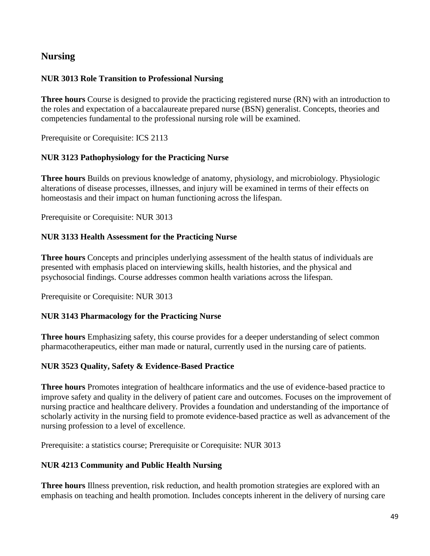# **Nursing**

#### **NUR 3013 Role Transition to Professional Nursing**

**Three hours** Course is designed to provide the practicing registered nurse (RN) with an introduction to the roles and expectation of a baccalaureate prepared nurse (BSN) generalist. Concepts, theories and competencies fundamental to the professional nursing role will be examined.

Prerequisite or Corequisite: ICS 2113

#### **NUR 3123 Pathophysiology for the Practicing Nurse**

**Three hours** Builds on previous knowledge of anatomy, physiology, and microbiology. Physiologic alterations of disease processes, illnesses, and injury will be examined in terms of their effects on homeostasis and their impact on human functioning across the lifespan.

Prerequisite or Corequisite: NUR 3013

#### **NUR 3133 Health Assessment for the Practicing Nurse**

**Three hours** Concepts and principles underlying assessment of the health status of individuals are presented with emphasis placed on interviewing skills, health histories, and the physical and psychosocial findings. Course addresses common health variations across the lifespan.

Prerequisite or Corequisite: NUR 3013

#### **NUR 3143 Pharmacology for the Practicing Nurse**

**Three hours** Emphasizing safety, this course provides for a deeper understanding of select common pharmacotherapeutics, either man made or natural, currently used in the nursing care of patients.

#### **NUR 3523 Quality, Safety & Evidence-Based Practice**

**Three hours** Promotes integration of healthcare informatics and the use of evidence-based practice to improve safety and quality in the delivery of patient care and outcomes. Focuses on the improvement of nursing practice and healthcare delivery. Provides a foundation and understanding of the importance of scholarly activity in the nursing field to promote evidence-based practice as well as advancement of the nursing profession to a level of excellence.

Prerequisite: a statistics course; Prerequisite or Corequisite: NUR 3013

#### **NUR 4213 Community and Public Health Nursing**

**Three hours** Illness prevention, risk reduction, and health promotion strategies are explored with an emphasis on teaching and health promotion. Includes concepts inherent in the delivery of nursing care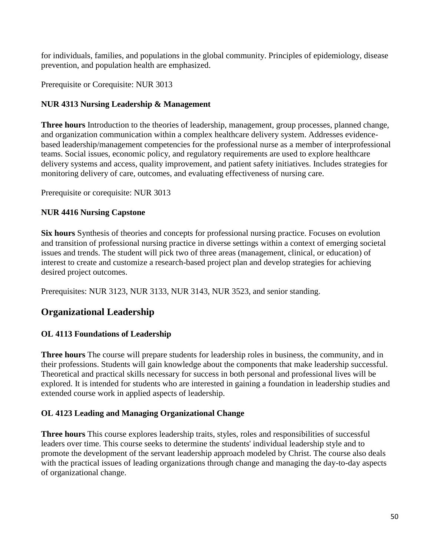for individuals, families, and populations in the global community. Principles of epidemiology, disease prevention, and population health are emphasized.

Prerequisite or Corequisite: NUR 3013

#### **NUR 4313 Nursing Leadership & Management**

**Three hours** Introduction to the theories of leadership, management, group processes, planned change, and organization communication within a complex healthcare delivery system. Addresses evidencebased leadership/management competencies for the professional nurse as a member of interprofessional teams. Social issues, economic policy, and regulatory requirements are used to explore healthcare delivery systems and access, quality improvement, and patient safety initiatives. Includes strategies for monitoring delivery of care, outcomes, and evaluating effectiveness of nursing care.

Prerequisite or corequisite: NUR 3013

#### **NUR 4416 Nursing Capstone**

**Six hours** Synthesis of theories and concepts for professional nursing practice. Focuses on evolution and transition of professional nursing practice in diverse settings within a context of emerging societal issues and trends. The student will pick two of three areas (management, clinical, or education) of interest to create and customize a research-based project plan and develop strategies for achieving desired project outcomes.

Prerequisites: NUR 3123, NUR 3133, NUR 3143, NUR 3523, and senior standing.

# **Organizational Leadership**

### **OL 4113 Foundations of Leadership**

**Three hours** The course will prepare students for leadership roles in business, the community, and in their professions. Students will gain knowledge about the components that make leadership successful. Theoretical and practical skills necessary for success in both personal and professional lives will be explored. It is intended for students who are interested in gaining a foundation in leadership studies and extended course work in applied aspects of leadership.

### **OL 4123 Leading and Managing Organizational Change**

**Three hours** This course explores leadership traits, styles, roles and responsibilities of successful leaders over time. This course seeks to determine the students' individual leadership style and to promote the development of the servant leadership approach modeled by Christ. The course also deals with the practical issues of leading organizations through change and managing the day-to-day aspects of organizational change.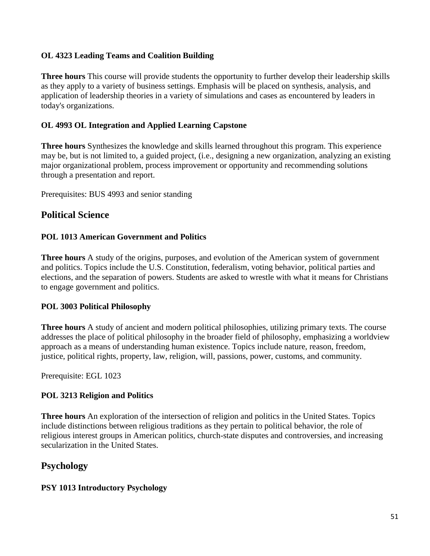#### **OL 4323 Leading Teams and Coalition Building**

**Three hours** This course will provide students the opportunity to further develop their leadership skills as they apply to a variety of business settings. Emphasis will be placed on synthesis, analysis, and application of leadership theories in a variety of simulations and cases as encountered by leaders in today's organizations.

#### **OL 4993 OL Integration and Applied Learning Capstone**

**Three hours** Synthesizes the knowledge and skills learned throughout this program. This experience may be, but is not limited to, a guided project, (i.e., designing a new organization, analyzing an existing major organizational problem, process improvement or opportunity and recommending solutions through a presentation and report.

Prerequisites: BUS 4993 and senior standing

### **Political Science**

#### **POL 1013 American Government and Politics**

**Three hours** A study of the origins, purposes, and evolution of the American system of government and politics. Topics include the U.S. Constitution, federalism, voting behavior, political parties and elections, and the separation of powers. Students are asked to wrestle with what it means for Christians to engage government and politics.

#### **POL 3003 Political Philosophy**

**Three hours** A study of ancient and modern political philosophies, utilizing primary texts. The course addresses the place of political philosophy in the broader field of philosophy, emphasizing a worldview approach as a means of understanding human existence. Topics include nature, reason, freedom, justice, political rights, property, law, religion, will, passions, power, customs, and community.

Prerequisite: EGL 1023

#### **POL 3213 Religion and Politics**

**Three hours** An exploration of the intersection of religion and politics in the United States. Topics include distinctions between religious traditions as they pertain to political behavior, the role of religious interest groups in American politics, church-state disputes and controversies, and increasing secularization in the United States.

# **Psychology**

#### **PSY 1013 Introductory Psychology**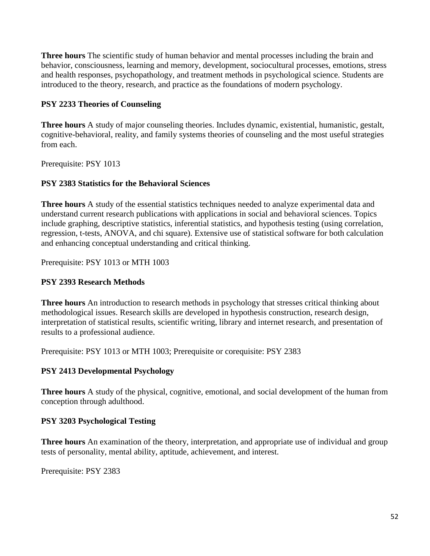**Three hours** The scientific study of human behavior and mental processes including the brain and behavior, consciousness, learning and memory, development, sociocultural processes, emotions, stress and health responses, psychopathology, and treatment methods in psychological science. Students are introduced to the theory, research, and practice as the foundations of modern psychology.

#### **PSY 2233 Theories of Counseling**

**Three hours** A study of major counseling theories. Includes dynamic, existential, humanistic, gestalt, cognitive-behavioral, reality, and family systems theories of counseling and the most useful strategies from each.

Prerequisite: PSY 1013

#### **PSY 2383 Statistics for the Behavioral Sciences**

**Three hours** A study of the essential statistics techniques needed to analyze experimental data and understand current research publications with applications in social and behavioral sciences. Topics include graphing, descriptive statistics, inferential statistics, and hypothesis testing (using correlation, regression, t-tests, ANOVA, and chi square). Extensive use of statistical software for both calculation and enhancing conceptual understanding and critical thinking.

Prerequisite: PSY 1013 or MTH 1003

### **PSY 2393 Research Methods**

**Three hours** An introduction to research methods in psychology that stresses critical thinking about methodological issues. Research skills are developed in hypothesis construction, research design, interpretation of statistical results, scientific writing, library and internet research, and presentation of results to a professional audience.

Prerequisite: PSY 1013 or MTH 1003; Prerequisite or corequisite: PSY 2383

### **PSY 2413 Developmental Psychology**

**Three hours** A study of the physical, cognitive, emotional, and social development of the human from conception through adulthood.

### **PSY 3203 Psychological Testing**

**Three hours** An examination of the theory, interpretation, and appropriate use of individual and group tests of personality, mental ability, aptitude, achievement, and interest.

Prerequisite: PSY 2383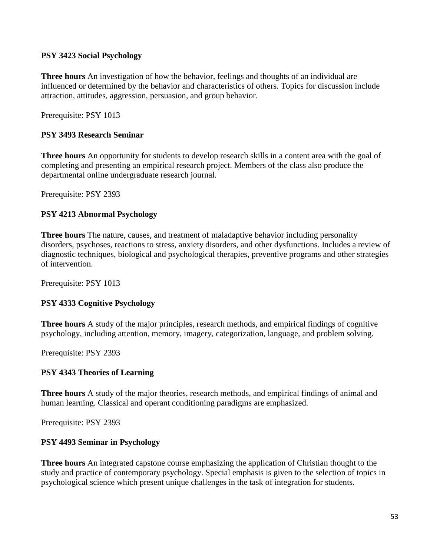#### **PSY 3423 Social Psychology**

**Three hours** An investigation of how the behavior, feelings and thoughts of an individual are influenced or determined by the behavior and characteristics of others. Topics for discussion include attraction, attitudes, aggression, persuasion, and group behavior.

Prerequisite: PSY 1013

#### **PSY 3493 Research Seminar**

**Three hours** An opportunity for students to develop research skills in a content area with the goal of completing and presenting an empirical research project. Members of the class also produce the departmental online undergraduate research journal.

Prerequisite: PSY 2393

#### **PSY 4213 Abnormal Psychology**

**Three hours** The nature, causes, and treatment of maladaptive behavior including personality disorders, psychoses, reactions to stress, anxiety disorders, and other dysfunctions. Includes a review of diagnostic techniques, biological and psychological therapies, preventive programs and other strategies of intervention.

Prerequisite: PSY 1013

#### **PSY 4333 Cognitive Psychology**

**Three hours** A study of the major principles, research methods, and empirical findings of cognitive psychology, including attention, memory, imagery, categorization, language, and problem solving.

Prerequisite: PSY 2393

#### **PSY 4343 Theories of Learning**

**Three hours** A study of the major theories, research methods, and empirical findings of animal and human learning. Classical and operant conditioning paradigms are emphasized.

Prerequisite: PSY 2393

#### **PSY 4493 Seminar in Psychology**

**Three hours** An integrated capstone course emphasizing the application of Christian thought to the study and practice of contemporary psychology. Special emphasis is given to the selection of topics in psychological science which present unique challenges in the task of integration for students.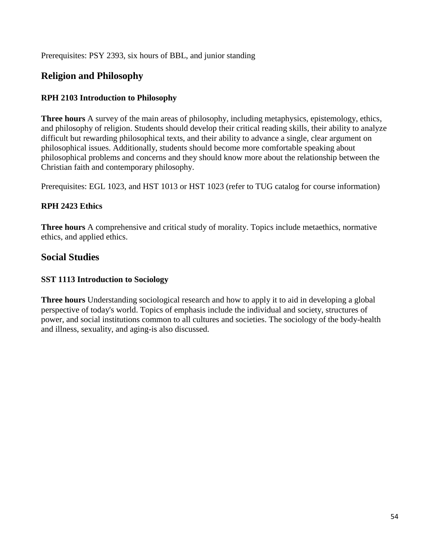Prerequisites: PSY 2393, six hours of BBL, and junior standing

# **Religion and Philosophy**

#### **RPH 2103 Introduction to Philosophy**

**Three hours** A survey of the main areas of philosophy, including metaphysics, epistemology, ethics, and philosophy of religion. Students should develop their critical reading skills, their ability to analyze difficult but rewarding philosophical texts, and their ability to advance a single, clear argument on philosophical issues. Additionally, students should become more comfortable speaking about philosophical problems and concerns and they should know more about the relationship between the Christian faith and contemporary philosophy.

Prerequisites: EGL 1023, and HST 1013 or HST 1023 (refer to TUG catalog for course information)

### **RPH 2423 Ethics**

**Three hours** A comprehensive and critical study of morality. Topics include metaethics, normative ethics, and applied ethics.

# **Social Studies**

#### **SST 1113 Introduction to Sociology**

**Three hours** Understanding sociological research and how to apply it to aid in developing a global perspective of today's world. Topics of emphasis include the individual and society, structures of power, and social institutions common to all cultures and societies. The sociology of the body-health and illness, sexuality, and aging-is also discussed.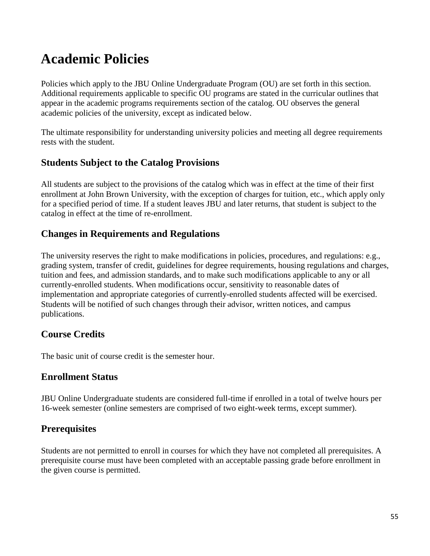# **Academic Policies**

Policies which apply to the JBU Online Undergraduate Program (OU) are set forth in this section. Additional requirements applicable to specific OU programs are stated in the curricular outlines that appear in the academic programs requirements section of the catalog. OU observes the general academic policies of the university, except as indicated below.

The ultimate responsibility for understanding university policies and meeting all degree requirements rests with the student.

# **Students Subject to the Catalog Provisions**

All students are subject to the provisions of the catalog which was in effect at the time of their first enrollment at John Brown University, with the exception of charges for tuition, etc., which apply only for a specified period of time. If a student leaves JBU and later returns, that student is subject to the catalog in effect at the time of re-enrollment.

# **Changes in Requirements and Regulations**

The university reserves the right to make modifications in policies, procedures, and regulations: e.g., grading system, transfer of credit, guidelines for degree requirements, housing regulations and charges, tuition and fees, and admission standards, and to make such modifications applicable to any or all currently-enrolled students. When modifications occur, sensitivity to reasonable dates of implementation and appropriate categories of currently-enrolled students affected will be exercised. Students will be notified of such changes through their advisor, written notices, and campus publications.

# **Course Credits**

The basic unit of course credit is the semester hour.

# **Enrollment Status**

JBU Online Undergraduate students are considered full-time if enrolled in a total of twelve hours per 16-week semester (online semesters are comprised of two eight-week terms, except summer).

# **Prerequisites**

Students are not permitted to enroll in courses for which they have not completed all prerequisites. A prerequisite course must have been completed with an acceptable passing grade before enrollment in the given course is permitted.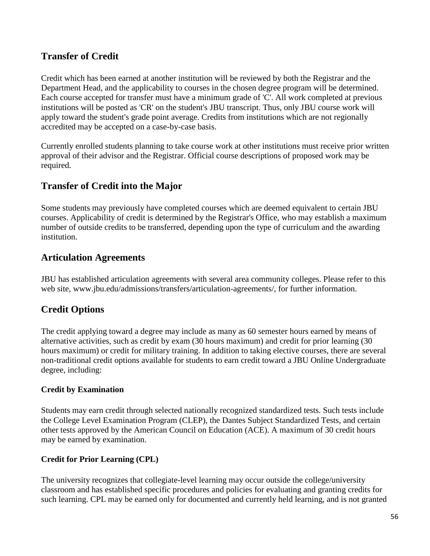# **Transfer of Credit**

Credit which has been earned at another institution will be reviewed by both the Registrar and the Department Head, and the applicability to courses in the chosen degree program will be determined. Each course accepted for transfer must have a minimum grade of 'C'. All work completed at previous institutions will be posted as 'CR' on the student's JBU transcript. Thus, only JBU course work will apply toward the student's grade point average. Credits from institutions which are not regionally accredited may be accepted on a case-by-case basis.

Currently enrolled students planning to take course work at other institutions must receive prior written approval of their advisor and the Registrar. Official course descriptions of proposed work may be required.

# **Transfer of Credit into the Major**

Some students may previously have completed courses which are deemed equivalent to certain JBU courses. Applicability of credit is determined by the Registrar's Office, who may establish a maximum number of outside credits to be transferred, depending upon the type of curriculum and the awarding institution.

# **Articulation Agreements**

JBU has established articulation agreements with several area community colleges. Please refer to this web site, www.jbu.edu/admissions/transfers/articulation-agreements/, for further information.

# **Credit Options**

The credit applying toward a degree may include as many as 60 semester hours earned by means of alternative activities, such as credit by exam (30 hours maximum) and credit for prior learning (30 hours maximum) or credit for military training. In addition to taking elective courses, there are several non-traditional credit options available for students to earn credit toward a JBU Online Undergraduate degree, including:

### **Credit by Examination**

Students may earn credit through selected nationally recognized standardized tests. Such tests include the College Level Examination Program (CLEP), the Dantes Subject Standardized Tests, and certain other tests approved by the American Council on Education (ACE). A maximum of 30 credit hours may be earned by examination.

### **Credit for Prior Learning (CPL)**

The university recognizes that collegiate-level learning may occur outside the college/university classroom and has established specific procedures and policies for evaluating and granting credits for such learning. CPL may be earned only for documented and currently held learning, and is not granted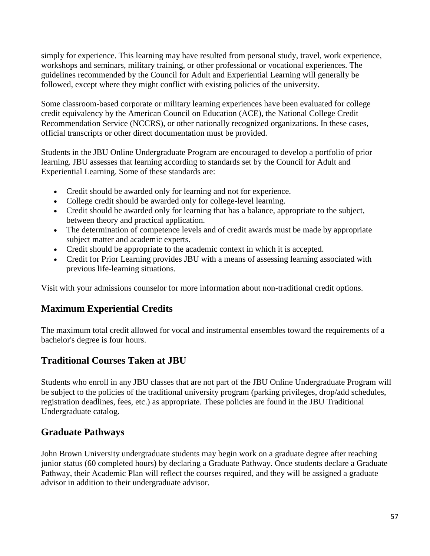simply for experience. This learning may have resulted from personal study, travel, work experience, workshops and seminars, military training, or other professional or vocational experiences. The guidelines recommended by the Council for Adult and Experiential Learning will generally be followed, except where they might conflict with existing policies of the university.

Some classroom-based corporate or military learning experiences have been evaluated for college credit equivalency by the American Council on Education (ACE), the National College Credit Recommendation Service (NCCRS), or other nationally recognized organizations. In these cases, official transcripts or other direct documentation must be provided.

Students in the JBU Online Undergraduate Program are encouraged to develop a portfolio of prior learning. JBU assesses that learning according to standards set by the Council for Adult and Experiential Learning. Some of these standards are:

- Credit should be awarded only for learning and not for experience.
- College credit should be awarded only for college-level learning.
- Credit should be awarded only for learning that has a balance, appropriate to the subject, between theory and practical application.
- The determination of competence levels and of credit awards must be made by appropriate subject matter and academic experts.
- Credit should be appropriate to the academic context in which it is accepted.
- Credit for Prior Learning provides JBU with a means of assessing learning associated with previous life-learning situations.

Visit with your admissions counselor for more information about non-traditional credit options.

# **Maximum Experiential Credits**

The maximum total credit allowed for vocal and instrumental ensembles toward the requirements of a bachelor's degree is four hours.

# **Traditional Courses Taken at JBU**

Students who enroll in any JBU classes that are not part of the JBU Online Undergraduate Program will be subject to the policies of the traditional university program (parking privileges, drop/add schedules, registration deadlines, fees, etc.) as appropriate. These policies are found in the JBU Traditional Undergraduate catalog.

# **Graduate Pathways**

John Brown University undergraduate students may begin work on a graduate degree after reaching junior status (60 completed hours) by declaring a Graduate Pathway. Once students declare a Graduate Pathway, their Academic Plan will reflect the courses required, and they will be assigned a graduate advisor in addition to their undergraduate advisor.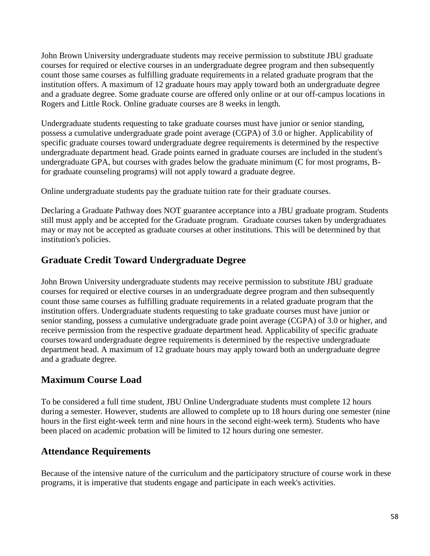John Brown University undergraduate students may receive permission to substitute JBU graduate courses for required or elective courses in an undergraduate degree program and then subsequently count those same courses as fulfilling graduate requirements in a related graduate program that the institution offers. A maximum of 12 graduate hours may apply toward both an undergraduate degree and a graduate degree. Some graduate course are offered only online or at our off-campus locations in Rogers and Little Rock. Online graduate courses are 8 weeks in length.

Undergraduate students requesting to take graduate courses must have junior or senior standing, possess a cumulative undergraduate grade point average (CGPA) of 3.0 or higher. Applicability of specific graduate courses toward undergraduate degree requirements is determined by the respective undergraduate department head. Grade points earned in graduate courses are included in the student's undergraduate GPA, but courses with grades below the graduate minimum (C for most programs, Bfor graduate counseling programs) will not apply toward a graduate degree.

Online undergraduate students pay the graduate tuition rate for their graduate courses.

Declaring a Graduate Pathway does NOT guarantee acceptance into a JBU graduate program. Students still must apply and be accepted for the Graduate program. Graduate courses taken by undergraduates may or may not be accepted as graduate courses at other institutions. This will be determined by that institution's policies.

# **Graduate Credit Toward Undergraduate Degree**

John Brown University undergraduate students may receive permission to substitute JBU graduate courses for required or elective courses in an undergraduate degree program and then subsequently count those same courses as fulfilling graduate requirements in a related graduate program that the institution offers. Undergraduate students requesting to take graduate courses must have junior or senior standing, possess a cumulative undergraduate grade point average (CGPA) of 3.0 or higher, and receive permission from the respective graduate department head. Applicability of specific graduate courses toward undergraduate degree requirements is determined by the respective undergraduate department head. A maximum of 12 graduate hours may apply toward both an undergraduate degree and a graduate degree.

# **Maximum Course Load**

To be considered a full time student, JBU Online Undergraduate students must complete 12 hours during a semester. However, students are allowed to complete up to 18 hours during one semester (nine hours in the first eight-week term and nine hours in the second eight-week term). Students who have been placed on academic probation will be limited to 12 hours during one semester.

# **Attendance Requirements**

Because of the intensive nature of the curriculum and the participatory structure of course work in these programs, it is imperative that students engage and participate in each week's activities.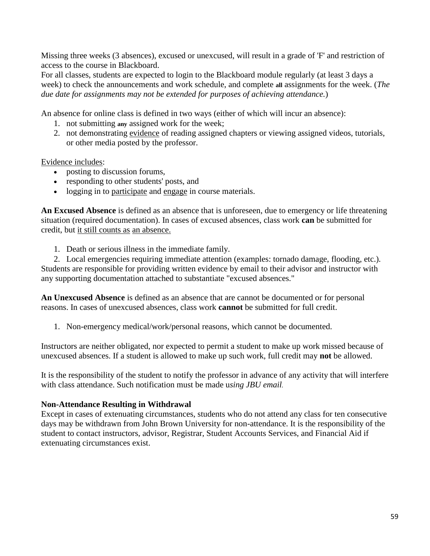Missing three weeks (3 absences), excused or unexcused, will result in a grade of 'F' and restriction of access to the course in Blackboard.

For all classes, students are expected to login to the Blackboard module regularly (at least 3 days a week) to check the announcements and work schedule, and complete **all** assignments for the week. (*The due date for assignments may not be extended for purposes of achieving attendance.*)

An absence for online class is defined in two ways (either of which will incur an absence):

- 1. not submitting **any** assigned work for the week;
- 2. not demonstrating evidence of reading assigned chapters or viewing assigned videos, tutorials, or other media posted by the professor.

Evidence includes:

- posting to discussion forums,
- responding to other students' posts, and
- logging in to participate and engage in course materials.

**An Excused Absence** is defined as an absence that is unforeseen, due to emergency or life threatening situation (required documentation). In cases of excused absences, class work **can** be submitted for credit, but it still counts as an absence.

1. Death or serious illness in the immediate family.

2. Local emergencies requiring immediate attention (examples: tornado damage, flooding, etc.). Students are responsible for providing written evidence by email to their advisor and instructor with any supporting documentation attached to substantiate "excused absences."

**An Unexcused Absence** is defined as an absence that are cannot be documented or for personal reasons. In cases of unexcused absences, class work **cannot** be submitted for full credit.

1. Non-emergency medical/work/personal reasons, which cannot be documented.

Instructors are neither obligated, nor expected to permit a student to make up work missed because of unexcused absences. If a student is allowed to make up such work, full credit may **not** be allowed.

It is the responsibility of the student to notify the professor in advance of any activity that will interfere with class attendance. Such notification must be made u*sing JBU email.*

#### **Non-Attendance Resulting in Withdrawal**

Except in cases of extenuating circumstances, students who do not attend any class for ten consecutive days may be withdrawn from John Brown University for non-attendance. It is the responsibility of the student to contact instructors, advisor, Registrar, Student Accounts Services, and Financial Aid if extenuating circumstances exist.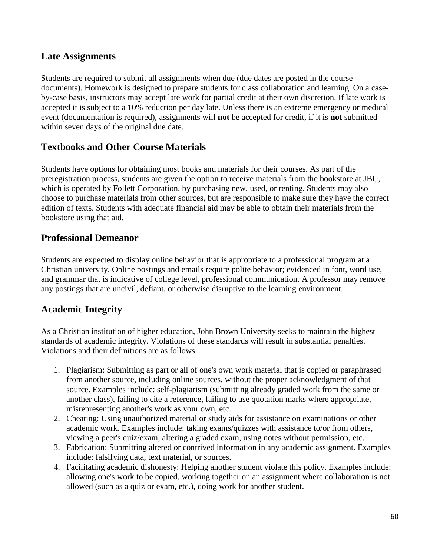# **Late Assignments**

Students are required to submit all assignments when due (due dates are posted in the course documents). Homework is designed to prepare students for class collaboration and learning. On a caseby-case basis, instructors may accept late work for partial credit at their own discretion. If late work is accepted it is subject to a 10% reduction per day late. Unless there is an extreme emergency or medical event (documentation is required), assignments will **not** be accepted for credit, if it is **not** submitted within seven days of the original due date.

# **Textbooks and Other Course Materials**

Students have options for obtaining most books and materials for their courses. As part of the preregistration process, students are given the option to receive materials from the bookstore at JBU, which is operated by Follett Corporation, by purchasing new, used, or renting. Students may also choose to purchase materials from other sources, but are responsible to make sure they have the correct edition of texts. Students with adequate financial aid may be able to obtain their materials from the bookstore using that aid.

# **Professional Demeanor**

Students are expected to display online behavior that is appropriate to a professional program at a Christian university. Online postings and emails require polite behavior; evidenced in font, word use, and grammar that is indicative of college level, professional communication. A professor may remove any postings that are uncivil, defiant, or otherwise disruptive to the learning environment.

# **Academic Integrity**

As a Christian institution of higher education, John Brown University seeks to maintain the highest standards of academic integrity. Violations of these standards will result in substantial penalties. Violations and their definitions are as follows:

- 1. Plagiarism: Submitting as part or all of one's own work material that is copied or paraphrased from another source, including online sources, without the proper acknowledgment of that source. Examples include: self-plagiarism (submitting already graded work from the same or another class), failing to cite a reference, failing to use quotation marks where appropriate, misrepresenting another's work as your own, etc.
- 2. Cheating: Using unauthorized material or study aids for assistance on examinations or other academic work. Examples include: taking exams/quizzes with assistance to/or from others, viewing a peer's quiz/exam, altering a graded exam, using notes without permission, etc.
- 3. Fabrication: Submitting altered or contrived information in any academic assignment. Examples include: falsifying data, text material, or sources.
- 4. Facilitating academic dishonesty: Helping another student violate this policy. Examples include: allowing one's work to be copied, working together on an assignment where collaboration is not allowed (such as a quiz or exam, etc.), doing work for another student.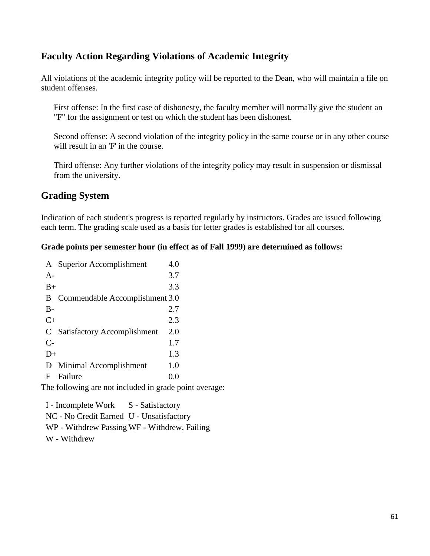# **Faculty Action Regarding Violations of Academic Integrity**

All violations of the academic integrity policy will be reported to the Dean, who will maintain a file on student offenses.

First offense: In the first case of dishonesty, the faculty member will normally give the student an "F" for the assignment or test on which the student has been dishonest.

Second offense: A second violation of the integrity policy in the same course or in any other course will result in an 'F' in the course.

Third offense: Any further violations of the integrity policy may result in suspension or dismissal from the university.

# **Grading System**

Indication of each student's progress is reported regularly by instructors. Grades are issued following each term. The grading scale used as a basis for letter grades is established for all courses.

#### **Grade points per semester hour (in effect as of Fall 1999) are determined as follows:**

|       | A Superior Accomplishment      | 4.0 |
|-------|--------------------------------|-----|
| $A -$ |                                | 3.7 |
| $B+$  |                                | 3.3 |
| B     | Commendable Accomplishment 3.0 |     |
| $B-$  |                                | 2.7 |
| $C+$  |                                | 2.3 |
|       | C Satisfactory Accomplishment  | 2.0 |
| $C-$  |                                | 1.7 |
| $D+$  |                                | 1.3 |
| D     | Minimal Accomplishment         | 1.0 |
| F     | Failure                        | 0.0 |
| - 1   | $\sim$ 11<br>.                 |     |

The following are not included in grade point average:

I - Incomplete Work S - Satisfactory NC - No Credit Earned U - Unsatisfactory WP - Withdrew Passing WF - Withdrew, Failing W - Withdrew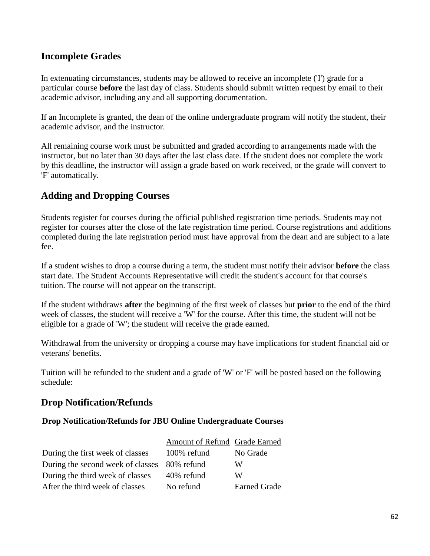# **Incomplete Grades**

In extenuating circumstances, students may be allowed to receive an incomplete ('I') grade for a particular course **before** the last day of class. Students should submit written request by email to their academic advisor, including any and all supporting documentation.

If an Incomplete is granted, the dean of the online undergraduate program will notify the student, their academic advisor, and the instructor.

All remaining course work must be submitted and graded according to arrangements made with the instructor, but no later than 30 days after the last class date. If the student does not complete the work by this deadline, the instructor will assign a grade based on work received, or the grade will convert to 'F' automatically.

# **Adding and Dropping Courses**

Students register for courses during the official published registration time periods. Students may not register for courses after the close of the late registration time period. Course registrations and additions completed during the late registration period must have approval from the dean and are subject to a late fee.

If a student wishes to drop a course during a term, the student must notify their advisor **before** the class start date. The Student Accounts Representative will credit the student's account for that course's tuition. The course will not appear on the transcript.

If the student withdraws **after** the beginning of the first week of classes but **prior** to the end of the third week of classes, the student will receive a 'W' for the course. After this time, the student will not be eligible for a grade of 'W'; the student will receive the grade earned.

Withdrawal from the university or dropping a course may have implications for student financial aid or veterans' benefits.

Tuition will be refunded to the student and a grade of 'W' or 'F' will be posted based on the following schedule:

# **Drop Notification/Refunds**

**Drop Notification/Refunds for JBU Online Undergraduate Courses**

|                                              | Amount of Refund Grade Earned |                     |
|----------------------------------------------|-------------------------------|---------------------|
| During the first week of classes             | 100% refund                   | No Grade            |
| During the second week of classes 80% refund |                               | W                   |
| During the third week of classes             | 40% refund                    | W                   |
| After the third week of classes              | No refund                     | <b>Earned Grade</b> |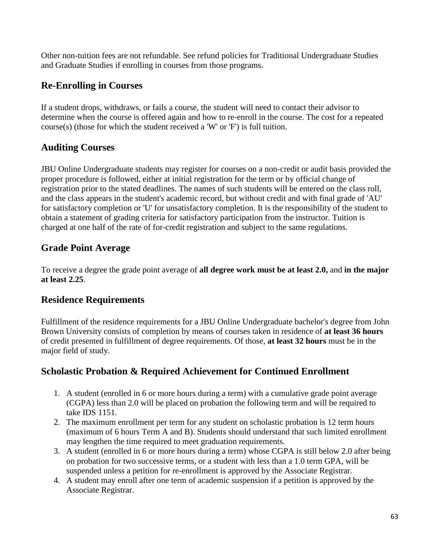Other non-tuition fees are not refundable. See refund policies for Traditional Undergraduate Studies and Graduate Studies if enrolling in courses from those programs.

# **Re-Enrolling in Courses**

If a student drops, withdraws, or fails a course, the student will need to contact their advisor to determine when the course is offered again and how to re-enroll in the course. The cost for a repeated course(s) (those for which the student received a 'W' or 'F') is full tuition.

# **Auditing Courses**

JBU Online Undergraduate students may register for courses on a non-credit or audit basis provided the proper procedure is followed, either at initial registration for the term or by official change of registration prior to the stated deadlines. The names of such students will be entered on the class roll, and the class appears in the student's academic record, but without credit and with final grade of 'AU' for satisfactory completion or 'U' for unsatisfactory completion. It is the responsibility of the student to obtain a statement of grading criteria for satisfactory participation from the instructor. Tuition is charged at one half of the rate of for-credit registration and subject to the same regulations.

# **Grade Point Average**

To receive a degree the grade point average of **all degree work must be at least 2.0,** and **in the major at least 2.25**.

# **Residence Requirements**

Fulfillment of the residence requirements for a JBU Online Undergraduate bachelor's degree from John Brown University consists of completion by means of courses taken in residence of **at least 36 hours** of credit presented in fulfillment of degree requirements. Of those, **at least 32 hours** must be in the major field of study.

# **Scholastic Probation & Required Achievement for Continued Enrollment**

- 1. A student (enrolled in 6 or more hours during a term) with a cumulative grade point average (CGPA) less than 2.0 will be placed on probation the following term and will be required to take IDS 1151.
- 2. The maximum enrollment per term for any student on scholastic probation is 12 term hours (maximum of 6 hours Term A and B). Students should understand that such limited enrollment may lengthen the time required to meet graduation requirements.
- 3. A student (enrolled in 6 or more hours during a term) whose CGPA is still below 2.0 after being on probation for two successive terms, or a student with less than a 1.0 term GPA, will be suspended unless a petition for re-enrollment is approved by the Associate Registrar.
- 4. A student may enroll after one term of academic suspension if a petition is approved by the Associate Registrar.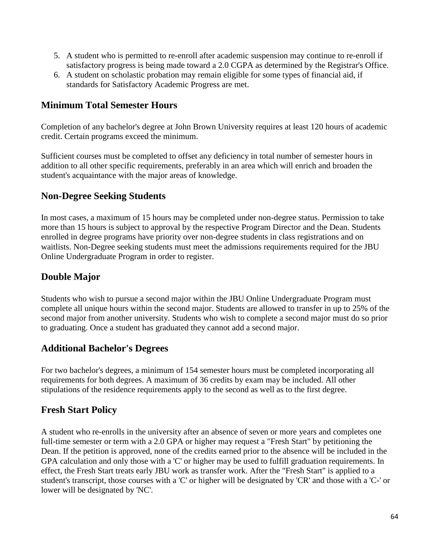- 5. A student who is permitted to re-enroll after academic suspension may continue to re-enroll if satisfactory progress is being made toward a 2.0 CGPA as determined by the Registrar's Office.
- 6. A student on scholastic probation may remain eligible for some types of financial aid, if standards for Satisfactory Academic Progress are met.

### **Minimum Total Semester Hours**

Completion of any bachelor's degree at John Brown University requires at least 120 hours of academic credit. Certain programs exceed the minimum.

Sufficient courses must be completed to offset any deficiency in total number of semester hours in addition to all other specific requirements, preferably in an area which will enrich and broaden the student's acquaintance with the major areas of knowledge.

# **Non-Degree Seeking Students**

In most cases, a maximum of 15 hours may be completed under non-degree status. Permission to take more than 15 hours is subject to approval by the respective Program Director and the Dean. Students enrolled in degree programs have priority over non-degree students in class registrations and on waitlists. Non-Degree seeking students must meet the admissions requirements required for the JBU Online Undergraduate Program in order to register.

# **Double Major**

Students who wish to pursue a second major within the JBU Online Undergraduate Program must complete all unique hours within the second major. Students are allowed to transfer in up to 25% of the second major from another university. Students who wish to complete a second major must do so prior to graduating. Once a student has graduated they cannot add a second major.

# **Additional Bachelor's Degrees**

For two bachelor's degrees, a minimum of 154 semester hours must be completed incorporating all requirements for both degrees. A maximum of 36 credits by exam may be included. All other stipulations of the residence requirements apply to the second as well as to the first degree.

# **Fresh Start Policy**

A student who re-enrolls in the university after an absence of seven or more years and completes one full-time semester or term with a 2.0 GPA or higher may request a "Fresh Start" by petitioning the Dean. If the petition is approved, none of the credits earned prior to the absence will be included in the GPA calculation and only those with a 'C' or higher may be used to fulfill graduation requirements. In effect, the Fresh Start treats early JBU work as transfer work. After the "Fresh Start" is applied to a student's transcript, those courses with a 'C' or higher will be designated by 'CR' and those with a 'C-' or lower will be designated by 'NC'.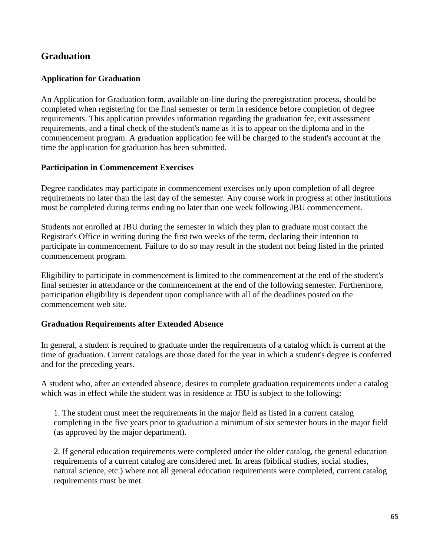# **Graduation**

#### **Application for Graduation**

An Application for Graduation form, available on-line during the preregistration process, should be completed when registering for the final semester or term in residence before completion of degree requirements. This application provides information regarding the graduation fee, exit assessment requirements, and a final check of the student's name as it is to appear on the diploma and in the commencement program. A graduation application fee will be charged to the student's account at the time the application for graduation has been submitted.

#### **Participation in Commencement Exercises**

Degree candidates may participate in commencement exercises only upon completion of all degree requirements no later than the last day of the semester. Any course work in progress at other institutions must be completed during terms ending no later than one week following JBU commencement.

Students not enrolled at JBU during the semester in which they plan to graduate must contact the Registrar's Office in writing during the first two weeks of the term, declaring their intention to participate in commencement. Failure to do so may result in the student not being listed in the printed commencement program.

Eligibility to participate in commencement is limited to the commencement at the end of the student's final semester in attendance or the commencement at the end of the following semester. Furthermore, participation eligibility is dependent upon compliance with all of the deadlines posted on the commencement web site.

#### **Graduation Requirements after Extended Absence**

In general, a student is required to graduate under the requirements of a catalog which is current at the time of graduation. Current catalogs are those dated for the year in which a student's degree is conferred and for the preceding years.

A student who, after an extended absence, desires to complete graduation requirements under a catalog which was in effect while the student was in residence at JBU is subject to the following:

1. The student must meet the requirements in the major field as listed in a current catalog completing in the five years prior to graduation a minimum of six semester hours in the major field (as approved by the major department).

2. If general education requirements were completed under the older catalog, the general education requirements of a current catalog are considered met. In areas (biblical studies, social studies, natural science, etc.) where not all general education requirements were completed, current catalog requirements must be met.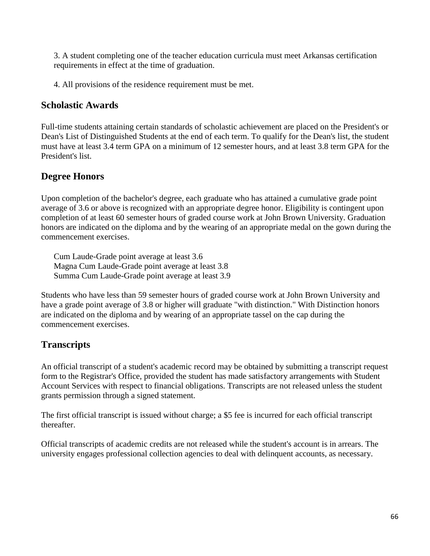3. A student completing one of the teacher education curricula must meet Arkansas certification requirements in effect at the time of graduation.

4. All provisions of the residence requirement must be met.

### **Scholastic Awards**

Full-time students attaining certain standards of scholastic achievement are placed on the President's or Dean's List of Distinguished Students at the end of each term. To qualify for the Dean's list, the student must have at least 3.4 term GPA on a minimum of 12 semester hours, and at least 3.8 term GPA for the President's list.

### **Degree Honors**

Upon completion of the bachelor's degree, each graduate who has attained a cumulative grade point average of 3.6 or above is recognized with an appropriate degree honor. Eligibility is contingent upon completion of at least 60 semester hours of graded course work at John Brown University. Graduation honors are indicated on the diploma and by the wearing of an appropriate medal on the gown during the commencement exercises.

Cum Laude-Grade point average at least 3.6 Magna Cum Laude-Grade point average at least 3.8 Summa Cum Laude-Grade point average at least 3.9

Students who have less than 59 semester hours of graded course work at John Brown University and have a grade point average of 3.8 or higher will graduate "with distinction." With Distinction honors are indicated on the diploma and by wearing of an appropriate tassel on the cap during the commencement exercises.

# **Transcripts**

An official transcript of a student's academic record may be obtained by submitting a transcript request form to the Registrar's Office, provided the student has made satisfactory arrangements with Student Account Services with respect to financial obligations. Transcripts are not released unless the student grants permission through a signed statement.

The first official transcript is issued without charge; a \$5 fee is incurred for each official transcript thereafter.

Official transcripts of academic credits are not released while the student's account is in arrears. The university engages professional collection agencies to deal with delinquent accounts, as necessary.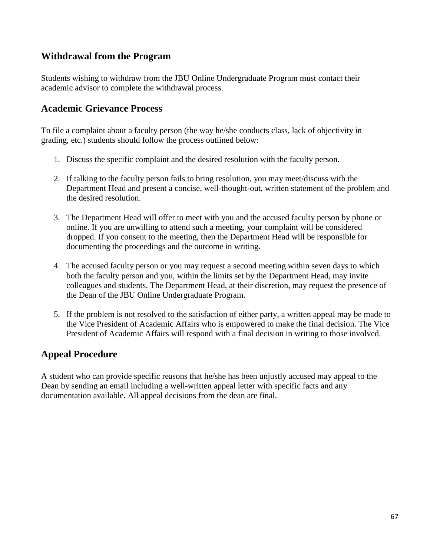# **Withdrawal from the Program**

Students wishing to withdraw from the JBU Online Undergraduate Program must contact their academic advisor to complete the withdrawal process.

### **Academic Grievance Process**

To file a complaint about a faculty person (the way he/she conducts class, lack of objectivity in grading, etc.) students should follow the process outlined below:

- 1. Discuss the specific complaint and the desired resolution with the faculty person.
- 2. If talking to the faculty person fails to bring resolution, you may meet/discuss with the Department Head and present a concise, well-thought-out, written statement of the problem and the desired resolution.
- 3. The Department Head will offer to meet with you and the accused faculty person by phone or online. If you are unwilling to attend such a meeting, your complaint will be considered dropped. If you consent to the meeting, then the Department Head will be responsible for documenting the proceedings and the outcome in writing.
- 4. The accused faculty person or you may request a second meeting within seven days to which both the faculty person and you, within the limits set by the Department Head, may invite colleagues and students. The Department Head, at their discretion, may request the presence of the Dean of the JBU Online Undergraduate Program.
- 5. If the problem is not resolved to the satisfaction of either party, a written appeal may be made to the Vice President of Academic Affairs who is empowered to make the final decision. The Vice President of Academic Affairs will respond with a final decision in writing to those involved.

# **Appeal Procedure**

A student who can provide specific reasons that he/she has been unjustly accused may appeal to the Dean by sending an email including a well-written appeal letter with specific facts and any documentation available. All appeal decisions from the dean are final.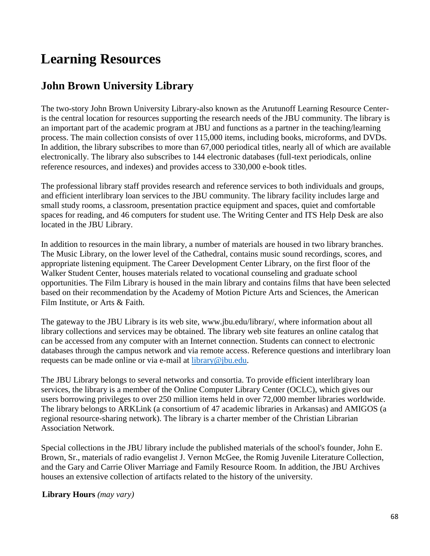# **Learning Resources**

# **John Brown University Library**

The two-story John Brown University Library-also known as the Arutunoff Learning Resource Centeris the central location for resources supporting the research needs of the JBU community. The library is an important part of the academic program at JBU and functions as a partner in the teaching/learning process. The main collection consists of over 115,000 items, including books, microforms, and DVDs. In addition, the library subscribes to more than 67,000 periodical titles, nearly all of which are available electronically. The library also subscribes to 144 electronic databases (full-text periodicals, online reference resources, and indexes) and provides access to 330,000 e-book titles.

The professional library staff provides research and reference services to both individuals and groups, and efficient interlibrary loan services to the JBU community. The library facility includes large and small study rooms, a classroom, presentation practice equipment and spaces, quiet and comfortable spaces for reading, and 46 computers for student use. The Writing Center and ITS Help Desk are also located in the JBU Library.

In addition to resources in the main library, a number of materials are housed in two library branches. The Music Library, on the lower level of the Cathedral, contains music sound recordings, scores, and appropriate listening equipment. The Career Development Center Library, on the first floor of the Walker Student Center, houses materials related to vocational counseling and graduate school opportunities. The Film Library is housed in the main library and contains films that have been selected based on their recommendation by the Academy of Motion Picture Arts and Sciences, the American Film Institute, or Arts & Faith.

The gateway to the JBU Library is its web site, www.jbu.edu/library/, where information about all library collections and services may be obtained. The library web site features an online catalog that can be accessed from any computer with an Internet connection. Students can connect to electronic databases through the campus network and via remote access. Reference questions and interlibrary loan requests can be made online or via e-mail at [library@jbu.edu.](mailto:library@jbu.edu)

The JBU Library belongs to several networks and consortia. To provide efficient interlibrary loan services, the library is a member of the Online Computer Library Center (OCLC), which gives our users borrowing privileges to over 250 million items held in over 72,000 member libraries worldwide. The library belongs to ARKLink (a consortium of 47 academic libraries in Arkansas) and AMIGOS (a regional resource-sharing network). The library is a charter member of the Christian Librarian Association Network.

Special collections in the JBU library include the published materials of the school's founder, John E. Brown, Sr., materials of radio evangelist J. Vernon McGee, the Romig Juvenile Literature Collection, and the Gary and Carrie Oliver Marriage and Family Resource Room. In addition, the JBU Archives houses an extensive collection of artifacts related to the history of the university.

**Library Hours** *(may vary)*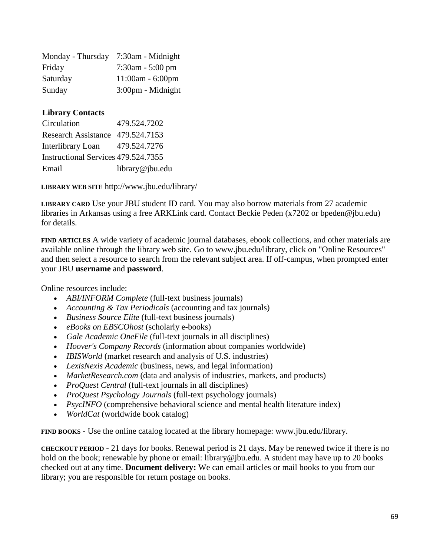| Monday - Thursday | 7:30am - Midnight     |
|-------------------|-----------------------|
| Friday            | $7:30$ am - $5:00$ pm |
| Saturday          | $11:00am - 6:00pm$    |
| Sunday            | $3:00$ pm - Midnight  |

#### **Library Contacts**

| Circulation                         | 479.524.7202    |
|-------------------------------------|-----------------|
| Research Assistance 479.524.7153    |                 |
| Interlibrary Loan                   | 479.524.7276    |
| Instructional Services 479.524.7355 |                 |
| Email                               | library@jbu.edu |

**LIBRARY WEB SITE** http://www.jbu.edu/library/

**LIBRARY CARD** Use your JBU student ID card. You may also borrow materials from 27 academic libraries in Arkansas using a free ARKLink card. Contact Beckie Peden (x7202 or bpeden@jbu.edu) for details.

**FIND ARTICLES** A wide variety of academic journal databases, ebook collections, and other materials are available online through the library web site. Go to www.jbu.edu/library, click on "Online Resources" and then select a resource to search from the relevant subject area. If off-campus, when prompted enter your JBU **username** and **password**.

Online resources include:

- *ABI/INFORM Complete* (full-text business journals)
- *Accounting & Tax Periodicals* (accounting and tax journals)
- *Business Source Elite* (full-text business journals)
- *eBooks on EBSCOhost* (scholarly e-books)
- *Gale Academic OneFile* (full-text journals in all disciplines)
- *Hoover's Company Records* (information about companies worldwide)
- *IBISWorld* (market research and analysis of U.S. industries)
- *LexisNexis Academic* (business, news, and legal information)
- *MarketResearch.com* (data and analysis of industries, markets, and products)
- *ProQuest Central* (full-text journals in all disciplines)
- *ProQuest Psychology Journals* (full-text psychology journals)
- *PsycINFO* (comprehensive behavioral science and mental health literature index)
- *WorldCat* (worldwide book catalog)

**FIND BOOKS** - Use the online catalog located at the library homepage: www.jbu.edu/library.

**CHECKOUT PERIOD** - 21 days for books. Renewal period is 21 days. May be renewed twice if there is no hold on the book; renewable by phone or email: library@jbu.edu. A student may have up to 20 books checked out at any time. **Document delivery:** We can email articles or mail books to you from our library; you are responsible for return postage on books.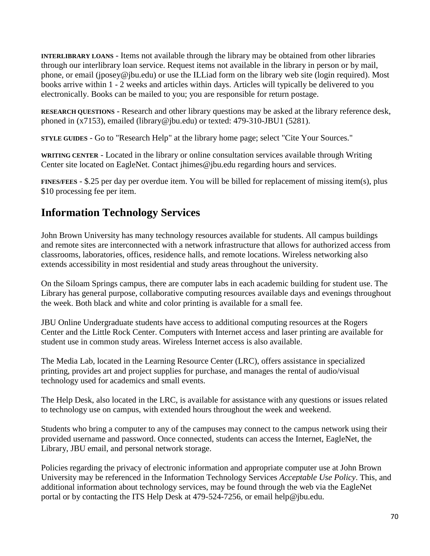**INTERLIBRARY LOANS** - Items not available through the library may be obtained from other libraries through our interlibrary loan service. Request items not available in the library in person or by mail, phone, or email (jposey@jbu.edu) or use the ILLiad form on the library web site (login required). Most books arrive within 1 - 2 weeks and articles within days. Articles will typically be delivered to you electronically. Books can be mailed to you; you are responsible for return postage.

**RESEARCH QUESTIONS** - Research and other library questions may be asked at the library reference desk, phoned in (x7153), emailed (library@jbu.edu) or texted: 479-310-JBU1 (5281).

**STYLE GUIDES** - Go to "Research Help" at the library home page; select "Cite Your Sources."

**WRITING CENTER** - Located in the library or online consultation services available through Writing Center site located on EagleNet. Contact jhimes@jbu.edu regarding hours and services.

**FINES/FEES** - \$.25 per day per overdue item. You will be billed for replacement of missing item(s), plus \$10 processing fee per item.

# **Information Technology Services**

John Brown University has many technology resources available for students. All campus buildings and remote sites are interconnected with a network infrastructure that allows for authorized access from classrooms, laboratories, offices, residence halls, and remote locations. Wireless networking also extends accessibility in most residential and study areas throughout the university.

On the Siloam Springs campus, there are computer labs in each academic building for student use. The Library has general purpose, collaborative computing resources available days and evenings throughout the week. Both black and white and color printing is available for a small fee.

JBU Online Undergraduate students have access to additional computing resources at the Rogers Center and the Little Rock Center. Computers with Internet access and laser printing are available for student use in common study areas. Wireless Internet access is also available.

The Media Lab, located in the Learning Resource Center (LRC), offers assistance in specialized printing, provides art and project supplies for purchase, and manages the rental of audio/visual technology used for academics and small events.

The Help Desk, also located in the LRC, is available for assistance with any questions or issues related to technology use on campus, with extended hours throughout the week and weekend.

Students who bring a computer to any of the campuses may connect to the campus network using their provided username and password. Once connected, students can access the Internet, EagleNet, the Library, JBU email, and personal network storage.

Policies regarding the privacy of electronic information and appropriate computer use at John Brown University may be referenced in the Information Technology Services *Acceptable Use Policy*. This, and additional information about technology services, may be found through the web via the EagleNet portal or by contacting the ITS Help Desk at 479-524-7256, or email help@jbu.edu.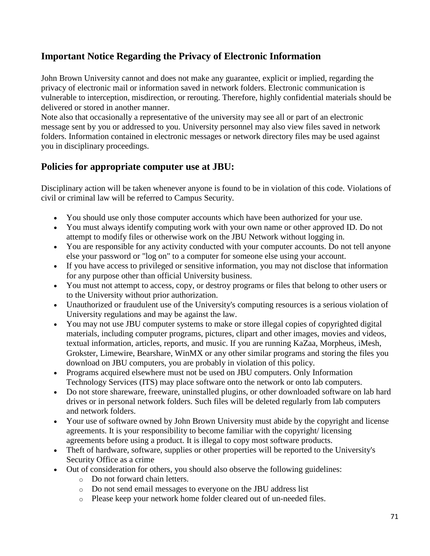# **Important Notice Regarding the Privacy of Electronic Information**

John Brown University cannot and does not make any guarantee, explicit or implied, regarding the privacy of electronic mail or information saved in network folders. Electronic communication is vulnerable to interception, misdirection, or rerouting. Therefore, highly confidential materials should be delivered or stored in another manner.

Note also that occasionally a representative of the university may see all or part of an electronic message sent by you or addressed to you. University personnel may also view files saved in network folders. Information contained in electronic messages or network directory files may be used against you in disciplinary proceedings.

# **Policies for appropriate computer use at JBU:**

Disciplinary action will be taken whenever anyone is found to be in violation of this code. Violations of civil or criminal law will be referred to Campus Security.

- You should use only those computer accounts which have been authorized for your use.
- You must always identify computing work with your own name or other approved ID. Do not attempt to modify files or otherwise work on the JBU Network without logging in.
- You are responsible for any activity conducted with your computer accounts. Do not tell anyone else your password or "log on" to a computer for someone else using your account.
- If you have access to privileged or sensitive information, you may not disclose that information for any purpose other than official University business.
- You must not attempt to access, copy, or destroy programs or files that belong to other users or to the University without prior authorization.
- Unauthorized or fraudulent use of the University's computing resources is a serious violation of University regulations and may be against the law.
- You may not use JBU computer systems to make or store illegal copies of copyrighted digital materials, including computer programs, pictures, clipart and other images, movies and videos, textual information, articles, reports, and music. If you are running KaZaa, Morpheus, iMesh, Grokster, Limewire, Bearshare, WinMX or any other similar programs and storing the files you download on JBU computers, you are probably in violation of this policy.
- Programs acquired elsewhere must not be used on JBU computers. Only Information Technology Services (ITS) may place software onto the network or onto lab computers.
- Do not store shareware, freeware, uninstalled plugins, or other downloaded software on lab hard drives or in personal network folders. Such files will be deleted regularly from lab computers and network folders.
- Your use of software owned by John Brown University must abide by the copyright and license agreements. It is your responsibility to become familiar with the copyright/ licensing agreements before using a product. It is illegal to copy most software products.
- Theft of hardware, software, supplies or other properties will be reported to the University's Security Office as a crime
- Out of consideration for others, you should also observe the following guidelines:
	- o Do not forward chain letters.
	- o Do not send email messages to everyone on the JBU address list
	- o Please keep your network home folder cleared out of un-needed files.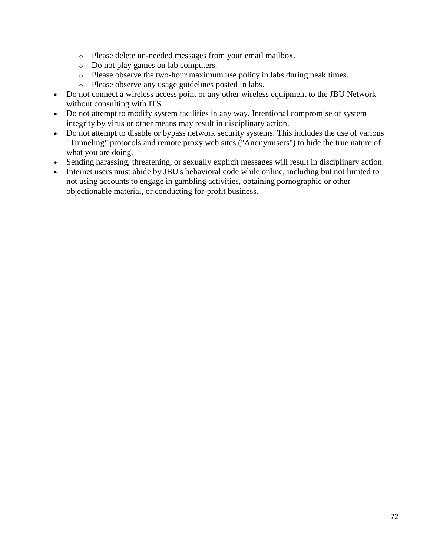- o Please delete un-needed messages from your email mailbox.
- o Do not play games on lab computers.
- o Please observe the two-hour maximum use policy in labs during peak times.
- o Please observe any usage guidelines posted in labs.
- Do not connect a wireless access point or any other wireless equipment to the JBU Network without consulting with ITS.
- Do not attempt to modify system facilities in any way. Intentional compromise of system integrity by virus or other means may result in disciplinary action.
- Do not attempt to disable or bypass network security systems. This includes the use of various "Tunneling" protocols and remote proxy web sites ("Anonymisers") to hide the true nature of what you are doing.
- Sending harassing, threatening, or sexually explicit messages will result in disciplinary action.
- Internet users must abide by JBU's behavioral code while online, including but not limited to not using accounts to engage in gambling activities, obtaining pornographic or other objectionable material, or conducting for-profit business.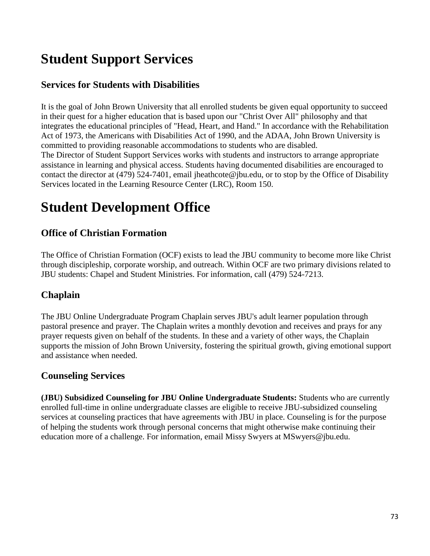# **Student Support Services**

# **Services for Students with Disabilities**

It is the goal of John Brown University that all enrolled students be given equal opportunity to succeed in their quest for a higher education that is based upon our "Christ Over All" philosophy and that integrates the educational principles of "Head, Heart, and Hand." In accordance with the Rehabilitation Act of 1973, the Americans with Disabilities Act of 1990, and the ADAA, John Brown University is committed to providing reasonable accommodations to students who are disabled. The Director of Student Support Services works with students and instructors to arrange appropriate assistance in learning and physical access. Students having documented disabilities are encouraged to contact the director at (479) 524-7401, email jheathcote@jbu.edu, or to stop by the Office of Disability Services located in the Learning Resource Center (LRC), Room 150.

# **Student Development Office**

## **Office of Christian Formation**

The Office of Christian Formation (OCF) exists to lead the JBU community to become more like Christ through discipleship, corporate worship, and outreach. Within OCF are two primary divisions related to JBU students: Chapel and Student Ministries. For information, call (479) 524-7213.

## **Chaplain**

The JBU Online Undergraduate Program Chaplain serves JBU's adult learner population through pastoral presence and prayer. The Chaplain writes a monthly devotion and receives and prays for any prayer requests given on behalf of the students. In these and a variety of other ways, the Chaplain supports the mission of John Brown University, fostering the spiritual growth, giving emotional support and assistance when needed.

## **Counseling Services**

**(JBU) Subsidized Counseling for JBU Online Undergraduate Students:** Students who are currently enrolled full-time in online undergraduate classes are eligible to receive JBU-subsidized counseling services at counseling practices that have agreements with JBU in place. Counseling is for the purpose of helping the students work through personal concerns that might otherwise make continuing their education more of a challenge. For information, email Missy Swyers at MSwyers@jbu.edu.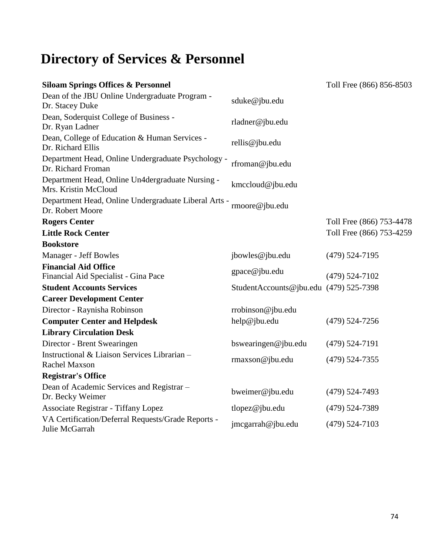# **Directory of Services & Personnel**

| <b>Siloam Springs Offices &amp; Personnel</b>                            |                                        | Toll Free (866) 856-8503 |
|--------------------------------------------------------------------------|----------------------------------------|--------------------------|
| Dean of the JBU Online Undergraduate Program -<br>Dr. Stacey Duke        | sduke@jbu.edu                          |                          |
| Dean, Soderquist College of Business -<br>Dr. Ryan Ladner                | rladner@jbu.edu                        |                          |
| Dean, College of Education & Human Services -<br>Dr. Richard Ellis       | rellis@jbu.edu                         |                          |
| Department Head, Online Undergraduate Psychology -<br>Dr. Richard Froman | rfroman@jbu.edu                        |                          |
| Department Head, Online Un4dergraduate Nursing -<br>Mrs. Kristin McCloud | kmccloud@jbu.edu                       |                          |
| Department Head, Online Undergraduate Liberal Arts -<br>Dr. Robert Moore | rmoore@jbu.edu                         |                          |
| <b>Rogers Center</b>                                                     |                                        | Toll Free (866) 753-4478 |
| <b>Little Rock Center</b>                                                |                                        | Toll Free (866) 753-4259 |
| <b>Bookstore</b>                                                         |                                        |                          |
| Manager - Jeff Bowles                                                    | jbowles@jbu.edu                        | $(479)$ 524-7195         |
| <b>Financial Aid Office</b>                                              | gpace@jbu.edu                          |                          |
| Financial Aid Specialist - Gina Pace                                     |                                        | $(479) 524 - 7102$       |
| <b>Student Accounts Services</b>                                         | StudentAccounts@jbu.edu (479) 525-7398 |                          |
| <b>Career Development Center</b>                                         |                                        |                          |
| Director - Raynisha Robinson                                             | rrobinson@jbu.edu                      |                          |
| <b>Computer Center and Helpdesk</b>                                      | help@jbu.edu                           | $(479)$ 524-7256         |
| <b>Library Circulation Desk</b>                                          |                                        |                          |
| Director - Brent Swearingen                                              | bswearingen@jbu.edu                    | $(479) 524 - 7191$       |
| Instructional & Liaison Services Librarian -<br><b>Rachel Maxson</b>     | rmaxson@jbu.edu                        | $(479)$ 524-7355         |
| <b>Registrar's Office</b>                                                |                                        |                          |
| Dean of Academic Services and Registrar -<br>Dr. Becky Weimer            | bweimer@jbu.edu                        | $(479)$ 524-7493         |
| <b>Associate Registrar - Tiffany Lopez</b>                               | tlopez@jbu.edu                         | $(479)$ 524-7389         |
| VA Certification/Deferral Requests/Grade Reports -<br>Julie McGarrah     | jmcgarrah@jbu.edu                      | $(479)$ 524-7103         |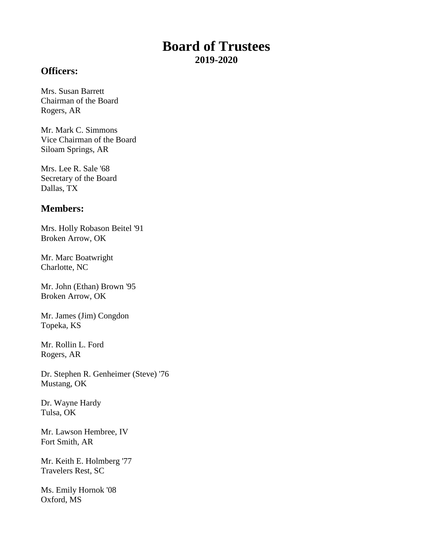# **Board of Trustees 2019-2020**

#### **Officers:**

Mrs. Susan Barrett Chairman of the Board Rogers, AR

Mr. Mark C. Simmons Vice Chairman of the Board Siloam Springs, AR

Mrs. Lee R. Sale '68 Secretary of the Board Dallas, TX

#### **Members:**

Mrs. Holly Robason Beitel '91 Broken Arrow, OK

Mr. Marc Boatwright Charlotte, NC

Mr. John (Ethan) Brown '95 Broken Arrow, OK

Mr. James (Jim) Congdon Topeka, KS

Mr. Rollin L. Ford Rogers, AR

Dr. Stephen R. Genheimer (Steve) '76 Mustang, OK

Dr. Wayne Hardy Tulsa, OK

Mr. Lawson Hembree, IV Fort Smith, AR

Mr. Keith E. Holmberg '77 Travelers Rest, SC

Ms. Emily Hornok '08 Oxford, MS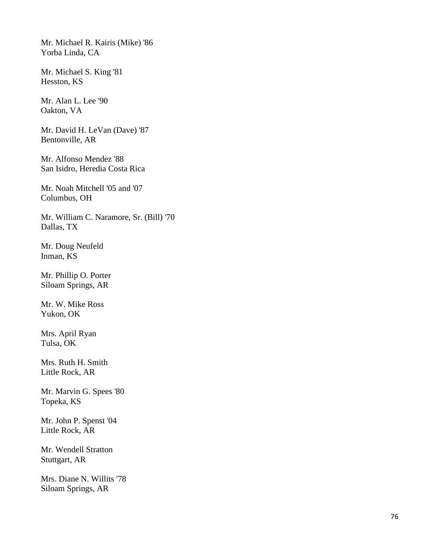Mr. Michael R. Kairis (Mike) '86 Yorba Linda, CA

Mr. Michael S. King '81 Hesston, KS

Mr. Alan L. Lee '90 Oakton, VA

Mr. David H. LeVan (Dave) '87 Bentonville, AR

Mr. Alfonso Mendez '88 San Isidro, Heredia Costa Rica

Mr. Noah Mitchell '05 and '07 Columbus, OH

Mr. William C. Naramore, Sr. (Bill) '70 Dallas, TX

Mr. Doug Neufeld Inman, KS

Mr. Phillip O. Porter Siloam Springs, AR

Mr. W. Mike Ross Yukon, OK

Mrs. April Ryan Tulsa, OK

Mrs. Ruth H. Smith Little Rock, AR

Mr. Marvin G. Spees '80 Topeka, KS

Mr. John P. Spenst '04 Little Rock, AR

Mr. Wendell Stratton Stuttgart, AR

Mrs. Diane N. Willits '78 Siloam Springs, AR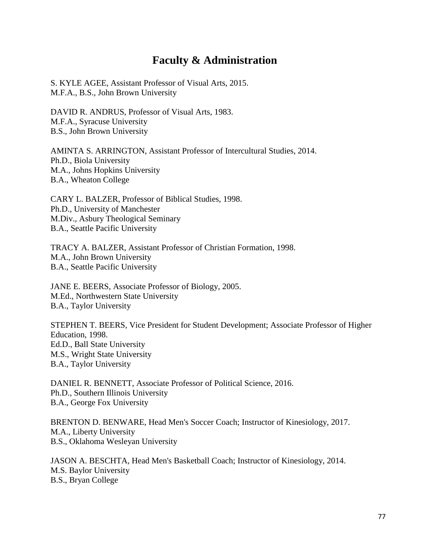# **Faculty & Administration**

S. KYLE AGEE, Assistant Professor of Visual Arts, 2015. M.F.A., B.S., John Brown University

DAVID R. ANDRUS, Professor of Visual Arts, 1983. M.F.A., Syracuse University B.S., John Brown University

AMINTA S. ARRINGTON, Assistant Professor of Intercultural Studies, 2014. Ph.D., Biola University M.A., Johns Hopkins University B.A., Wheaton College

CARY L. BALZER, Professor of Biblical Studies, 1998. Ph.D., University of Manchester M.Div., Asbury Theological Seminary B.A., Seattle Pacific University

TRACY A. BALZER, Assistant Professor of Christian Formation, 1998. M.A., John Brown University B.A., Seattle Pacific University

JANE E. BEERS, Associate Professor of Biology, 2005. M.Ed., Northwestern State University B.A., Taylor University

STEPHEN T. BEERS, Vice President for Student Development; Associate Professor of Higher Education, 1998. Ed.D., Ball State University M.S., Wright State University B.A., Taylor University

DANIEL R. BENNETT, Associate Professor of Political Science, 2016. Ph.D., Southern Illinois University B.A., George Fox University

BRENTON D. BENWARE, Head Men's Soccer Coach; Instructor of Kinesiology, 2017. M.A., Liberty University B.S., Oklahoma Wesleyan University

JASON A. BESCHTA, Head Men's Basketball Coach; Instructor of Kinesiology, 2014. M.S. Baylor University B.S., Bryan College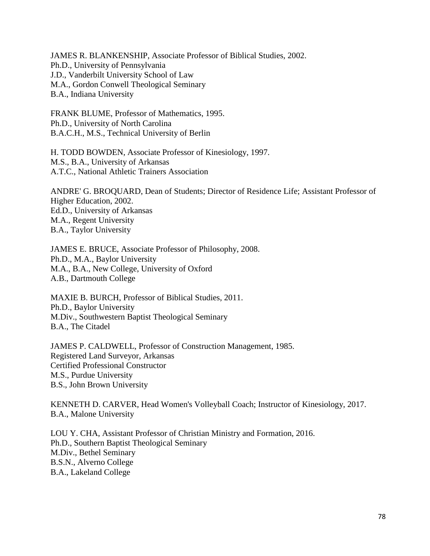JAMES R. BLANKENSHIP, Associate Professor of Biblical Studies, 2002. Ph.D., University of Pennsylvania J.D., Vanderbilt University School of Law M.A., Gordon Conwell Theological Seminary B.A., Indiana University

FRANK BLUME, Professor of Mathematics, 1995. Ph.D., University of North Carolina B.A.C.H., M.S., Technical University of Berlin

H. TODD BOWDEN, Associate Professor of Kinesiology, 1997. M.S., B.A., University of Arkansas A.T.C., National Athletic Trainers Association

ANDRE' G. BROQUARD, Dean of Students; Director of Residence Life; Assistant Professor of Higher Education, 2002. Ed.D., University of Arkansas M.A., Regent University B.A., Taylor University

JAMES E. BRUCE, Associate Professor of Philosophy, 2008. Ph.D., M.A., Baylor University M.A., B.A., New College, University of Oxford A.B., Dartmouth College

MAXIE B. BURCH, Professor of Biblical Studies, 2011. Ph.D., Baylor University M.Div., Southwestern Baptist Theological Seminary B.A., The Citadel

JAMES P. CALDWELL, Professor of Construction Management, 1985. Registered Land Surveyor, Arkansas Certified Professional Constructor M.S., Purdue University B.S., John Brown University

KENNETH D. CARVER, Head Women's Volleyball Coach; Instructor of Kinesiology, 2017. B.A., Malone University

LOU Y. CHA, Assistant Professor of Christian Ministry and Formation, 2016. Ph.D., Southern Baptist Theological Seminary M.Div., Bethel Seminary B.S.N., Alverno College B.A., Lakeland College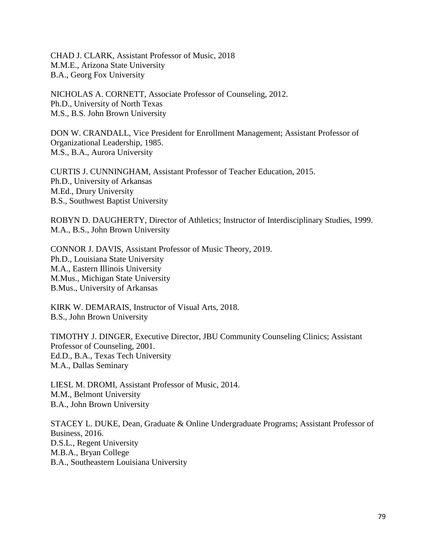CHAD J. CLARK, Assistant Professor of Music, 2018 M.M.E., Arizona State University B.A., Georg Fox University

NICHOLAS A. CORNETT, Associate Professor of Counseling, 2012. Ph.D., University of North Texas M.S., B.S. John Brown University

DON W. CRANDALL, Vice President for Enrollment Management; Assistant Professor of Organizational Leadership, 1985. M.S., B.A., Aurora University

CURTIS J. CUNNINGHAM, Assistant Professor of Teacher Education, 2015. Ph.D., University of Arkansas M.Ed., Drury University B.S., Southwest Baptist University

ROBYN D. DAUGHERTY, Director of Athletics; Instructor of Interdisciplinary Studies, 1999. M.A., B.S., John Brown University

CONNOR J. DAVIS, Assistant Professor of Music Theory, 2019. Ph.D., Louisiana State University M.A., Eastern Illinois University M.Mus., Michigan State University B.Mus., University of Arkansas

KIRK W. DEMARAIS, Instructor of Visual Arts, 2018. B.S., John Brown University

TIMOTHY J. DINGER, Executive Director, JBU Community Counseling Clinics; Assistant Professor of Counseling, 2001. Ed.D., B.A., Texas Tech University M.A., Dallas Seminary

LIESL M. DROMI, Assistant Professor of Music, 2014. M.M., Belmont University B.A., John Brown University

STACEY L. DUKE, Dean, Graduate & Online Undergraduate Programs; Assistant Professor of Business, 2016. D.S.L., Regent University M.B.A., Bryan College B.A., Southeastern Louisiana University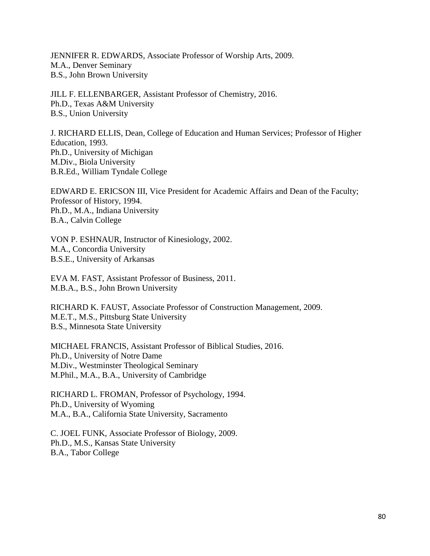JENNIFER R. EDWARDS, Associate Professor of Worship Arts, 2009. M.A., Denver Seminary B.S., John Brown University

JILL F. ELLENBARGER, Assistant Professor of Chemistry, 2016. Ph.D., Texas A&M University B.S., Union University

J. RICHARD ELLIS, Dean, College of Education and Human Services; Professor of Higher Education, 1993. Ph.D., University of Michigan M.Div., Biola University B.R.Ed., William Tyndale College

EDWARD E. ERICSON III, Vice President for Academic Affairs and Dean of the Faculty; Professor of History, 1994. Ph.D., M.A., Indiana University B.A., Calvin College

VON P. ESHNAUR, Instructor of Kinesiology, 2002. M.A., Concordia University B.S.E., University of Arkansas

EVA M. FAST, Assistant Professor of Business, 2011. M.B.A., B.S., John Brown University

RICHARD K. FAUST, Associate Professor of Construction Management, 2009. M.E.T., M.S., Pittsburg State University B.S., Minnesota State University

MICHAEL FRANCIS, Assistant Professor of Biblical Studies, 2016. Ph.D., University of Notre Dame M.Div., Westminster Theological Seminary M.Phil., M.A., B.A., University of Cambridge

RICHARD L. FROMAN, Professor of Psychology, 1994. Ph.D., University of Wyoming M.A., B.A., California State University, Sacramento

C. JOEL FUNK, Associate Professor of Biology, 2009. Ph.D., M.S., Kansas State University B.A., Tabor College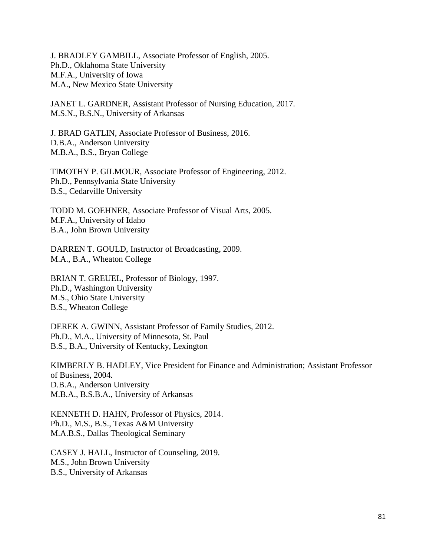J. BRADLEY GAMBILL, Associate Professor of English, 2005. Ph.D., Oklahoma State University M.F.A., University of Iowa M.A., New Mexico State University

JANET L. GARDNER, Assistant Professor of Nursing Education, 2017. M.S.N., B.S.N., University of Arkansas

J. BRAD GATLIN, Associate Professor of Business, 2016. D.B.A., Anderson University M.B.A., B.S., Bryan College

TIMOTHY P. GILMOUR, Associate Professor of Engineering, 2012. Ph.D., Pennsylvania State University B.S., Cedarville University

TODD M. GOEHNER, Associate Professor of Visual Arts, 2005. M.F.A., University of Idaho B.A., John Brown University

DARREN T. GOULD, Instructor of Broadcasting, 2009. M.A., B.A., Wheaton College

BRIAN T. GREUEL, Professor of Biology, 1997. Ph.D., Washington University M.S., Ohio State University B.S., Wheaton College

DEREK A. GWINN, Assistant Professor of Family Studies, 2012. Ph.D., M.A., University of Minnesota, St. Paul B.S., B.A., University of Kentucky, Lexington

KIMBERLY B. HADLEY, Vice President for Finance and Administration; Assistant Professor of Business, 2004. D.B.A., Anderson University M.B.A., B.S.B.A., University of Arkansas

KENNETH D. HAHN, Professor of Physics, 2014. Ph.D., M.S., B.S., Texas A&M University M.A.B.S., Dallas Theological Seminary

CASEY J. HALL, Instructor of Counseling, 2019. M.S., John Brown University B.S., University of Arkansas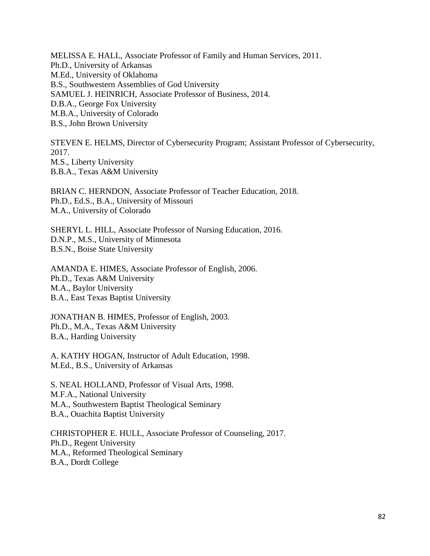MELISSA E. HALL, Associate Professor of Family and Human Services, 2011. Ph.D., University of Arkansas M.Ed., University of Oklahoma B.S., Southwestern Assemblies of God University SAMUEL J. HEINRICH, Associate Professor of Business, 2014. D.B.A., George Fox University M.B.A., University of Colorado B.S., John Brown University

STEVEN E. HELMS, Director of Cybersecurity Program; Assistant Professor of Cybersecurity, 2017. M.S., Liberty University B.B.A., Texas A&M University

BRIAN C. HERNDON, Associate Professor of Teacher Education, 2018. Ph.D., Ed.S., B.A., University of Missouri M.A., University of Colorado

SHERYL L. HILL, Associate Professor of Nursing Education, 2016. D.N.P., M.S., University of Minnesota B.S.N., Boise State University

AMANDA E. HIMES, Associate Professor of English, 2006. Ph.D., Texas A&M University M.A., Baylor University B.A., East Texas Baptist University

JONATHAN B. HIMES, Professor of English, 2003. Ph.D., M.A., Texas A&M University B.A., Harding University

A. KATHY HOGAN, Instructor of Adult Education, 1998. M.Ed., B.S., University of Arkansas

S. NEAL HOLLAND, Professor of Visual Arts, 1998. M.F.A., National University M.A., Southwestern Baptist Theological Seminary B.A., Ouachita Baptist University

CHRISTOPHER E. HULL, Associate Professor of Counseling, 2017. Ph.D., Regent University M.A., Reformed Theological Seminary B.A., Dordt College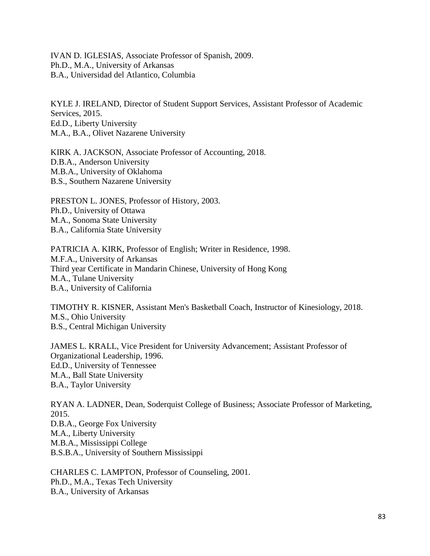IVAN D. IGLESIAS, Associate Professor of Spanish, 2009. Ph.D., M.A., University of Arkansas B.A., Universidad del Atlantico, Columbia

KYLE J. IRELAND, Director of Student Support Services, Assistant Professor of Academic Services, 2015. Ed.D., Liberty University M.A., B.A., Olivet Nazarene University

KIRK A. JACKSON, Associate Professor of Accounting, 2018. D.B.A., Anderson University M.B.A., University of Oklahoma B.S., Southern Nazarene University

PRESTON L. JONES, Professor of History, 2003. Ph.D., University of Ottawa M.A., Sonoma State University B.A., California State University

PATRICIA A. KIRK, Professor of English; Writer in Residence, 1998. M.F.A., University of Arkansas Third year Certificate in Mandarin Chinese, University of Hong Kong M.A., Tulane University B.A., University of California

TIMOTHY R. KISNER, Assistant Men's Basketball Coach, Instructor of Kinesiology, 2018. M.S., Ohio University B.S., Central Michigan University

JAMES L. KRALL, Vice President for University Advancement; Assistant Professor of Organizational Leadership, 1996. Ed.D., University of Tennessee M.A., Ball State University B.A., Taylor University

RYAN A. LADNER, Dean, Soderquist College of Business; Associate Professor of Marketing, 2015. D.B.A., George Fox University M.A., Liberty University M.B.A., Mississippi College B.S.B.A., University of Southern Mississippi

CHARLES C. LAMPTON, Professor of Counseling, 2001. Ph.D., M.A., Texas Tech University B.A., University of Arkansas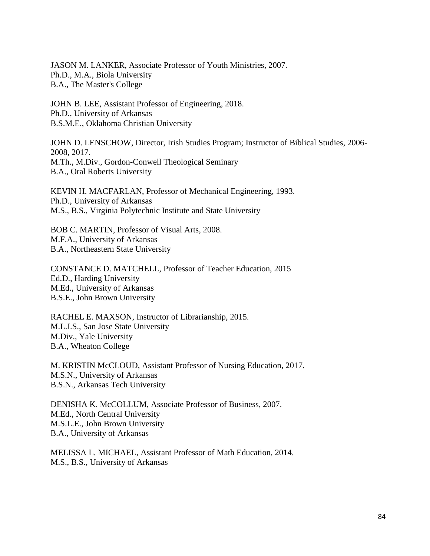JASON M. LANKER, Associate Professor of Youth Ministries, 2007. Ph.D., M.A., Biola University B.A., The Master's College

JOHN B. LEE, Assistant Professor of Engineering, 2018. Ph.D., University of Arkansas B.S.M.E., Oklahoma Christian University

JOHN D. LENSCHOW, Director, Irish Studies Program; Instructor of Biblical Studies, 2006- 2008, 2017. M.Th., M.Div., Gordon-Conwell Theological Seminary B.A., Oral Roberts University

KEVIN H. MACFARLAN, Professor of Mechanical Engineering, 1993. Ph.D., University of Arkansas M.S., B.S., Virginia Polytechnic Institute and State University

BOB C. MARTIN, Professor of Visual Arts, 2008. M.F.A., University of Arkansas B.A., Northeastern State University

CONSTANCE D. MATCHELL, Professor of Teacher Education, 2015 Ed.D., Harding University M.Ed., University of Arkansas B.S.E., John Brown University

RACHEL E. MAXSON, Instructor of Librarianship, 2015. M.L.I.S., San Jose State University M.Div., Yale University B.A., Wheaton College

M. KRISTIN McCLOUD, Assistant Professor of Nursing Education, 2017. M.S.N., University of Arkansas B.S.N., Arkansas Tech University

DENISHA K. McCOLLUM, Associate Professor of Business, 2007. M.Ed., North Central University M.S.L.E., John Brown University B.A., University of Arkansas

MELISSA L. MICHAEL, Assistant Professor of Math Education, 2014. M.S., B.S., University of Arkansas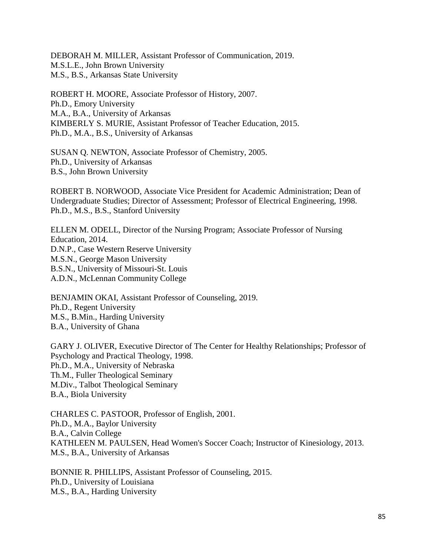DEBORAH M. MILLER, Assistant Professor of Communication, 2019. M.S.L.E., John Brown University M.S., B.S., Arkansas State University

ROBERT H. MOORE, Associate Professor of History, 2007. Ph.D., Emory University M.A., B.A., University of Arkansas KIMBERLY S. MURIE, Assistant Professor of Teacher Education, 2015. Ph.D., M.A., B.S., University of Arkansas

SUSAN Q. NEWTON, Associate Professor of Chemistry, 2005. Ph.D., University of Arkansas B.S., John Brown University

ROBERT B. NORWOOD, Associate Vice President for Academic Administration; Dean of Undergraduate Studies; Director of Assessment; Professor of Electrical Engineering, 1998. Ph.D., M.S., B.S., Stanford University

ELLEN M. ODELL, Director of the Nursing Program; Associate Professor of Nursing Education, 2014. D.N.P., Case Western Reserve University M.S.N., George Mason University B.S.N., University of Missouri-St. Louis A.D.N., McLennan Community College

BENJAMIN OKAI, Assistant Professor of Counseling, 2019**.** Ph.D., Regent University M.S., B.Min., Harding University B.A., University of Ghana

GARY J. OLIVER, Executive Director of The Center for Healthy Relationships; Professor of Psychology and Practical Theology, 1998. Ph.D., M.A., University of Nebraska Th.M., Fuller Theological Seminary M.Div., Talbot Theological Seminary B.A., Biola University

CHARLES C. PASTOOR, Professor of English, 2001. Ph.D., M.A., Baylor University B.A., Calvin College KATHLEEN M. PAULSEN, Head Women's Soccer Coach; Instructor of Kinesiology, 2013. M.S., B.A., University of Arkansas

BONNIE R. PHILLIPS, Assistant Professor of Counseling, 2015. Ph.D., University of Louisiana M.S., B.A., Harding University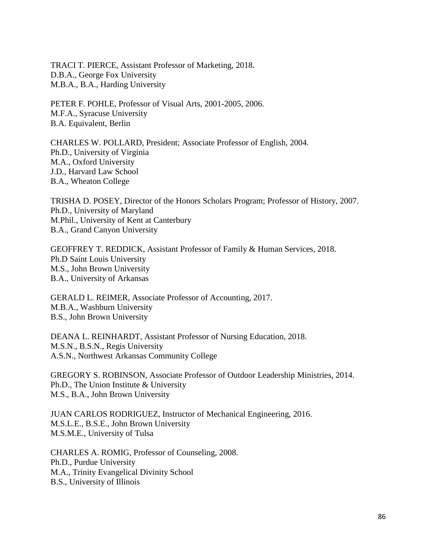TRACI T. PIERCE, Assistant Professor of Marketing, 2018. D.B.A., George Fox University M.B.A., B.A., Harding University

PETER F. POHLE, Professor of Visual Arts, 2001-2005, 2006. M.F.A., Syracuse University B.A. Equivalent, Berlin

CHARLES W. POLLARD, President; Associate Professor of English, 2004. Ph.D., University of Virginia M.A., Oxford University J.D., Harvard Law School B.A., Wheaton College

TRISHA D. POSEY, Director of the Honors Scholars Program; Professor of History, 2007. Ph.D., University of Maryland M.Phil., University of Kent at Canterbury B.A., Grand Canyon University

GEOFFREY T. REDDICK, Assistant Professor of Family & Human Services, 2018. Ph.D Saint Louis University M.S., John Brown University B.A., University of Arkansas

GERALD L. REIMER, Associate Professor of Accounting, 2017. M.B.A., Washburn University B.S., John Brown University

DEANA L. REINHARDT, Assistant Professor of Nursing Education, 2018. M.S.N., B.S.N., Regis University A.S.N., Northwest Arkansas Community College

GREGORY S. ROBINSON, Associate Professor of Outdoor Leadership Ministries, 2014. Ph.D., The Union Institute & University M.S., B.A., John Brown University

JUAN CARLOS RODRIGUEZ, Instructor of Mechanical Engineering, 2016. M.S.L.E., B.S.E., John Brown University M.S.M.E., University of Tulsa

CHARLES A. ROMIG, Professor of Counseling, 2008. Ph.D., Purdue University M.A., Trinity Evangelical Divinity School B.S., University of Illinois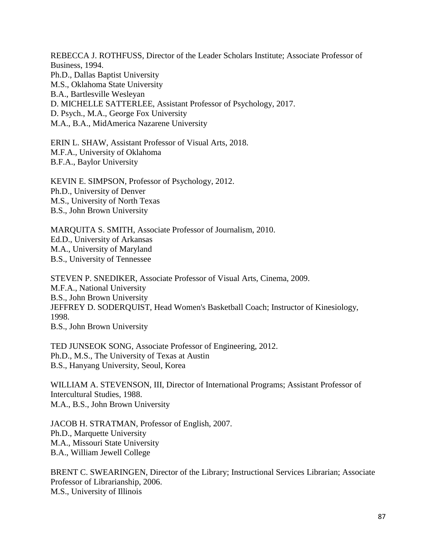REBECCA J. ROTHFUSS, Director of the Leader Scholars Institute; Associate Professor of Business, 1994. Ph.D., Dallas Baptist University M.S., Oklahoma State University B.A., Bartlesville Wesleyan D. MICHELLE SATTERLEE, Assistant Professor of Psychology, 2017. D. Psych., M.A., George Fox University M.A., B.A., MidAmerica Nazarene University

ERIN L. SHAW, Assistant Professor of Visual Arts, 2018. M.F.A., University of Oklahoma B.F.A., Baylor University

KEVIN E. SIMPSON, Professor of Psychology, 2012. Ph.D., University of Denver M.S., University of North Texas B.S., John Brown University

MARQUITA S. SMITH, Associate Professor of Journalism, 2010. Ed.D., University of Arkansas M.A., University of Maryland B.S., University of Tennessee

STEVEN P. SNEDIKER, Associate Professor of Visual Arts, Cinema, 2009. M.F.A., National University B.S., John Brown University JEFFREY D. SODERQUIST, Head Women's Basketball Coach; Instructor of Kinesiology, 1998. B.S., John Brown University

TED JUNSEOK SONG, Associate Professor of Engineering, 2012. Ph.D., M.S., The University of Texas at Austin B.S., Hanyang University, Seoul, Korea

WILLIAM A. STEVENSON, III, Director of International Programs; Assistant Professor of Intercultural Studies, 1988. M.A., B.S., John Brown University

JACOB H. STRATMAN, Professor of English, 2007. Ph.D., Marquette University M.A., Missouri State University B.A., William Jewell College

BRENT C. SWEARINGEN, Director of the Library; Instructional Services Librarian; Associate Professor of Librarianship, 2006. M.S., University of Illinois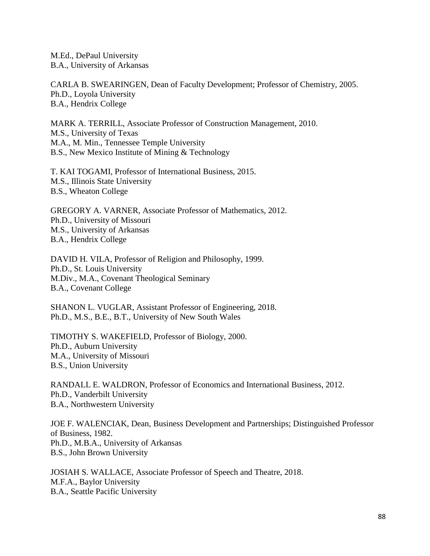M.Ed., DePaul University B.A., University of Arkansas

CARLA B. SWEARINGEN, Dean of Faculty Development; Professor of Chemistry, 2005. Ph.D., Loyola University B.A., Hendrix College

MARK A. TERRILL, Associate Professor of Construction Management, 2010. M.S., University of Texas M.A., M. Min., Tennessee Temple University B.S., New Mexico Institute of Mining & Technology

T. KAI TOGAMI, Professor of International Business, 2015. M.S., Illinois State University B.S., Wheaton College

GREGORY A. VARNER, Associate Professor of Mathematics, 2012. Ph.D., University of Missouri M.S., University of Arkansas B.A., Hendrix College

DAVID H. VILA, Professor of Religion and Philosophy, 1999. Ph.D., St. Louis University M.Div., M.A., Covenant Theological Seminary B.A., Covenant College

SHANON L. VUGLAR, Assistant Professor of Engineering, 2018. Ph.D., M.S., B.E., B.T., University of New South Wales

TIMOTHY S. WAKEFIELD, Professor of Biology, 2000. Ph.D., Auburn University M.A., University of Missouri B.S., Union University

RANDALL E. WALDRON, Professor of Economics and International Business, 2012. Ph.D., Vanderbilt University B.A., Northwestern University

JOE F. WALENCIAK, Dean, Business Development and Partnerships; Distinguished Professor of Business, 1982. Ph.D., M.B.A., University of Arkansas B.S., John Brown University

JOSIAH S. WALLACE, Associate Professor of Speech and Theatre, 2018. M.F.A., Baylor University B.A., Seattle Pacific University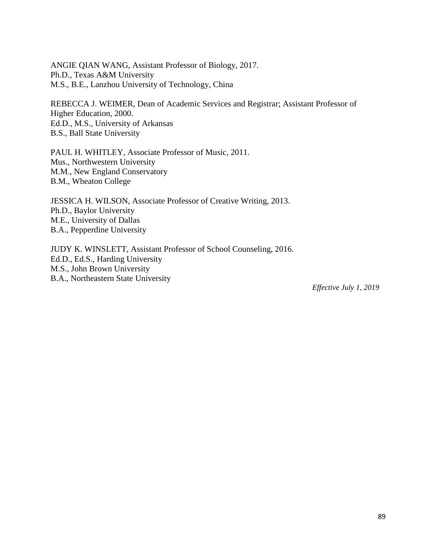ANGIE QIAN WANG, Assistant Professor of Biology, 2017. Ph.D., Texas A&M University M.S., B.E., Lanzhou University of Technology, China

REBECCA J. WEIMER, Dean of Academic Services and Registrar; Assistant Professor of Higher Education, 2000. Ed.D., M.S., University of Arkansas B.S., Ball State University

PAUL H. WHITLEY, Associate Professor of Music, 2011. Mus., Northwestern University M.M., New England Conservatory B.M., Wheaton College

JESSICA H. WILSON, Associate Professor of Creative Writing, 2013. Ph.D., Baylor University M.E., University of Dallas B.A., Pepperdine University

JUDY K. WINSLETT, Assistant Professor of School Counseling, 2016. Ed.D., Ed.S., Harding University M.S., John Brown University B.A., Northeastern State University

*Effective July 1, 2019*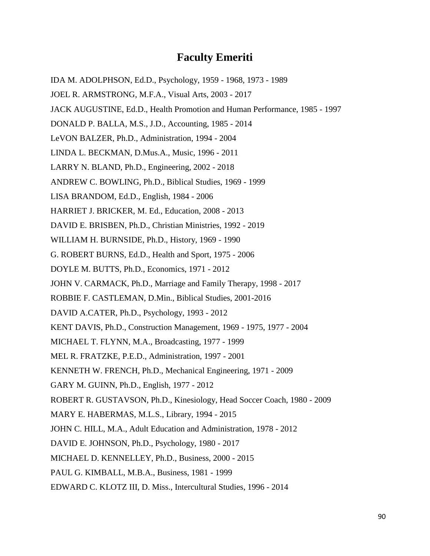#### **Faculty Emeriti**

- IDA M. ADOLPHSON, Ed.D., Psychology, 1959 1968, 1973 1989
- JOEL R. ARMSTRONG, M.F.A., Visual Arts, 2003 2017
- JACK AUGUSTINE, Ed.D., Health Promotion and Human Performance, 1985 1997
- DONALD P. BALLA, M.S., J.D., Accounting, 1985 2014
- LeVON BALZER, Ph.D., Administration, 1994 2004
- LINDA L. BECKMAN, D.Mus.A., Music, 1996 2011
- LARRY N. BLAND, Ph.D., Engineering, 2002 2018
- ANDREW C. BOWLING, Ph.D., Biblical Studies, 1969 1999
- LISA BRANDOM, Ed.D., English, 1984 2006
- HARRIET J. BRICKER, M. Ed., Education, 2008 2013
- DAVID E. BRISBEN, Ph.D., Christian Ministries, 1992 2019
- WILLIAM H. BURNSIDE, Ph.D., History, 1969 1990
- G. ROBERT BURNS, Ed.D., Health and Sport, 1975 2006
- DOYLE M. BUTTS, Ph.D., Economics, 1971 2012
- JOHN V. CARMACK, Ph.D., Marriage and Family Therapy, 1998 2017
- ROBBIE F. CASTLEMAN, D.Min., Biblical Studies, 2001-2016
- DAVID A.CATER, Ph.D., Psychology, 1993 2012
- KENT DAVIS, Ph.D., Construction Management, 1969 1975, 1977 2004
- MICHAEL T. FLYNN, M.A., Broadcasting, 1977 1999
- MEL R. FRATZKE, P.E.D., Administration, 1997 2001
- KENNETH W. FRENCH, Ph.D., Mechanical Engineering, 1971 2009
- GARY M. GUINN, Ph.D., English, 1977 2012
- ROBERT R. GUSTAVSON, Ph.D., Kinesiology, Head Soccer Coach, 1980 2009
- MARY E. HABERMAS, M.L.S., Library, 1994 2015
- JOHN C. HILL, M.A., Adult Education and Administration, 1978 2012
- DAVID E. JOHNSON, Ph.D., Psychology, 1980 2017
- MICHAEL D. KENNELLEY, Ph.D., Business, 2000 2015
- PAUL G. KIMBALL, M.B.A., Business, 1981 1999
- EDWARD C. KLOTZ III, D. Miss., Intercultural Studies, 1996 2014